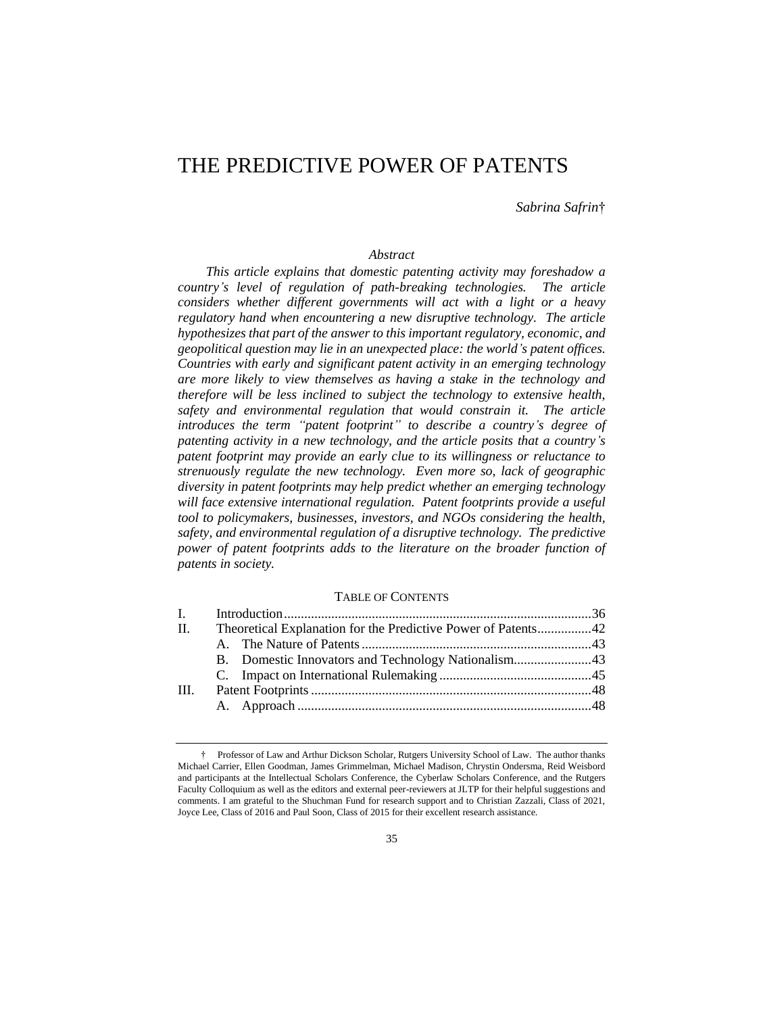# THE PREDICTIVE POWER OF PATENTS

*Sabrina Safrin*†

# *Abstract*

*This article explains that domestic patenting activity may foreshadow a country's level of regulation of path-breaking technologies. The article considers whether different governments will act with a light or a heavy regulatory hand when encountering a new disruptive technology. The article hypothesizes that part of the answer to this important regulatory, economic, and geopolitical question may lie in an unexpected place: the world's patent offices. Countries with early and significant patent activity in an emerging technology are more likely to view themselves as having a stake in the technology and therefore will be less inclined to subject the technology to extensive health, safety and environmental regulation that would constrain it. The article introduces the term "patent footprint" to describe a country's degree of patenting activity in a new technology, and the article posits that a country's patent footprint may provide an early clue to its willingness or reluctance to strenuously regulate the new technology. Even more so, lack of geographic diversity in patent footprints may help predict whether an emerging technology will face extensive international regulation. Patent footprints provide a useful tool to policymakers, businesses, investors, and NGOs considering the health, safety, and environmental regulation of a disruptive technology. The predictive power of patent footprints adds to the literature on the broader function of patents in society.* 

#### TABLE OF CONTENTS

| $\mathbf{I}$ , $\mathbf{I}$ |                                                               |  |  |
|-----------------------------|---------------------------------------------------------------|--|--|
| H.                          | Theoretical Explanation for the Predictive Power of Patents42 |  |  |
|                             |                                                               |  |  |
|                             |                                                               |  |  |
|                             |                                                               |  |  |
| III.                        |                                                               |  |  |
|                             |                                                               |  |  |
|                             |                                                               |  |  |

<sup>†</sup> Professor of Law and Arthur Dickson Scholar, Rutgers University School of Law. The author thanks Michael Carrier, Ellen Goodman, James Grimmelman, Michael Madison, Chrystin Ondersma, Reid Weisbord and participants at the Intellectual Scholars Conference, the Cyberlaw Scholars Conference, and the Rutgers Faculty Colloquium as well as the editors and external peer-reviewers at JLTP for their helpful suggestions and comments. I am grateful to the Shuchman Fund for research support and to Christian Zazzali, Class of 2021, Joyce Lee, Class of 2016 and Paul Soon, Class of 2015 for their excellent research assistance.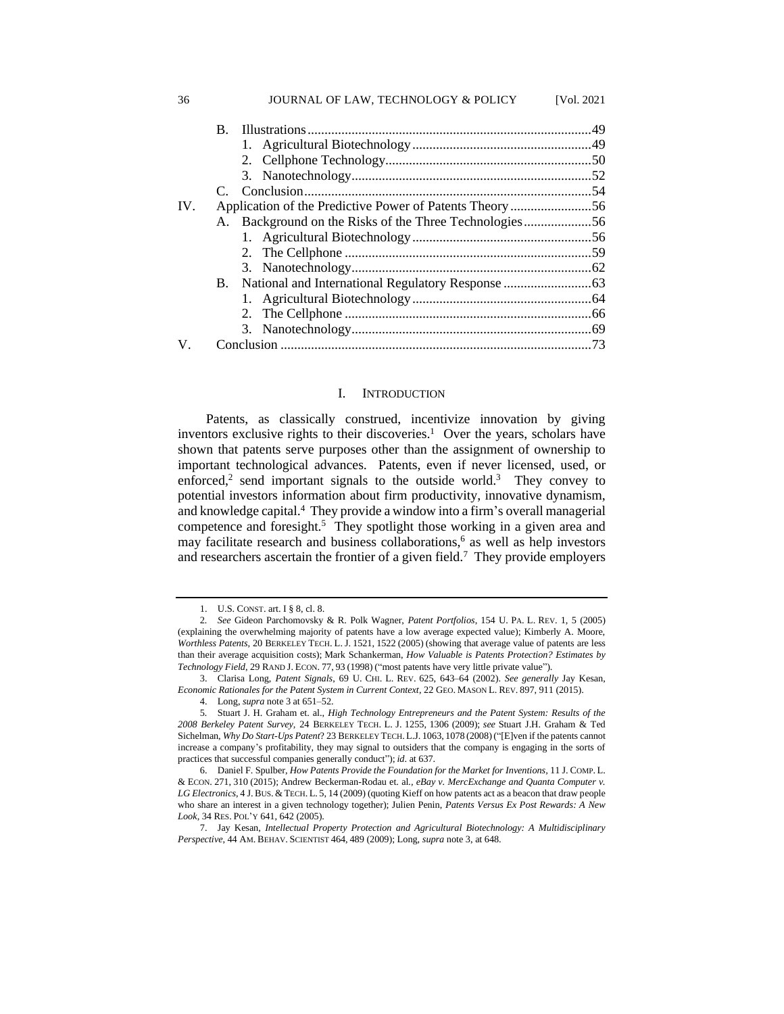|          | $\mathbf{B}_{\cdot}$ |  |  |  |
|----------|----------------------|--|--|--|
|          |                      |  |  |  |
|          |                      |  |  |  |
|          |                      |  |  |  |
|          |                      |  |  |  |
| $IV_{-}$ |                      |  |  |  |
|          |                      |  |  |  |
|          |                      |  |  |  |
|          |                      |  |  |  |
|          |                      |  |  |  |
|          |                      |  |  |  |
|          |                      |  |  |  |
|          |                      |  |  |  |
|          |                      |  |  |  |
| V.       |                      |  |  |  |

36 JOURNAL OF LAW, TECHNOLOGY & POLICY [Vol. 2021

#### I. INTRODUCTION

Patents, as classically construed, incentivize innovation by giving inventors exclusive rights to their discoveries.<sup>1</sup> Over the years, scholars have shown that patents serve purposes other than the assignment of ownership to important technological advances. Patents, even if never licensed, used, or enforced,<sup>2</sup> send important signals to the outside world.<sup>3</sup> They convey to potential investors information about firm productivity, innovative dynamism, and knowledge capital.<sup>4</sup> They provide a window into a firm's overall managerial competence and foresight.<sup>5</sup> They spotlight those working in a given area and may facilitate research and business collaborations, <sup>6</sup> as well as help investors and researchers ascertain the frontier of a given field.<sup>7</sup> They provide employers

<sup>1.</sup> U.S. CONST. art. I § 8, cl. 8.

<sup>2</sup>*. See* Gideon Parchomovsky & R. Polk Wagner, *Patent Portfolios*, 154 U. PA. L. REV. 1, 5 (2005) (explaining the overwhelming majority of patents have a low average expected value); Kimberly A. Moore, *Worthless Patents,* 20 BERKELEY TECH. L. J. 1521, 1522 (2005) (showing that average value of patents are less than their average acquisition costs); Mark Schankerman, *How Valuable is Patents Protection? Estimates by Technology Field*, 29 RAND J. ECON. 77, 93 (1998) ("most patents have very little private value").

<sup>3.</sup> Clarisa Long, *Patent Signals*, 69 U. CHI. L. REV. 625, 643–64 (2002). *See generally* Jay Kesan, *Economic Rationales for the Patent System in Current Context*, 22 GEO. MASON L. REV. 897, 911 (2015).

<sup>4.</sup> Long, *supra* note 3 at 651–52.

<sup>5</sup>*.* Stuart J. H. Graham et. al., *High Technology Entrepreneurs and the Patent System: Results of the 2008 Berkeley Patent Survey,* 24 BERKELEY TECH. L. J. 1255, 1306 (2009); *see* Stuart J.H. Graham & Ted Sichelman, *Why Do Start-Ups Patent*? 23 BERKELEY TECH. L.J. 1063, 1078 (2008)("[E]ven if the patents cannot increase a company's profitability, they may signal to outsiders that the company is engaging in the sorts of practices that successful companies generally conduct"); *id*. at 637.

<sup>6.</sup> Daniel F. Spulber, *How Patents Provide the Foundation for the Market for Inventions,* 11 J. COMP. L. & ECON. 271, 310 (2015); Andrew Beckerman-Rodau et. al*., eBay v. MercExchange and Quanta Computer v. LG Electronics*, 4 J.BUS. & TECH. L. 5, 14 (2009) (quoting Kieff on how patents act as a beacon that draw people who share an interest in a given technology together); Julien Penin, *Patents Versus Ex Post Rewards: A New Look,* 34 RES. POL'Y 641, 642 (2005).

<sup>7.</sup> Jay Kesan, *Intellectual Property Protection and Agricultural Biotechnology: A Multidisciplinary Perspective,* 44 AM. BEHAV. SCIENTIST 464, 489 (2009); Long, *supra* note 3, at 648.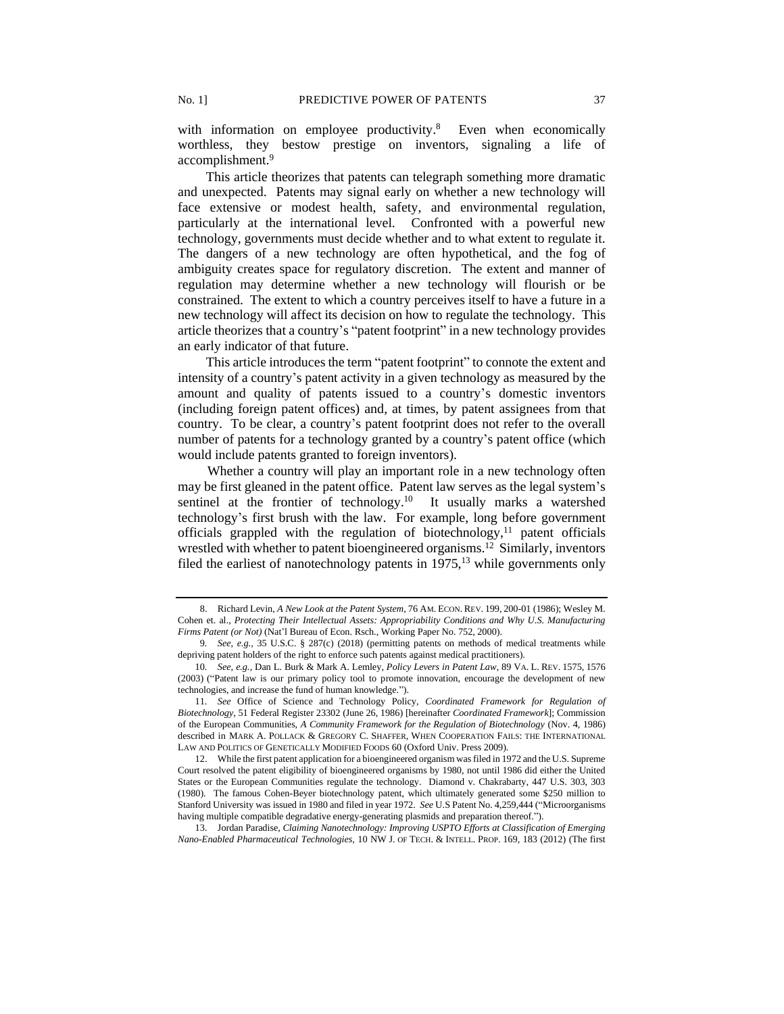with information on employee productivity.<sup>8</sup> Even when economically worthless, they bestow prestige on inventors, signaling a life of accomplishment.<sup>9</sup>

This article theorizes that patents can telegraph something more dramatic and unexpected. Patents may signal early on whether a new technology will face extensive or modest health, safety, and environmental regulation, particularly at the international level. Confronted with a powerful new technology, governments must decide whether and to what extent to regulate it. The dangers of a new technology are often hypothetical, and the fog of ambiguity creates space for regulatory discretion. The extent and manner of regulation may determine whether a new technology will flourish or be constrained. The extent to which a country perceives itself to have a future in a new technology will affect its decision on how to regulate the technology. This article theorizes that a country's "patent footprint" in a new technology provides an early indicator of that future.

This article introduces the term "patent footprint" to connote the extent and intensity of a country's patent activity in a given technology as measured by the amount and quality of patents issued to a country's domestic inventors (including foreign patent offices) and, at times, by patent assignees from that country. To be clear, a country's patent footprint does not refer to the overall number of patents for a technology granted by a country's patent office (which would include patents granted to foreign inventors).

Whether a country will play an important role in a new technology often may be first gleaned in the patent office. Patent law serves as the legal system's sentinel at the frontier of technology.<sup>10</sup> It usually marks a watershed technology's first brush with the law. For example, long before government officials grappled with the regulation of biotechnology, $11$  patent officials wrestled with whether to patent bioengineered organisms.<sup>12</sup> Similarly, inventors filed the earliest of nanotechnology patents in  $1975$ ,<sup>13</sup> while governments only

<sup>8.</sup> Richard Levin, *A New Look at the Patent System*, 76 AM. ECON. REV. 199, 200-01 (1986); Wesley M. Cohen et. al., *Protecting Their Intellectual Assets: Appropriability Conditions and Why U.S. Manufacturing Firms Patent (or Not)* (Nat'l Bureau of Econ. Rsch., Working Paper No. 752, 2000).

<sup>9</sup>*. See, e.g.,* 35 U.S.C. § 287(c) (2018) (permitting patents on methods of medical treatments while depriving patent holders of the right to enforce such patents against medical practitioners).

<sup>10</sup>*. See, e.g.,* Dan L. Burk & Mark A. Lemley, *Policy Levers in Patent Law*, 89 VA. L. REV. 1575, 1576 (2003) ("Patent law is our primary policy tool to promote innovation, encourage the development of new technologies, and increase the fund of human knowledge.").

<sup>11</sup>*. See* Office of Science and Technology Policy, *Coordinated Framework for Regulation of Biotechnology*, 51 Federal Register 23302 (June 26, 1986) [hereinafter *Coordinated Framework*]; Commission of the European Communities, *A Community Framework for the Regulation of Biotechnology* (Nov. 4, 1986) described in MARK A. POLLACK & GREGORY C. SHAFFER, WHEN COOPERATION FAILS: THE INTERNATIONAL LAW AND POLITICS OF GENETICALLY MODIFIED FOODS 60 (Oxford Univ. Press 2009).

<sup>12.</sup> While the first patent application for a bioengineered organism was filed in 1972 and the U.S. Supreme Court resolved the patent eligibility of bioengineered organisms by 1980, not until 1986 did either the United States or the European Communities regulate the technology. Diamond v. Chakrabarty, 447 U.S. 303, 303 (1980). The famous Cohen-Beyer biotechnology patent, which ultimately generated some \$250 million to Stanford University was issued in 1980 and filed in year 1972. *See* U.S Patent No. 4,259,444 ("Microorganisms having multiple compatible degradative energy-generating plasmids and preparation thereof.").

<sup>13.</sup> Jordan Paradise, *Claiming Nanotechnology: Improving USPTO Efforts at Classification of Emerging Nano-Enabled Pharmaceutical Technologies,* 10 NW J. OF TECH. & INTELL. PROP. 169, 183 (2012) (The first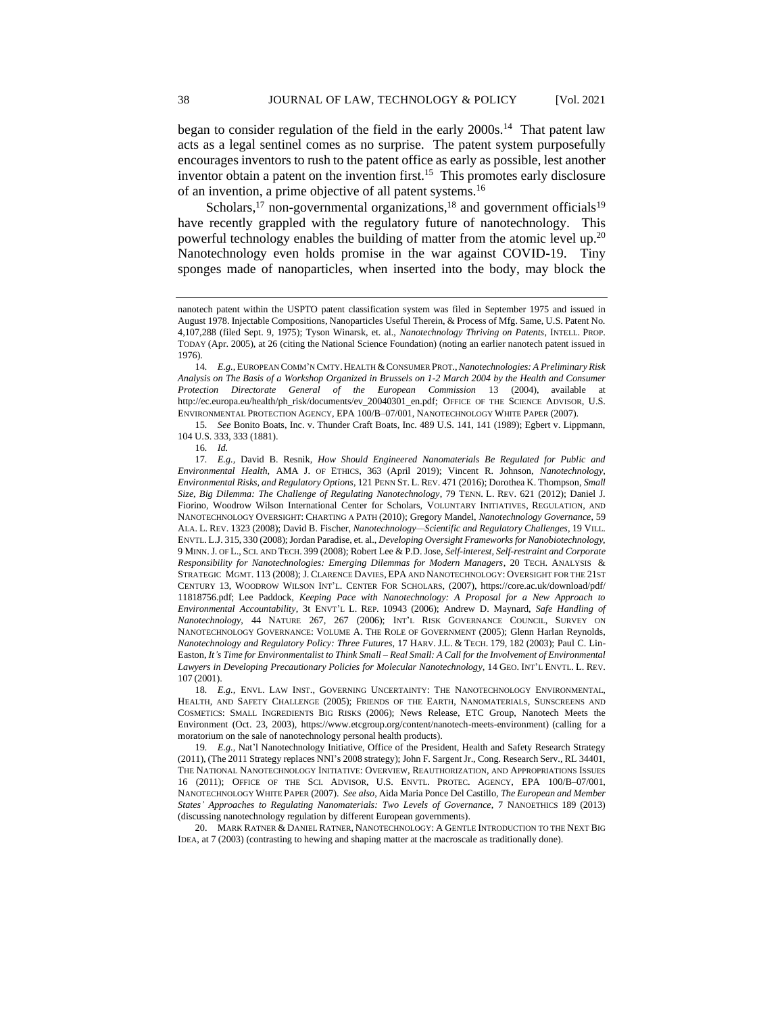began to consider regulation of the field in the early 2000s.<sup>14</sup> That patent law acts as a legal sentinel comes as no surprise. The patent system purposefully encourages inventors to rush to the patent office as early as possible, lest another inventor obtain a patent on the invention first.<sup>15</sup> This promotes early disclosure of an invention, a prime objective of all patent systems.<sup>16</sup>

<span id="page-3-0"></span>Scholars,<sup>17</sup> non-governmental organizations,<sup>18</sup> and government officials<sup>19</sup> have recently grappled with the regulatory future of nanotechnology. This powerful technology enables the building of matter from the atomic level up.<sup>20</sup> Nanotechnology even holds promise in the war against COVID-19. Tiny sponges made of nanoparticles, when inserted into the body, may block the

15*. See* Bonito Boats, Inc. v. Thunder Craft Boats, Inc. 489 U.S. 141, 141 (1989); Egbert v. Lippmann, 104 U.S. 333, 333 (1881).

18. *E.g.*, ENVL. LAW INST., GOVERNING UNCERTAINTY: THE NANOTECHNOLOGY ENVIRONMENTAL, HEALTH, AND SAFETY CHALLENGE (2005); FRIENDS OF THE EARTH, NANOMATERIALS, SUNSCREENS AND COSMETICS: SMALL INGREDIENTS BIG RISKS (2006); News Release, ETC Group, Nanotech Meets the Environment (Oct. 23, 2003), https://www.etcgroup.org/content/nanotech-meets-environment) (calling for a moratorium on the sale of nanotechnology personal health products).

19*. E.g.,* Nat'l Nanotechnology Initiative, Office of the President, Health and Safety Research Strategy (2011), (The 2011 Strategy replaces NNI's 2008 strategy); John F. Sargent Jr., Cong. Research Serv., RL 34401, THE NATIONAL NANOTECHNOLOGY INITIATIVE: OVERVIEW, REAUTHORIZATION, AND APPROPRIATIONS ISSUES 16 (2011); OFFICE OF THE SCI. ADVISOR, U.S. ENVTL. PROTEC. AGENCY, EPA 100/B–07/001, NANOTECHNOLOGY WHITE PAPER (2007). *See also*, Aida Maria Ponce Del Castillo, *The European and Member States' Approaches to Regulating Nanomaterials: Two Levels of Governance*, 7 NANOETHICS 189 (2013) (discussing nanotechnology regulation by different European governments).

20. MARK RATNER & DANIEL RATNER, NANOTECHNOLOGY: A GENTLE INTRODUCTION TO THE NEXT BIG IDEA, at 7 (2003) (contrasting to hewing and shaping matter at the macroscale as traditionally done).

nanotech patent within the USPTO patent classification system was filed in September 1975 and issued in August 1978. Injectable Compositions, Nanoparticles Useful Therein, & Process of Mfg. Same, U.S. Patent No. 4,107,288 (filed Sept. 9, 1975); Tyson Winarsk, et. al., *Nanotechnology Thriving on Patents*, INTELL. PROP. TODAY (Apr. 2005), at 26 (citing the National Science Foundation) (noting an earlier nanotech patent issued in 1976).

<sup>14</sup>*. E.g.,* EUROPEAN COMM'N CMTY. HEALTH &CONSUMER PROT.,*Nanotechnologies: A Preliminary Risk Analysis on The Basis of a Workshop Organized in Brussels on 1-2 March 2004 by the Health and Consumer Protection Directorate General of the European Commission* 13 (2004), available at http://ec.europa.eu/health/ph\_risk/documents/ev\_20040301\_en.pdf; OFFICE OF THE SCIENCE ADVISOR, U.S. ENVIRONMENTAL PROTECTION AGENCY, EPA 100/B–07/001, NANOTECHNOLOGY WHITE PAPER (2007).

<sup>16</sup>*. Id.*

<sup>17</sup>*. E.g.,* David B. Resnik, *How Should Engineered Nanomaterials Be Regulated for Public and Environmental Health,* AMA J. OF ETHICS, 363 (April 2019); Vincent R. Johnson, *Nanotechnology, Environmental Risks, and Regulatory Options*, 121 PENN ST. L. REV. 471 (2016); Dorothea K. Thompson, *Small Size, Big Dilemma: The Challenge of Regulating Nanotechnology*, 79 TENN. L. REV. 621 (2012); Daniel J. Fiorino, Woodrow Wilson International Center for Scholars, VOLUNTARY INITIATIVES, REGULATION, AND NANOTECHNOLOGY OVERSIGHT: CHARTING A PATH (2010); Gregory Mandel, *Nanotechnology Governance*, 59 ALA. L. REV. 1323 (2008); David B. Fischer, *Nanotechnology—Scientific and Regulatory Challenges*, 19 VILL. ENVTL. L.J. 315, 330 (2008); Jordan Paradise, et. al., *Developing Oversight Frameworks for Nanobiotechnology,*  9 MINN.J. OF L., SCI. AND TECH. 399 (2008); Robert Lee & P.D. Jose, *Self-interest, Self-restraint and Corporate Responsibility for Nanotechnologies: Emerging Dilemmas for Modern Managers*, 20 TECH. ANALYSIS & STRATEGIC MGMT. 113 (2008); J. CLARENCE DAVIES, EPA AND NANOTECHNOLOGY: OVERSIGHT FOR THE 21ST CENTURY 13, WOODROW WILSON INT'L. CENTER FOR SCHOLARS, (2007), https://core.ac.uk/download/pdf/ 11818756.pdf; Lee Paddock, *Keeping Pace with Nanotechnology: A Proposal for a New Approach to Environmental Accountability*, 3t ENVT'L L. REP. 10943 (2006); Andrew D. Maynard, *Safe Handling of Nanotechnology*, 44 NATURE 267, 267 (2006); INT'L RISK GOVERNANCE COUNCIL, SURVEY ON NANOTECHNOLOGY GOVERNANCE: VOLUME A. THE ROLE OF GOVERNMENT (2005); Glenn Harlan Reynolds, *Nanotechnology and Regulatory Policy: Three Futures*, 17 HARV. J.L. & TECH. 179, 182 (2003); Paul C. Lin-Easton, *It's Time for Environmentalist to Think Small – Real Small: A Call for the Involvement of Environmental Lawyers in Developing Precautionary Policies for Molecular Nanotechnology,* 14 GEO. INT'L ENVTL. L. REV. 107 (2001).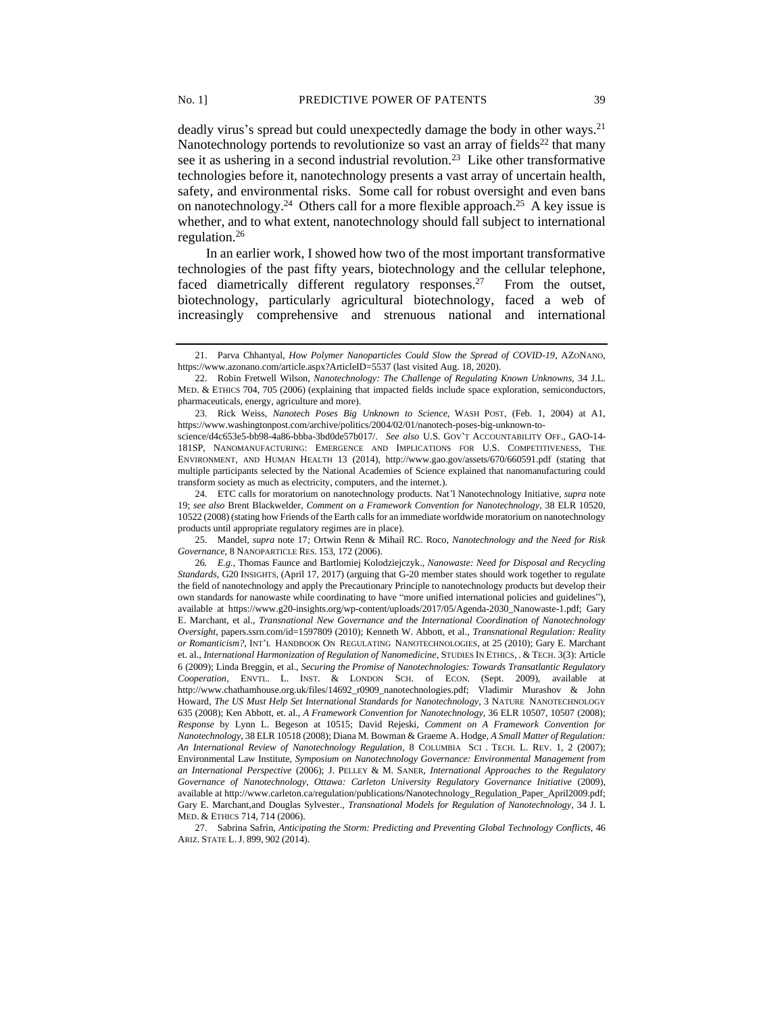deadly virus's spread but could unexpectedly damage the body in other ways.<sup>21</sup> Nanotechnology portends to revolutionize so vast an array of fields<sup>22</sup> that many see it as ushering in a second industrial revolution.<sup>23</sup> Like other transformative technologies before it, nanotechnology presents a vast array of uncertain health, safety, and environmental risks. Some call for robust oversight and even bans on nanotechnology.<sup>24</sup> Others call for a more flexible approach.<sup>25</sup> A key issue is whether, and to what extent, nanotechnology should fall subject to international regulation.<sup>26</sup>

<span id="page-4-0"></span>In an earlier work, I showed how two of the most important transformative technologies of the past fifty years, biotechnology and the cellular telephone, faced diametrically different regulatory responses.<sup>27</sup> From the outset, biotechnology, particularly agricultural biotechnology, faced a web of increasingly comprehensive and strenuous national and international

science/d4c653e5-bb98-4a86-bbba-3bd0de57b017/. *See also* U.S. GOV'T ACCOUNTABILITY OFF., GAO-14- 181SP, NANOMANUFACTURING: EMERGENCE AND IMPLICATIONS FOR U.S. COMPETITIVENESS, THE ENVIRONMENT, AND HUMAN HEALTH 13 (2014), http://www.gao.gov/assets/670/660591.pdf (stating that multiple participants selected by the National Academies of Science explained that nanomanufacturing could transform society as much as electricity, computers, and the internet.).

24. ETC calls for moratorium on nanotechnology products. Nat'l Nanotechnology Initiative*, supra* note 19; *see also* Brent Blackwelder, *Comment on a Framework Convention for Nanotechnology*, 38 ELR 10520, 10522 (2008) (stating how Friends of the Earth calls for an immediate worldwide moratorium on nanotechnology products until appropriate regulatory regimes are in place).

25. Mandel, *supra* note 17*;* Ortwin Renn & Mihail RC. Roco, *Nanotechnology and the Need for Risk Governance,* 8 NANOPARTICLE RES. 153, 172 (2006).

27. Sabrina Safrin, *Anticipating the Storm: Predicting and Preventing Global Technology Conflicts,* 46 ARIZ. STATE L.J. 899, 902 (2014).

<sup>21.</sup> Parva Chhantyal, *How Polymer Nanoparticles Could Slow the Spread of COVID-19*, AZONANO, https://www.azonano.com/article.aspx?ArticleID=5537 (last visited Aug. 18, 2020).

<sup>22.</sup> Robin Fretwell Wilson, *Nanotechnology: The Challenge of Regulating Known Unknowns,* 34 J.L. MED. & ETHICS 704, 705 (2006) (explaining that impacted fields include space exploration, semiconductors, pharmaceuticals, energy, agriculture and more).

<sup>23.</sup> Rick Weiss, *Nanotech Poses Big Unknown to Science,* WASH POST, (Feb. 1, 2004) at A1, https://www.washingtonpost.com/archive/politics/2004/02/01/nanotech-poses-big-unknown-to-

<sup>26</sup>*. E.g.,* Thomas Faunce and Bartlomiej Kolodziejczyk., *Nanowaste: Need for Disposal and Recycling Standards,* G20 INSIGHTS, (April 17, 2017) (arguing that G-20 member states should work together to regulate the field of nanotechnology and apply the Precautionary Principle to nanotechnology products but develop their own standards for nanowaste while coordinating to have "more unified international policies and guidelines"), available at https://www.g20-insights.org/wp-content/uploads/2017/05/Agenda-2030\_Nanowaste-1.pdf; Gary E. Marchant, et al., *Transnational New Governance and the International Coordination of Nanotechnology Oversight*, papers.ssrn.com/id=1597809 (2010); Kenneth W. Abbott, et al., *Transnational Regulation: Reality or Romanticism?*, INT'L HANDBOOK ON REGULATING NANOTECHNOLOGIES, at 25 (2010); Gary E. Marchant et. al., *International Harmonization of Regulation of Nanomedicine*, STUDIES IN ETHICS, . & TECH. 3(3): Article 6 (2009); Linda Breggin, et al., *Securing the Promise of Nanotechnologies: Towards Transatlantic Regulatory Cooperation*, ENVTL. L. INST. & LONDON SCH. of ECON. (Sept. 2009), available at http://www.chathamhouse.org.uk/files/14692\_r0909\_nanotechnologies.pdf; Vladimir Murashov & John Howard, *The US Must Help Set International Standards for Nanotechnology*, 3 NATURE NANOTECHNOLOGY 635 (2008); Ken Abbott, et. al., *A Framework Convention for Nanotechnology*, 36 ELR 10507, 10507 (2008); *Response* by Lynn L. Begeson at 10515; David Rejeski, *Comment on A Framework Convention for Nanotechnology*, 38 ELR 10518 (2008); Diana M. Bowman & Graeme A. Hodge, *A Small Matter of Regulation: An International Review of Nanotechnology Regulation*, 8 COLUMBIA SCI . TECH. L. REV. 1, 2 (2007); Environmental Law Institute, *Symposium on Nanotechnology Governance: Environmental Management from an International Perspective* (2006); J. PELLEY & M. SANER, *International Approaches to the Regulatory Governance of Nanotechnology, Ottawa: Carleton University Regulatory Governance Initiative* (2009), available at http://www.carleton.ca/regulation/publications/Nanotechnology\_Regulation\_Paper\_April2009.pdf; Gary E. Marchant,and Douglas Sylvester., *Transnational Models for Regulation of Nanotechnology*, 34 J. L MED. & ETHICS 714, 714 (2006).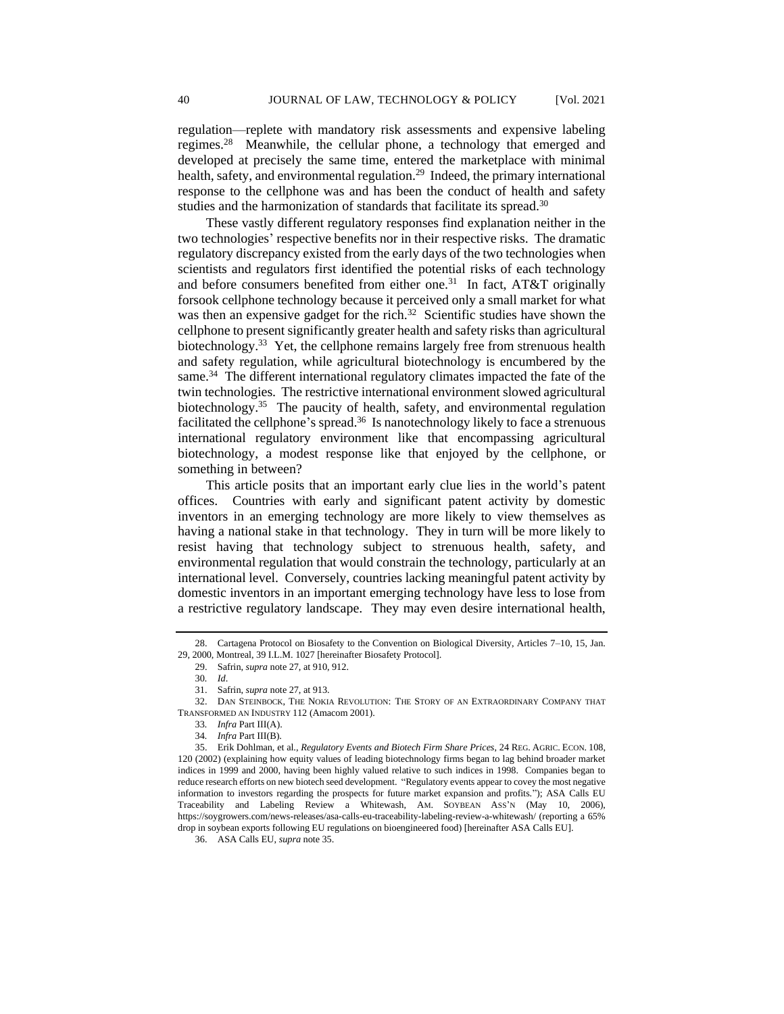regulation—replete with mandatory risk assessments and expensive labeling regimes.<sup>28</sup> Meanwhile, the cellular phone, a technology that emerged and developed at precisely the same time, entered the marketplace with minimal health, safety, and environmental regulation.<sup>29</sup> Indeed, the primary international response to the cellphone was and has been the conduct of health and safety studies and the harmonization of standards that facilitate its spread.<sup>30</sup>

These vastly different regulatory responses find explanation neither in the two technologies' respective benefits nor in their respective risks. The dramatic regulatory discrepancy existed from the early days of the two technologies when scientists and regulators first identified the potential risks of each technology and before consumers benefited from either one.<sup>31</sup> In fact, AT&T originally forsook cellphone technology because it perceived only a small market for what was then an expensive gadget for the rich.<sup>32</sup> Scientific studies have shown the cellphone to present significantly greater health and safety risks than agricultural biotechnology.<sup>33</sup> Yet, the cellphone remains largely free from strenuous health and safety regulation, while agricultural biotechnology is encumbered by the same.<sup>34</sup> The different international regulatory climates impacted the fate of the twin technologies. The restrictive international environment slowed agricultural biotechnology.<sup>35</sup> The paucity of health, safety, and environmental regulation facilitated the cellphone's spread.<sup>36</sup> Is nanotechnology likely to face a strenuous international regulatory environment like that encompassing agricultural biotechnology, a modest response like that enjoyed by the cellphone, or something in between?

This article posits that an important early clue lies in the world's patent offices. Countries with early and significant patent activity by domestic inventors in an emerging technology are more likely to view themselves as having a national stake in that technology. They in turn will be more likely to resist having that technology subject to strenuous health, safety, and environmental regulation that would constrain the technology, particularly at an international level. Conversely, countries lacking meaningful patent activity by domestic inventors in an important emerging technology have less to lose from a restrictive regulatory landscape. They may even desire international health,

<sup>28.</sup> Cartagena Protocol on Biosafety to the Convention on Biological Diversity, Articles 7–10, 15, Jan. 29, 2000, Montreal, 39 I.L.M. 1027 [hereinafter Biosafety Protocol].

<sup>29.</sup> Safrin, *supra* not[e 27,](#page-4-0) at 910, 912.

<sup>30</sup>*. Id*.

<sup>31.</sup> Safrin, *supra* not[e 27,](#page-4-0) at 913.

<sup>32.</sup> DAN STEINBOCK, THE NOKIA REVOLUTION: THE STORY OF AN EXTRAORDINARY COMPANY THAT TRANSFORMED AN INDUSTRY 112 (Amacom 2001).

<sup>33</sup>*. Infra* Part III(A).

<sup>34</sup>*. Infra* Part III(B).

<sup>35.</sup> Erik Dohlman, et al., *Regulatory Events and Biotech Firm Share Prices*, 24 REG. AGRIC. ECON. 108, 120 (2002) (explaining how equity values of leading biotechnology firms began to lag behind broader market indices in 1999 and 2000, having been highly valued relative to such indices in 1998. Companies began to reduce research efforts on new biotech seed development. "Regulatory events appear to covey the most negative information to investors regarding the prospects for future market expansion and profits."); ASA Calls EU Traceability and Labeling Review a Whitewash, AM. SOYBEAN ASS'N (May 10, 2006), https://soygrowers.com/news-releases/asa-calls-eu-traceability-labeling-review-a-whitewash/ (reporting a 65% drop in soybean exports following EU regulations on bioengineered food) [hereinafter ASA Calls EU].

<sup>36.</sup> ASA Calls EU, *supra* note 35.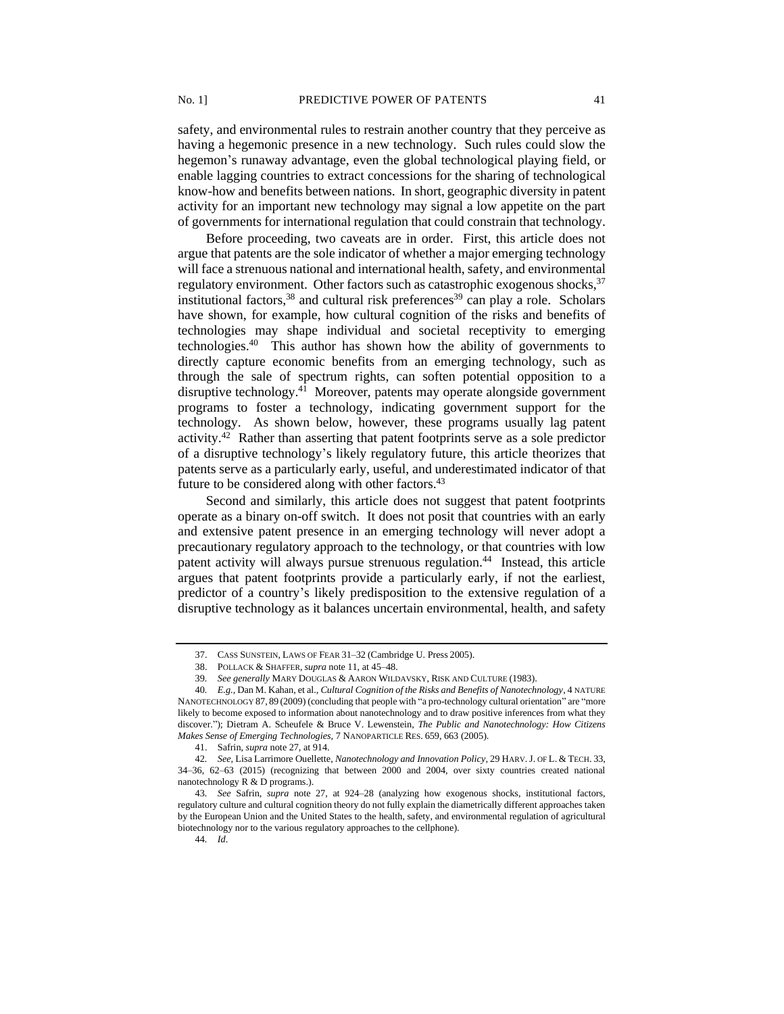safety, and environmental rules to restrain another country that they perceive as having a hegemonic presence in a new technology. Such rules could slow the hegemon's runaway advantage, even the global technological playing field, or enable lagging countries to extract concessions for the sharing of technological know-how and benefits between nations. In short, geographic diversity in patent activity for an important new technology may signal a low appetite on the part of governments for international regulation that could constrain that technology.

Before proceeding, two caveats are in order. First, this article does not argue that patents are the sole indicator of whether a major emerging technology will face a strenuous national and international health, safety, and environmental regulatory environment. Other factors such as catastrophic exogenous shocks.<sup>37</sup> institutional factors,<sup>38</sup> and cultural risk preferences<sup>39</sup> can play a role. Scholars have shown, for example, how cultural cognition of the risks and benefits of technologies may shape individual and societal receptivity to emerging technologies.<sup>40</sup> This author has shown how the ability of governments to directly capture economic benefits from an emerging technology, such as through the sale of spectrum rights, can soften potential opposition to a disruptive technology.<sup>41</sup> Moreover, patents may operate alongside government programs to foster a technology, indicating government support for the technology. As shown below, however, these programs usually lag patent activity.<sup>42</sup> Rather than asserting that patent footprints serve as a sole predictor of a disruptive technology's likely regulatory future, this article theorizes that patents serve as a particularly early, useful, and underestimated indicator of that future to be considered along with other factors.<sup>43</sup>

Second and similarly, this article does not suggest that patent footprints operate as a binary on-off switch. It does not posit that countries with an early and extensive patent presence in an emerging technology will never adopt a precautionary regulatory approach to the technology, or that countries with low patent activity will always pursue strenuous regulation.<sup>44</sup> Instead, this article argues that patent footprints provide a particularly early, if not the earliest, predictor of a country's likely predisposition to the extensive regulation of a disruptive technology as it balances uncertain environmental, health, and safety

44*. Id*.

<sup>37.</sup> CASS SUNSTEIN, LAWS OF FEAR 31–32 (Cambridge U. Press 2005).

<sup>38.</sup> POLLACK & SHAFFER,*supra* note 11, at 45–48.

<sup>39</sup>*. See generally* MARY DOUGLAS & AARON WILDAVSKY, RISK AND CULTURE (1983).

<sup>40</sup>*. E.g.,* Dan M. Kahan, et al., *Cultural Cognition of the Risks and Benefits of Nanotechnology*, 4 NATURE NANOTECHNOLOGY 87, 89 (2009) (concluding that people with "a pro-technology cultural orientation" are "more likely to become exposed to information about nanotechnology and to draw positive inferences from what they discover."); Dietram A. Scheufele & Bruce V. Lewenstein, *The Public and Nanotechnology: How Citizens Makes Sense of Emerging Technologies,* 7 NANOPARTICLE RES. 659, 663 (2005).

<sup>41.</sup> Safrin, *supra* note 27, at 914.

<sup>42</sup>*. See,* Lisa Larrimore Ouellette, *Nanotechnology and Innovation Policy*, 29 HARV.J. OF L. & TECH. 33, 34–36, 62–63 (2015) (recognizing that between 2000 and 2004, over sixty countries created national nanotechnology R & D programs.).

<sup>43</sup>*. See* Safrin, *supra* note 27, at 924–28 (analyzing how exogenous shocks, institutional factors, regulatory culture and cultural cognition theory do not fully explain the diametrically different approaches taken by the European Union and the United States to the health, safety, and environmental regulation of agricultural biotechnology nor to the various regulatory approaches to the cellphone).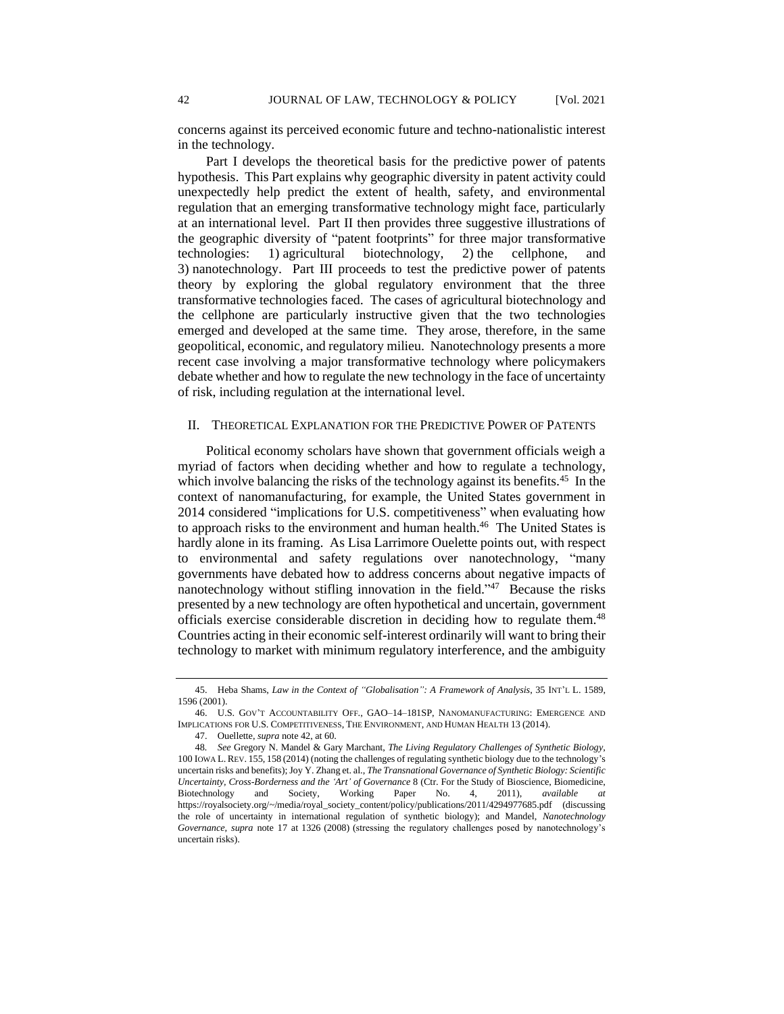concerns against its perceived economic future and techno-nationalistic interest in the technology.

Part I develops the theoretical basis for the predictive power of patents hypothesis. This Part explains why geographic diversity in patent activity could unexpectedly help predict the extent of health, safety, and environmental regulation that an emerging transformative technology might face, particularly at an international level. Part II then provides three suggestive illustrations of the geographic diversity of "patent footprints" for three major transformative technologies: 1) agricultural biotechnology, 2) the cellphone, and 3) nanotechnology. Part III proceeds to test the predictive power of patents theory by exploring the global regulatory environment that the three transformative technologies faced. The cases of agricultural biotechnology and the cellphone are particularly instructive given that the two technologies emerged and developed at the same time. They arose, therefore, in the same geopolitical, economic, and regulatory milieu. Nanotechnology presents a more recent case involving a major transformative technology where policymakers debate whether and how to regulate the new technology in the face of uncertainty of risk, including regulation at the international level.

## II. THEORETICAL EXPLANATION FOR THE PREDICTIVE POWER OF PATENTS

Political economy scholars have shown that government officials weigh a myriad of factors when deciding whether and how to regulate a technology, which involve balancing the risks of the technology against its benefits.<sup>45</sup> In the context of nanomanufacturing, for example, the United States government in 2014 considered "implications for U.S. competitiveness" when evaluating how to approach risks to the environment and human health.<sup>46</sup> The United States is hardly alone in its framing. As Lisa Larrimore Ouelette points out, with respect to environmental and safety regulations over nanotechnology, "many governments have debated how to address concerns about negative impacts of nanotechnology without stifling innovation in the field."<sup>47</sup> Because the risks presented by a new technology are often hypothetical and uncertain, government officials exercise considerable discretion in deciding how to regulate them.<sup>48</sup> Countries acting in their economic self-interest ordinarily will want to bring their technology to market with minimum regulatory interference, and the ambiguity

<sup>45.</sup> Heba Shams, *Law in the Context of "Globalisation": A Framework of Analysis*, 35 INT'L L. 1589, 1596 (2001).

<sup>46.</sup> U.S. GOV'T ACCOUNTABILITY OFF., GAO–14–181SP, NANOMANUFACTURING: EMERGENCE AND IMPLICATIONS FOR U.S. COMPETITIVENESS, THE ENVIRONMENT, AND HUMAN HEALTH 13 (2014).

<sup>47.</sup> Ouellette, *supra* note 42, at 60.

<sup>48</sup>*. See* Gregory N. Mandel & Gary Marchant, *The Living Regulatory Challenges of Synthetic Biology*, 100 IOWA L.REV. 155, 158 (2014) (noting the challenges of regulating synthetic biology due to the technology's uncertain risks and benefits); Joy Y. Zhang et. al., *The Transnational Governance of Synthetic Biology: Scientific Uncertainty, Cross-Borderness and the 'Art' of Governance* 8 (Ctr. For the Study of Bioscience, Biomedicine, Biotechnology and Society, Working Paper No. 4, 2011), *available at* https://royalsociety.org/~/media/royal\_society\_content/policy/publications/2011/4294977685.pdf (discussing the role of uncertainty in international regulation of synthetic biology); and Mandel, *Nanotechnology Governance, supra* note 17 at 1326 (2008) (stressing the regulatory challenges posed by nanotechnology's uncertain risks).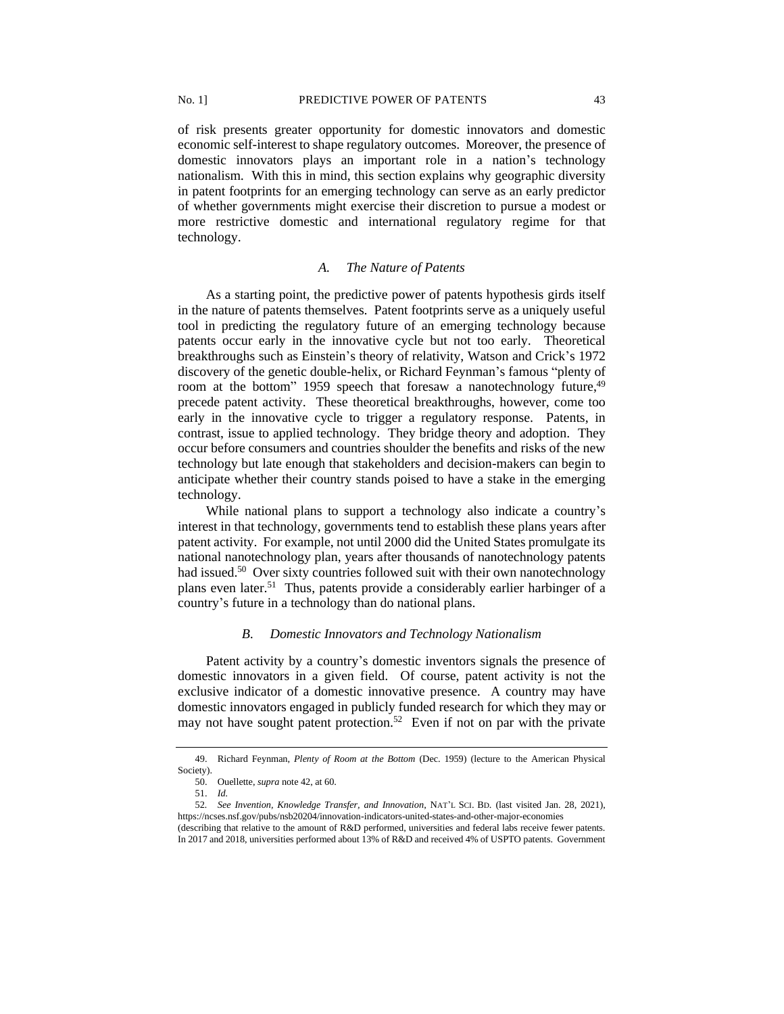of risk presents greater opportunity for domestic innovators and domestic economic self-interest to shape regulatory outcomes. Moreover, the presence of domestic innovators plays an important role in a nation's technology nationalism. With this in mind, this section explains why geographic diversity in patent footprints for an emerging technology can serve as an early predictor of whether governments might exercise their discretion to pursue a modest or more restrictive domestic and international regulatory regime for that technology.

## *A. The Nature of Patents*

As a starting point, the predictive power of patents hypothesis girds itself in the nature of patents themselves. Patent footprints serve as a uniquely useful tool in predicting the regulatory future of an emerging technology because patents occur early in the innovative cycle but not too early. Theoretical breakthroughs such as Einstein's theory of relativity, Watson and Crick's 1972 discovery of the genetic double-helix, or Richard Feynman's famous "plenty of room at the bottom" 1959 speech that foresaw a nanotechnology future,<sup>49</sup> precede patent activity. These theoretical breakthroughs, however, come too early in the innovative cycle to trigger a regulatory response. Patents, in contrast, issue to applied technology. They bridge theory and adoption. They occur before consumers and countries shoulder the benefits and risks of the new technology but late enough that stakeholders and decision-makers can begin to anticipate whether their country stands poised to have a stake in the emerging technology.

While national plans to support a technology also indicate a country's interest in that technology, governments tend to establish these plans years after patent activity. For example, not until 2000 did the United States promulgate its national nanotechnology plan, years after thousands of nanotechnology patents had issued.<sup>50</sup> Over sixty countries followed suit with their own nanotechnology plans even later.<sup>51</sup> Thus, patents provide a considerably earlier harbinger of a country's future in a technology than do national plans.

## *B. Domestic Innovators and Technology Nationalism*

Patent activity by a country's domestic inventors signals the presence of domestic innovators in a given field. Of course, patent activity is not the exclusive indicator of a domestic innovative presence. A country may have domestic innovators engaged in publicly funded research for which they may or may not have sought patent protection.<sup>52</sup> Even if not on par with the private

<sup>49.</sup> Richard Feynman, *Plenty of Room at the Bottom* (Dec. 1959) (lecture to the American Physical Society).

<sup>50.</sup> Ouellette, *supra* note 42, at 60.

<sup>51.</sup> *Id.*

<sup>52</sup>*. See Invention, Knowledge Transfer, and Innovation*, NAT'L SCI. BD. (last visited Jan. 28, 2021), https://ncses.nsf.gov/pubs/nsb20204/innovation-indicators-united-states-and-other-major-economies

<sup>(</sup>describing that relative to the amount of R&D performed, universities and federal labs receive fewer patents. In 2017 and 2018, universities performed about 13% of R&D and received 4% of USPTO patents. Government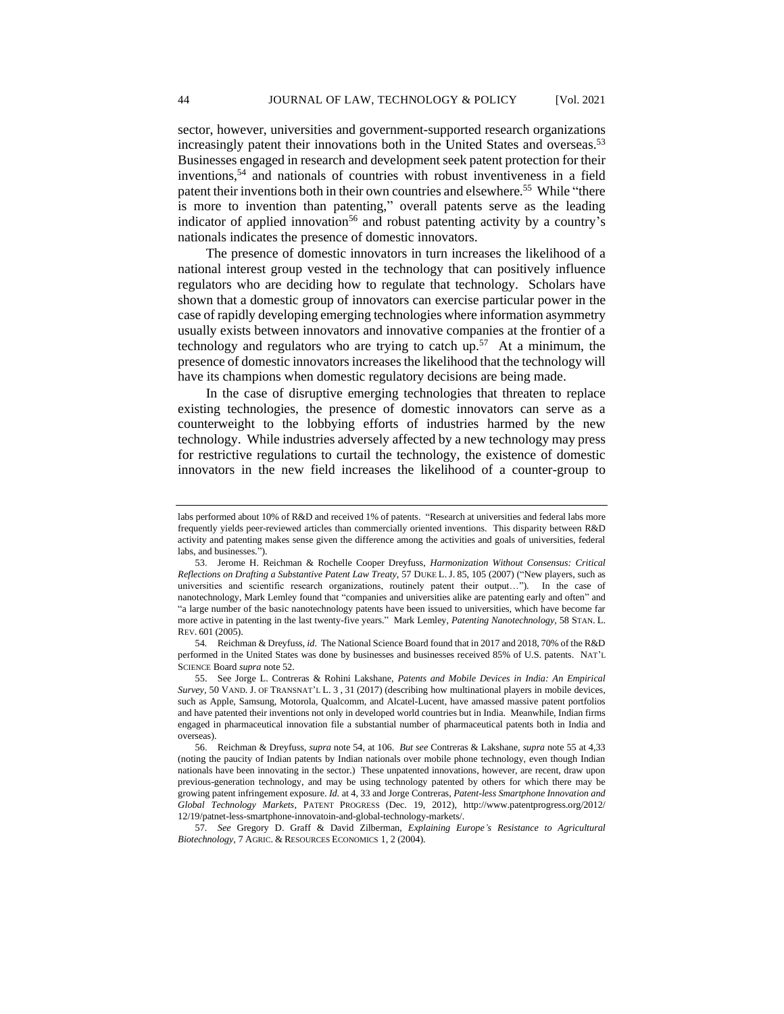sector, however, universities and government-supported research organizations increasingly patent their innovations both in the United States and overseas.<sup>53</sup> Businesses engaged in research and development seek patent protection for their inventions,<sup>54</sup> and nationals of countries with robust inventiveness in a field patent their inventions both in their own countries and elsewhere.<sup>55</sup> While "there is more to invention than patenting," overall patents serve as the leading indicator of applied innovation<sup>56</sup> and robust patenting activity by a country's nationals indicates the presence of domestic innovators.

The presence of domestic innovators in turn increases the likelihood of a national interest group vested in the technology that can positively influence regulators who are deciding how to regulate that technology. Scholars have shown that a domestic group of innovators can exercise particular power in the case of rapidly developing emerging technologies where information asymmetry usually exists between innovators and innovative companies at the frontier of a technology and regulators who are trying to catch  $up.57$  At a minimum, the presence of domestic innovators increases the likelihood that the technology will have its champions when domestic regulatory decisions are being made.

In the case of disruptive emerging technologies that threaten to replace existing technologies, the presence of domestic innovators can serve as a counterweight to the lobbying efforts of industries harmed by the new technology. While industries adversely affected by a new technology may press for restrictive regulations to curtail the technology, the existence of domestic innovators in the new field increases the likelihood of a counter-group to

54*.* Reichman & Dreyfuss, *id*. The National Science Board found that in 2017 and 2018, 70% of the R&D performed in the United States was done by businesses and businesses received 85% of U.S. patents. NAT'L SCIENCE Board *supra* note 52.

57*. See* Gregory D. Graff & David Zilberman, *Explaining Europe's Resistance to Agricultural Biotechnology,* 7 AGRIC. & RESOURCES ECONOMICS 1, 2 (2004).

labs performed about 10% of R&D and received 1% of patents. "Research at universities and federal labs more frequently yields peer-reviewed articles than commercially oriented inventions. This disparity between R&D activity and patenting makes sense given the difference among the activities and goals of universities, federal labs, and businesses.").

<sup>53.</sup> Jerome H. Reichman & Rochelle Cooper Dreyfuss, *Harmonization Without Consensus: Critical Reflections on Drafting a Substantive Patent Law Treaty,* 57 DUKE L.J. 85, 105 (2007) ("New players, such as universities and scientific research organizations, routinely patent their output…"). In the case of nanotechnology, Mark Lemley found that "companies and universities alike are patenting early and often" and "a large number of the basic nanotechnology patents have been issued to universities, which have become far more active in patenting in the last twenty-five years." Mark Lemley, *Patenting Nanotechnology,* 58 STAN. L. REV. 601 (2005).

<sup>55.</sup> See Jorge L. Contreras & Rohini Lakshane, *Patents and Mobile Devices in India: An Empirical Survey,* 50 VAND. J. OF TRANSNAT'L L. 3 , 31 (2017) (describing how multinational players in mobile devices, such as Apple, Samsung, Motorola, Qualcomm, and Alcatel-Lucent, have amassed massive patent portfolios and have patented their inventions not only in developed world countries but in India. Meanwhile, Indian firms engaged in pharmaceutical innovation file a substantial number of pharmaceutical patents both in India and overseas).

<sup>56.</sup> Reichman & Dreyfuss, *supra* note 54, at 106. *But see* Contreras & Lakshane, *supra* note 55 at 4,33 (noting the paucity of Indian patents by Indian nationals over mobile phone technology, even though Indian nationals have been innovating in the sector.) These unpatented innovations, however, are recent, draw upon previous-generation technology, and may be using technology patented by others for which there may be growing patent infringement exposure. *Id.* at 4, 33 and Jorge Contreras, *Patent-less Smartphone Innovation and Global Technology Markets*, PATENT PROGRESS (Dec. 19, 2012), http://www.patentprogress.org/2012/ 12/19/patnet-less-smartphone-innovatoin-and-global-technology-markets/.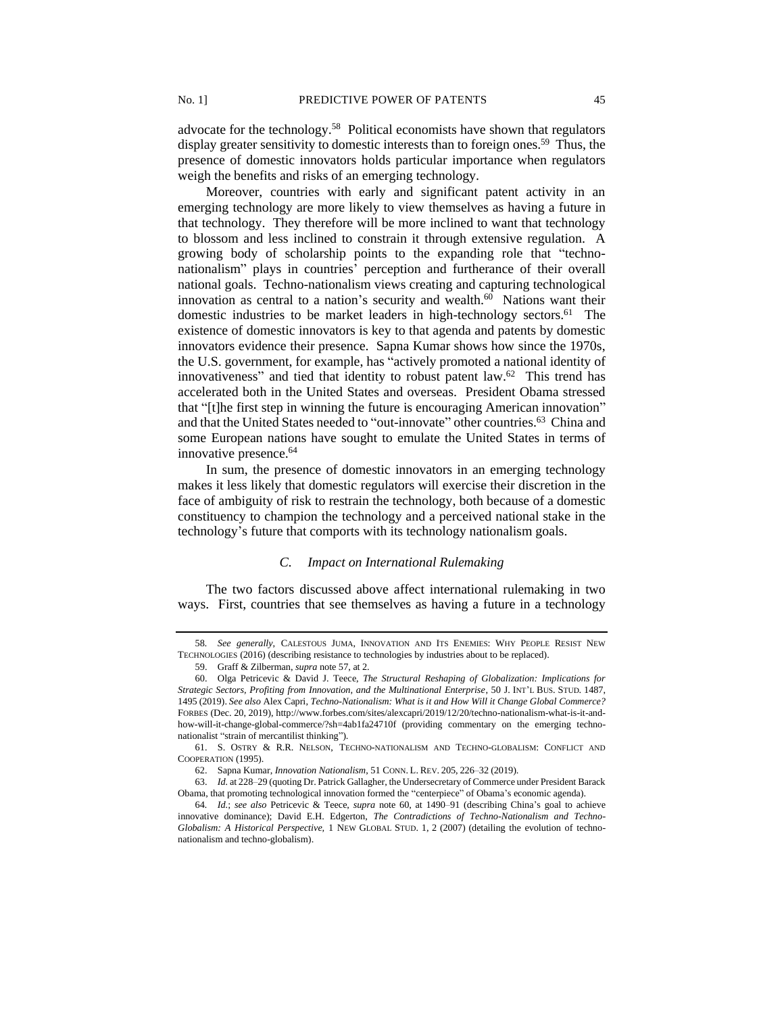advocate for the technology.<sup>58</sup> Political economists have shown that regulators display greater sensitivity to domestic interests than to foreign ones.<sup>59</sup> Thus, the presence of domestic innovators holds particular importance when regulators weigh the benefits and risks of an emerging technology.

Moreover, countries with early and significant patent activity in an emerging technology are more likely to view themselves as having a future in that technology. They therefore will be more inclined to want that technology to blossom and less inclined to constrain it through extensive regulation. A growing body of scholarship points to the expanding role that "technonationalism" plays in countries' perception and furtherance of their overall national goals. Techno-nationalism views creating and capturing technological innovation as central to a nation's security and wealth. $60$  Nations want their domestic industries to be market leaders in high-technology sectors.<sup>61</sup> The existence of domestic innovators is key to that agenda and patents by domestic innovators evidence their presence. Sapna Kumar shows how since the 1970s, the U.S. government, for example, has "actively promoted a national identity of innovativeness" and tied that identity to robust patent law.<sup>62</sup> This trend has accelerated both in the United States and overseas. President Obama stressed that "[t]he first step in winning the future is encouraging American innovation" and that the United States needed to "out-innovate" other countries.<sup>63</sup> China and some European nations have sought to emulate the United States in terms of innovative presence.<sup>64</sup>

In sum, the presence of domestic innovators in an emerging technology makes it less likely that domestic regulators will exercise their discretion in the face of ambiguity of risk to restrain the technology, both because of a domestic constituency to champion the technology and a perceived national stake in the technology's future that comports with its technology nationalism goals.

# *C. Impact on International Rulemaking*

The two factors discussed above affect international rulemaking in two ways. First, countries that see themselves as having a future in a technology

<sup>58</sup>*. See generally*, CALESTOUS JUMA, INNOVATION AND ITS ENEMIES: WHY PEOPLE RESIST NEW TECHNOLOGIES (2016) (describing resistance to technologies by industries about to be replaced).

<sup>59.</sup> Graff & Zilberman, *supra* note 57, at 2.

<sup>60.</sup> Olga Petricevic & David J. Teece, *The Structural Reshaping of Globalization: Implications for Strategic Sectors, Profiting from Innovation, and the Multinational Enterprise*, 50 J. INT'L BUS. STUD. 1487, 1495 (2019). *See also* Alex Capri, *Techno-Nationalism: What is it and How Will it Change Global Commerce?* FORBES (Dec. 20, 2019), http://www.forbes.com/sites/alexcapri/2019/12/20/techno-nationalism-what-is-it-andhow-will-it-change-global-commerce/?sh=4ab1fa24710f (providing commentary on the emerging technonationalist "strain of mercantilist thinking").

<sup>61.</sup> S. OSTRY & R.R. NELSON, TECHNO-NATIONALISM AND TECHNO-GLOBALISM: CONFLICT AND COOPERATION (1995).

<sup>62.</sup> Sapna Kumar, *Innovation Nationalism*, 51 CONN. L. REV. 205, 226–32 (2019).

<sup>63.</sup> *Id.* at 228–29 (quoting Dr. Patrick Gallagher, the Undersecretary of Commerce under President Barack Obama, that promoting technological innovation formed the "centerpiece" of Obama's economic agenda).

<sup>64</sup>*. Id.*; *see also* Petricevic & Teece, *supra* note 60, at 1490–91 (describing China's goal to achieve innovative dominance); David E.H. Edgerton, *The Contradictions of Techno-Nationalism and Techno-Globalism: A Historical Perspective,* 1 NEW GLOBAL STUD. 1, 2 (2007) (detailing the evolution of technonationalism and techno-globalism).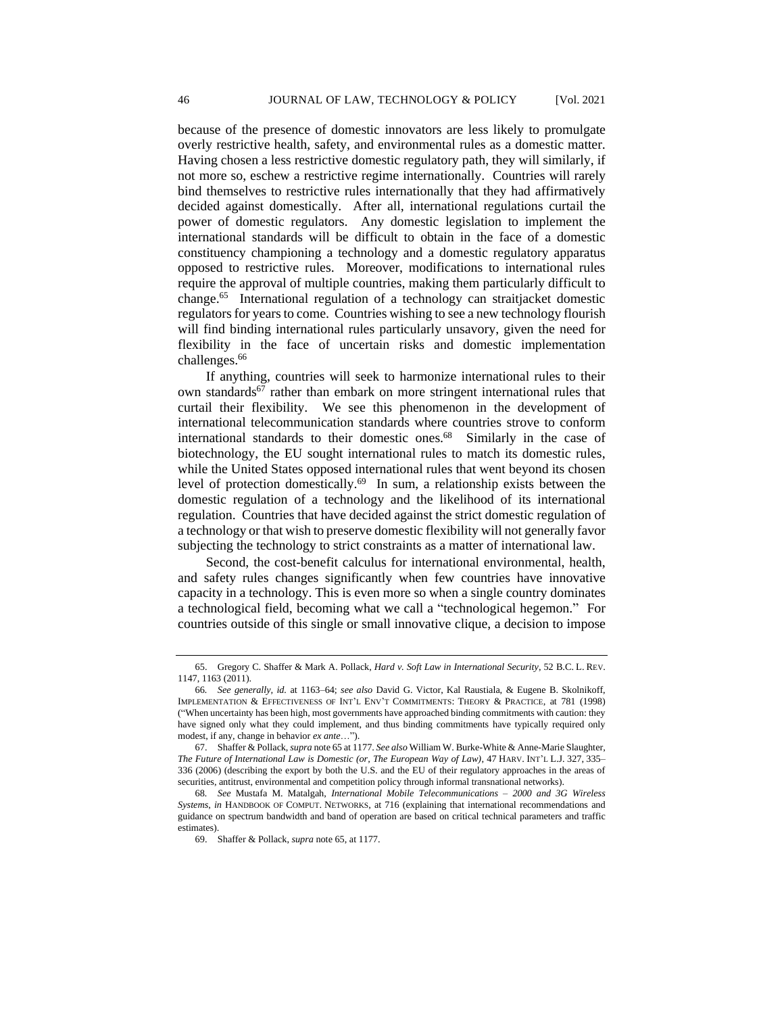because of the presence of domestic innovators are less likely to promulgate overly restrictive health, safety, and environmental rules as a domestic matter. Having chosen a less restrictive domestic regulatory path, they will similarly, if not more so, eschew a restrictive regime internationally. Countries will rarely bind themselves to restrictive rules internationally that they had affirmatively decided against domestically. After all, international regulations curtail the power of domestic regulators. Any domestic legislation to implement the international standards will be difficult to obtain in the face of a domestic constituency championing a technology and a domestic regulatory apparatus opposed to restrictive rules. Moreover, modifications to international rules require the approval of multiple countries, making them particularly difficult to change.<sup>65</sup> International regulation of a technology can straitjacket domestic regulators for years to come. Countries wishing to see a new technology flourish will find binding international rules particularly unsavory, given the need for flexibility in the face of uncertain risks and domestic implementation challenges.<sup>66</sup>

If anything, countries will seek to harmonize international rules to their own standards<sup>67</sup> rather than embark on more stringent international rules that curtail their flexibility. We see this phenomenon in the development of international telecommunication standards where countries strove to conform international standards to their domestic ones.<sup>68</sup> Similarly in the case of biotechnology, the EU sought international rules to match its domestic rules, while the United States opposed international rules that went beyond its chosen level of protection domestically. 69 In sum, a relationship exists between the domestic regulation of a technology and the likelihood of its international regulation. Countries that have decided against the strict domestic regulation of a technology or that wish to preserve domestic flexibility will not generally favor subjecting the technology to strict constraints as a matter of international law.

Second, the cost-benefit calculus for international environmental, health, and safety rules changes significantly when few countries have innovative capacity in a technology. This is even more so when a single country dominates a technological field, becoming what we call a "technological hegemon." For countries outside of this single or small innovative clique, a decision to impose

<sup>65.</sup> Gregory C. Shaffer & Mark A. Pollack, *Hard v. Soft Law in International Security*, 52 B.C. L. REV. 1147, 1163 (2011).

<sup>66</sup>*. See generally, id.* at 1163–64; *see also* David G. Victor, Kal Raustiala, & Eugene B. Skolnikoff, IMPLEMENTATION & EFFECTIVENESS OF INT'L ENV'T COMMITMENTS: THEORY & PRACTICE, at 781 (1998) ("When uncertainty has been high, most governments have approached binding commitments with caution: they have signed only what they could implement, and thus binding commitments have typically required only modest, if any, change in behavior *ex ante*…").

<sup>67.</sup> Shaffer & Pollack, *supra* note 65 at 1177. *See also* William W. Burke-White & Anne-Marie Slaughter, *The Future of International Law is Domestic (or, The European Way of Law)*, 47 HARV. INT'L L.J. 327, 335– 336 (2006) (describing the export by both the U.S. and the EU of their regulatory approaches in the areas of securities, antitrust, environmental and competition policy through informal transnational networks).

<sup>68</sup>*. See* Mustafa M. Matalgah, *International Mobile Telecommunications – 2000 and 3G Wireless Systems*, *in* HANDBOOK OF COMPUT. NETWORKS, at 716 (explaining that international recommendations and guidance on spectrum bandwidth and band of operation are based on critical technical parameters and traffic estimates).

<sup>69.</sup> Shaffer & Pollack, *supra* note 65, at 1177.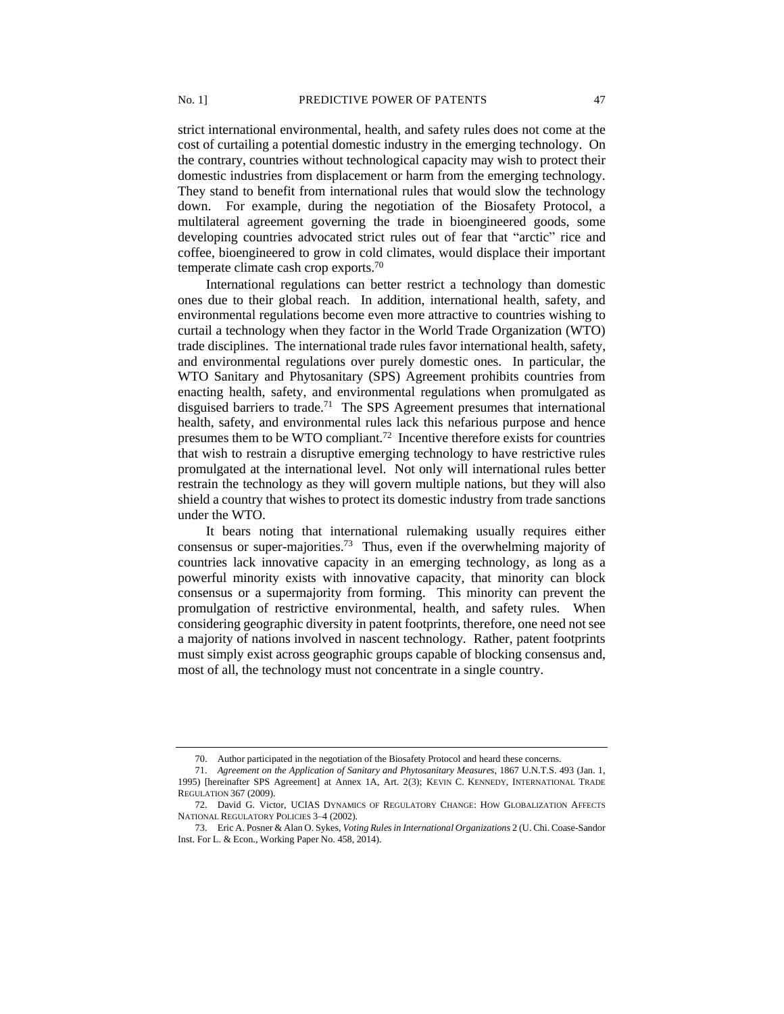strict international environmental, health, and safety rules does not come at the cost of curtailing a potential domestic industry in the emerging technology. On the contrary, countries without technological capacity may wish to protect their domestic industries from displacement or harm from the emerging technology. They stand to benefit from international rules that would slow the technology down. For example, during the negotiation of the Biosafety Protocol, a multilateral agreement governing the trade in bioengineered goods, some developing countries advocated strict rules out of fear that "arctic" rice and coffee, bioengineered to grow in cold climates, would displace their important temperate climate cash crop exports.<sup>70</sup>

International regulations can better restrict a technology than domestic ones due to their global reach. In addition, international health, safety, and environmental regulations become even more attractive to countries wishing to curtail a technology when they factor in the World Trade Organization (WTO) trade disciplines. The international trade rules favor international health, safety, and environmental regulations over purely domestic ones. In particular, the WTO Sanitary and Phytosanitary (SPS) Agreement prohibits countries from enacting health, safety, and environmental regulations when promulgated as disguised barriers to trade.<sup>71</sup> The SPS Agreement presumes that international health, safety, and environmental rules lack this nefarious purpose and hence presumes them to be WTO compliant.<sup>72</sup> Incentive therefore exists for countries that wish to restrain a disruptive emerging technology to have restrictive rules promulgated at the international level. Not only will international rules better restrain the technology as they will govern multiple nations, but they will also shield a country that wishes to protect its domestic industry from trade sanctions under the WTO.

It bears noting that international rulemaking usually requires either consensus or super-majorities.<sup>73</sup> Thus, even if the overwhelming majority of countries lack innovative capacity in an emerging technology, as long as a powerful minority exists with innovative capacity, that minority can block consensus or a supermajority from forming. This minority can prevent the promulgation of restrictive environmental, health, and safety rules. When considering geographic diversity in patent footprints, therefore, one need not see a majority of nations involved in nascent technology. Rather, patent footprints must simply exist across geographic groups capable of blocking consensus and, most of all, the technology must not concentrate in a single country.

<sup>70.</sup> Author participated in the negotiation of the Biosafety Protocol and heard these concerns.

<sup>71.</sup> *Agreement on the Application of Sanitary and Phytosanitary Measures*, 1867 U.N.T.S. 493 (Jan. 1, 1995) [hereinafter SPS Agreement] at Annex 1A, Art. 2(3); KEVIN C. KENNEDY, INTERNATIONAL TRADE REGULATION 367 (2009).

<sup>72.</sup> David G. Victor, UCIAS DYNAMICS OF REGULATORY CHANGE: HOW GLOBALIZATION AFFECTS NATIONAL REGULATORY POLICIES 3–4 (2002).

<sup>73.</sup> Eric A. Posner & Alan O. Sykes, *Voting Rules in International Organizations* 2 (U. Chi. Coase-Sandor Inst. For L. & Econ., Working Paper No. 458, 2014).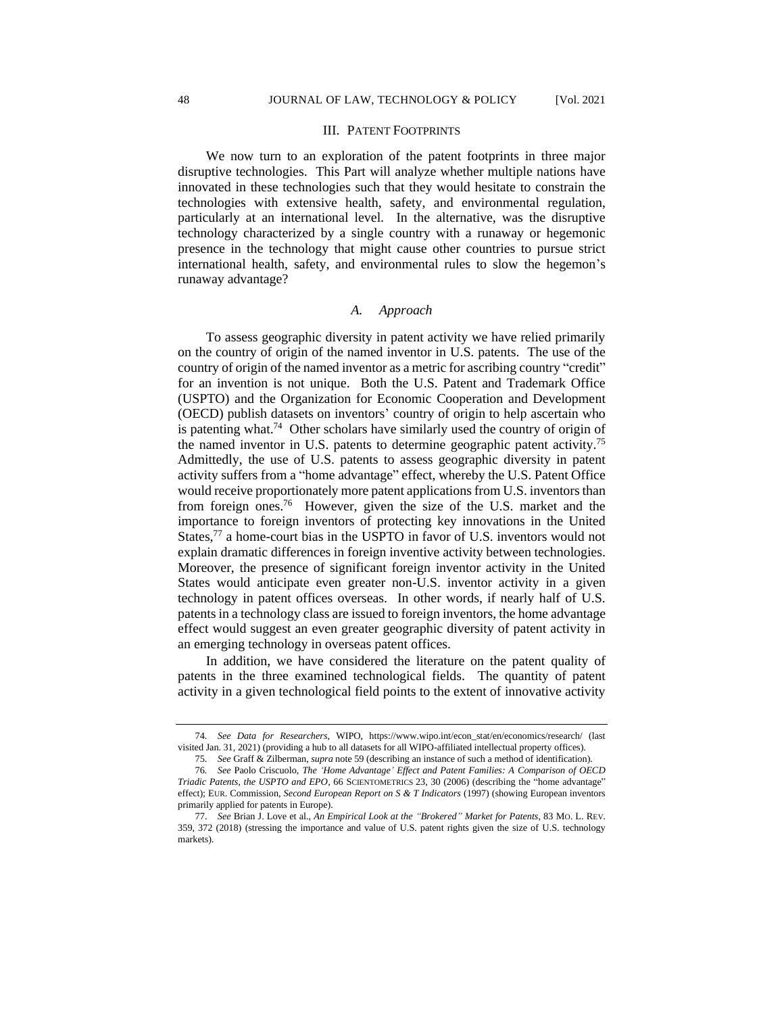#### III. PATENT FOOTPRINTS

We now turn to an exploration of the patent footprints in three major disruptive technologies. This Part will analyze whether multiple nations have innovated in these technologies such that they would hesitate to constrain the technologies with extensive health, safety, and environmental regulation, particularly at an international level. In the alternative, was the disruptive technology characterized by a single country with a runaway or hegemonic presence in the technology that might cause other countries to pursue strict international health, safety, and environmental rules to slow the hegemon's runaway advantage?

#### *A. Approach*

To assess geographic diversity in patent activity we have relied primarily on the country of origin of the named inventor in U.S. patents. The use of the country of origin of the named inventor as a metric for ascribing country "credit" for an invention is not unique. Both the U.S. Patent and Trademark Office (USPTO) and the Organization for Economic Cooperation and Development (OECD) publish datasets on inventors' country of origin to help ascertain who is patenting what.<sup>74</sup> Other scholars have similarly used the country of origin of the named inventor in U.S. patents to determine geographic patent activity.<sup>75</sup> Admittedly, the use of U.S. patents to assess geographic diversity in patent activity suffers from a "home advantage" effect, whereby the U.S. Patent Office would receive proportionately more patent applications from U.S. inventors than from foreign ones. <sup>76</sup> However, given the size of the U.S. market and the importance to foreign inventors of protecting key innovations in the United States,<sup>77</sup> a home-court bias in the USPTO in favor of U.S. inventors would not explain dramatic differences in foreign inventive activity between technologies. Moreover, the presence of significant foreign inventor activity in the United States would anticipate even greater non-U.S. inventor activity in a given technology in patent offices overseas. In other words, if nearly half of U.S. patents in a technology class are issued to foreign inventors, the home advantage effect would suggest an even greater geographic diversity of patent activity in an emerging technology in overseas patent offices.

In addition, we have considered the literature on the patent quality of patents in the three examined technological fields. The quantity of patent activity in a given technological field points to the extent of innovative activity

<sup>74</sup>*. See Data for Researchers*, WIPO, https://www.wipo.int/econ\_stat/en/economics/research/ (last visited Jan. 31, 2021) (providing a hub to all datasets for all WIPO-affiliated intellectual property offices).

<sup>75</sup>*. See* Graff & Zilberman, *supra* note 59 (describing an instance of such a method of identification).

<sup>76</sup>*. See* Paolo Criscuolo, *The 'Home Advantage' Effect and Patent Families: A Comparison of OECD Triadic Patents, the USPTO and EPO*, 66 SCIENTOMETRICS 23, 30 (2006) (describing the "home advantage" effect); EUR. Commission, *Second European Report on S & T Indicators* (1997) (showing European inventors primarily applied for patents in Europe).

<sup>77.</sup> *See* Brian J. Love et al., *An Empirical Look at the "Brokered" Market for Patents*, 83 MO. L. REV. 359, 372 (2018) (stressing the importance and value of U.S. patent rights given the size of U.S. technology markets).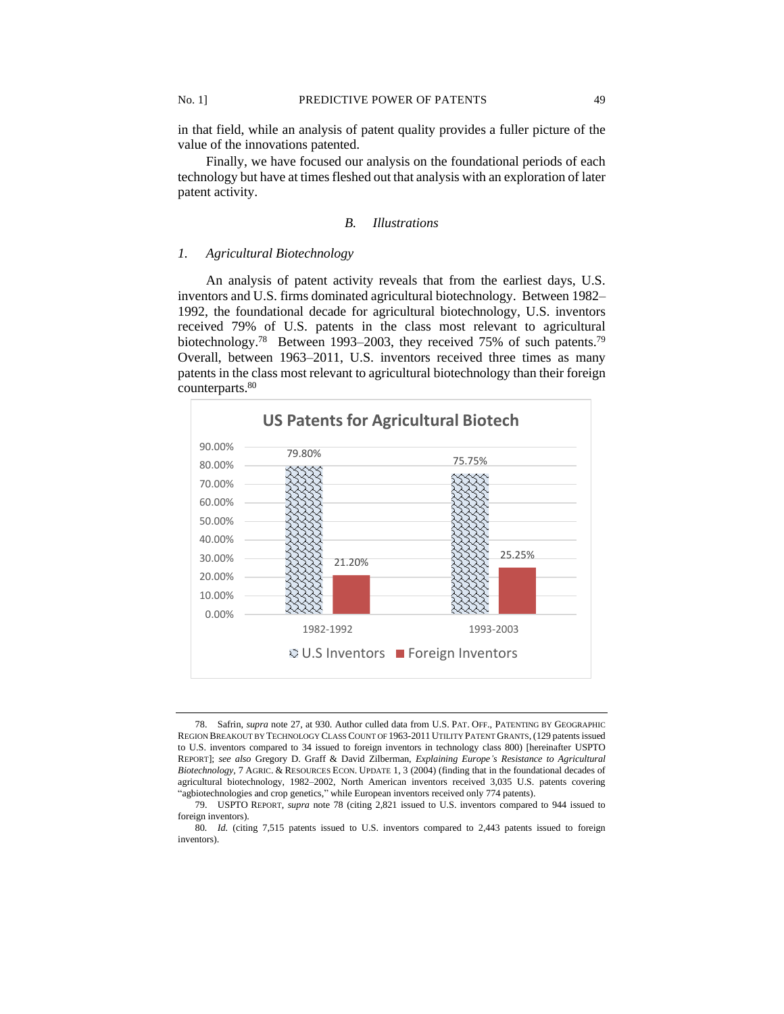in that field, while an analysis of patent quality provides a fuller picture of the value of the innovations patented.

Finally, we have focused our analysis on the foundational periods of each technology but have at times fleshed out that analysis with an exploration of later patent activity.

#### *B. Illustrations*

## *1. Agricultural Biotechnology*

An analysis of patent activity reveals that from the earliest days, U.S. inventors and U.S. firms dominated agricultural biotechnology. Between 1982– 1992, the foundational decade for agricultural biotechnology, U.S. inventors received 79% of U.S. patents in the class most relevant to agricultural biotechnology.<sup>78</sup> Between 1993–2003, they received 75% of such patents.<sup>79</sup> Overall, between 1963–2011, U.S. inventors received three times as many patents in the class most relevant to agricultural biotechnology than their foreign counterparts.<sup>80</sup>



<sup>78.</sup> Safrin, *supra* note 27, at 930. Author culled data from U.S. PAT. OFF., PATENTING BY GEOGRAPHIC REGION BREAKOUT BY TECHNOLOGY CLASS COUNT OF 1963-2011 UTILITY PATENT GRANTS, (129 patents issued to U.S. inventors compared to 34 issued to foreign inventors in technology class 800) [hereinafter USPTO REPORT]; *see also* Gregory D. Graff & David Zilberman, *Explaining Europe's Resistance to Agricultural Biotechnology,* 7 AGRIC. & RESOURCES ECON. UPDATE 1, 3 (2004) (finding that in the foundational decades of agricultural biotechnology, 1982–2002, North American inventors received 3,035 U.S. patents covering "agbiotechnologies and crop genetics," while European inventors received only 774 patents).

<sup>79.</sup> USPTO REPORT, *supra* note 78 (citing 2,821 issued to U.S. inventors compared to 944 issued to foreign inventors).

<sup>80</sup>*. Id.* (citing 7,515 patents issued to U.S. inventors compared to 2,443 patents issued to foreign inventors).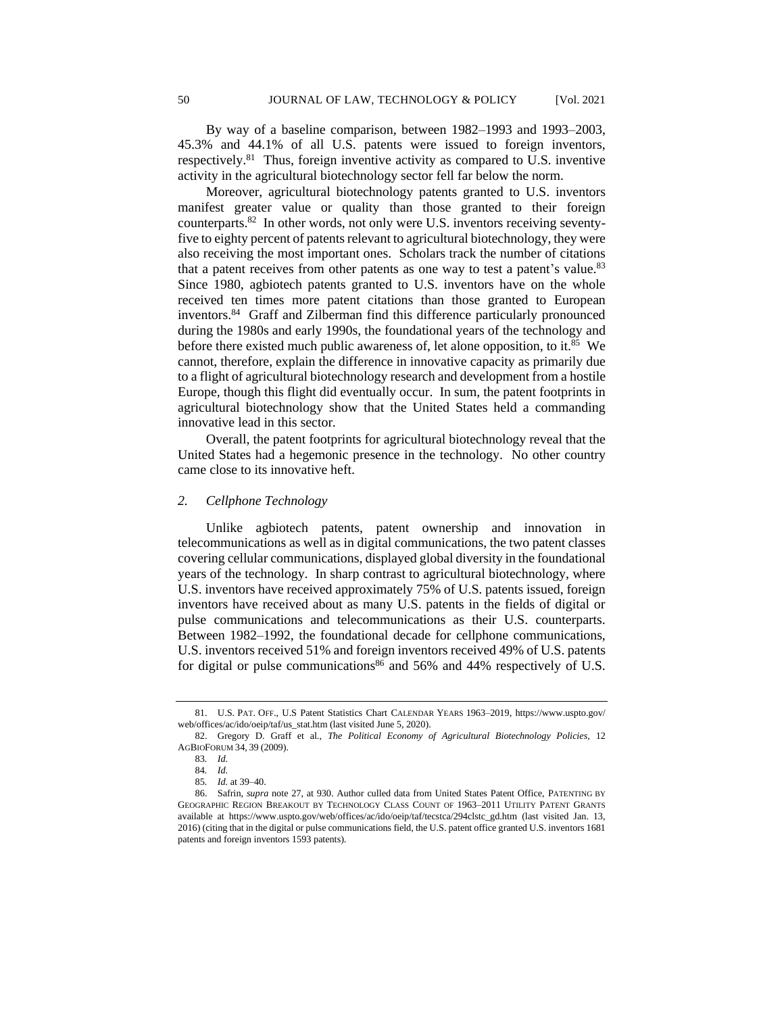By way of a baseline comparison, between 1982–1993 and 1993–2003, 45.3% and 44.1% of all U.S. patents were issued to foreign inventors, respectively.<sup>81</sup> Thus, foreign inventive activity as compared to U.S. inventive activity in the agricultural biotechnology sector fell far below the norm.

Moreover, agricultural biotechnology patents granted to U.S. inventors manifest greater value or quality than those granted to their foreign counterparts.<sup>82</sup> In other words, not only were U.S. inventors receiving seventyfive to eighty percent of patents relevant to agricultural biotechnology, they were also receiving the most important ones. Scholars track the number of citations that a patent receives from other patents as one way to test a patent's value.<sup>83</sup> Since 1980, agbiotech patents granted to U.S. inventors have on the whole received ten times more patent citations than those granted to European inventors.<sup>84</sup> Graff and Zilberman find this difference particularly pronounced during the 1980s and early 1990s, the foundational years of the technology and before there existed much public awareness of, let alone opposition, to it.<sup>85</sup> We cannot, therefore, explain the difference in innovative capacity as primarily due to a flight of agricultural biotechnology research and development from a hostile Europe, though this flight did eventually occur. In sum, the patent footprints in agricultural biotechnology show that the United States held a commanding innovative lead in this sector.

Overall, the patent footprints for agricultural biotechnology reveal that the United States had a hegemonic presence in the technology. No other country came close to its innovative heft.

# *2. Cellphone Technology*

Unlike agbiotech patents, patent ownership and innovation in telecommunications as well as in digital communications, the two patent classes covering cellular communications, displayed global diversity in the foundational years of the technology. In sharp contrast to agricultural biotechnology, where U.S. inventors have received approximately 75% of U.S. patents issued, foreign inventors have received about as many U.S. patents in the fields of digital or pulse communications and telecommunications as their U.S. counterparts. Between 1982–1992, the foundational decade for cellphone communications, U.S. inventors received 51% and foreign inventors received 49% of U.S. patents for digital or pulse communications<sup>86</sup> and 56% and 44% respectively of U.S.

<sup>81.</sup> U.S. PAT. OFF., U.S Patent Statistics Chart CALENDAR YEARS 1963–2019, https://www.uspto.gov/ web/offices/ac/ido/oeip/taf/us\_stat.htm (last visited June 5, 2020).

<sup>82.</sup> Gregory D. Graff et al., *The Political Economy of Agricultural Biotechnology Policies,* 12 AGBIOFORUM 34, 39 (2009).

<sup>83</sup>*. Id.*

<sup>84</sup>*. Id.*

<sup>85</sup>*. Id.* at 39–40.

<sup>86.</sup> Safrin, *supra* note 27, at 930. Author culled data from United States Patent Office, PATENTING BY GEOGRAPHIC REGION BREAKOUT BY TECHNOLOGY CLASS COUNT OF 1963–2011 UTILITY PATENT GRANTS available at https://www.uspto.gov/web/offices/ac/ido/oeip/taf/tecstca/294clstc\_gd.htm (last visited Jan. 13, 2016) (citing that in the digital or pulse communications field, the U.S. patent office granted U.S. inventors 1681 patents and foreign inventors 1593 patents).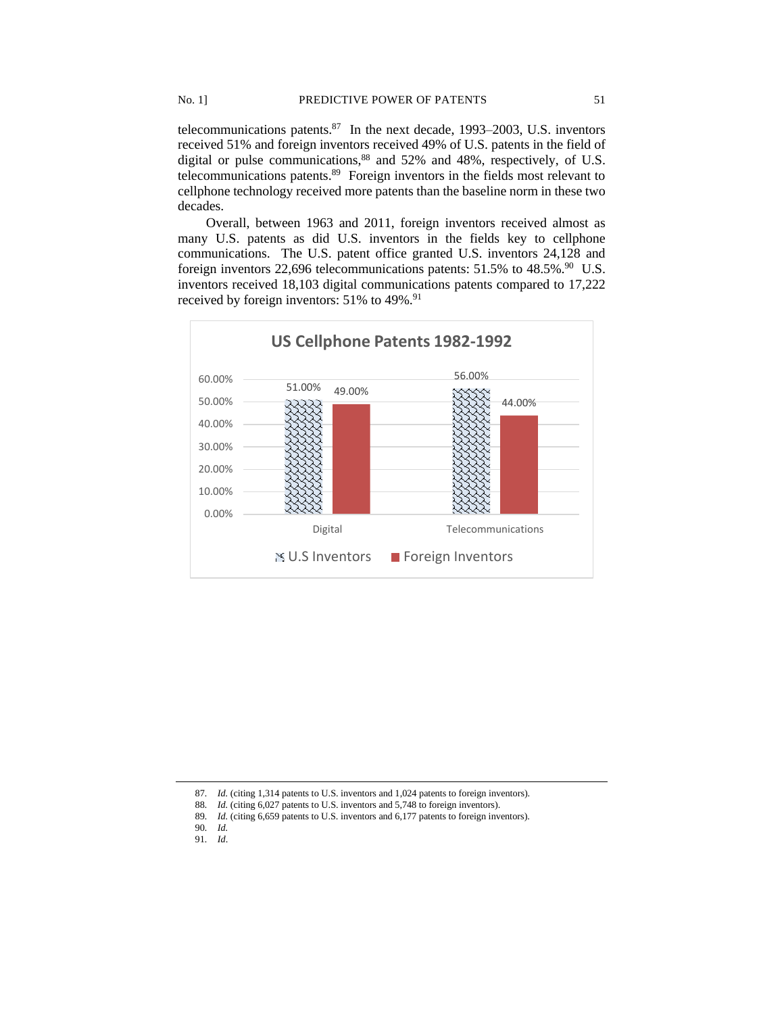telecommunications patents. $87$  In the next decade, 1993–2003, U.S. inventors received 51% and foreign inventors received 49% of U.S. patents in the field of digital or pulse communications, <sup>88</sup> and 52% and 48%, respectively, of U.S. telecommunications patents.<sup>89</sup> Foreign inventors in the fields most relevant to cellphone technology received more patents than the baseline norm in these two decades.

Overall, between 1963 and 2011, foreign inventors received almost as many U.S. patents as did U.S. inventors in the fields key to cellphone communications. The U.S. patent office granted U.S. inventors 24,128 and foreign inventors 22,696 telecommunications patents: 51.5% to 48.5%.<sup>90</sup> U.S. inventors received 18,103 digital communications patents compared to 17,222 received by foreign inventors: 51% to 49%.<sup>91</sup>



<sup>87</sup>*. Id.* (citing 1,314 patents to U.S. inventors and 1,024 patents to foreign inventors).

<sup>88</sup>*. Id.* (citing 6,027 patents to U.S. inventors and 5,748 to foreign inventors).

<sup>89</sup>*. Id.* (citing 6,659 patents to U.S. inventors and 6,177 patents to foreign inventors).

<sup>90</sup>*. Id.*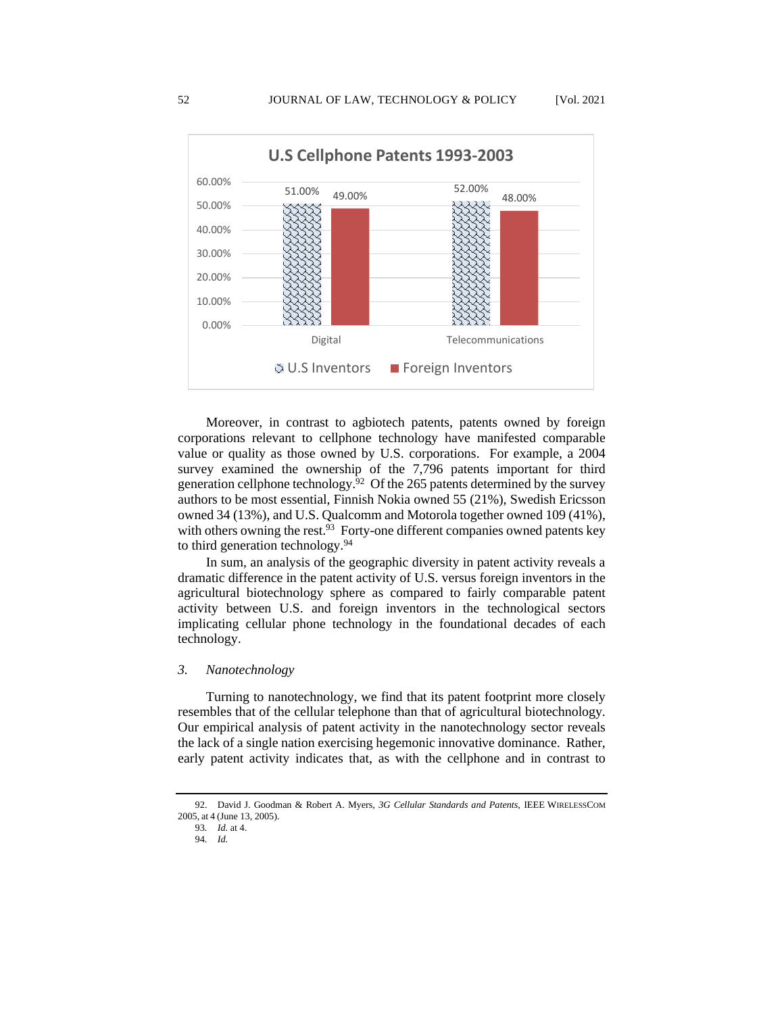

Moreover, in contrast to agbiotech patents, patents owned by foreign corporations relevant to cellphone technology have manifested comparable value or quality as those owned by U.S. corporations. For example, a 2004 survey examined the ownership of the 7,796 patents important for third generation cellphone technology.<sup>92</sup> Of the 265 patents determined by the survey authors to be most essential, Finnish Nokia owned 55 (21%), Swedish Ericsson owned 34 (13%), and U.S. Qualcomm and Motorola together owned 109 (41%), with others owning the rest.<sup>93</sup> Forty-one different companies owned patents key to third generation technology.<sup>94</sup>

In sum, an analysis of the geographic diversity in patent activity reveals a dramatic difference in the patent activity of U.S. versus foreign inventors in the agricultural biotechnology sphere as compared to fairly comparable patent activity between U.S. and foreign inventors in the technological sectors implicating cellular phone technology in the foundational decades of each technology.

## *3. Nanotechnology*

Turning to nanotechnology, we find that its patent footprint more closely resembles that of the cellular telephone than that of agricultural biotechnology. Our empirical analysis of patent activity in the nanotechnology sector reveals the lack of a single nation exercising hegemonic innovative dominance. Rather, early patent activity indicates that, as with the cellphone and in contrast to

<sup>92.</sup> David J. Goodman & Robert A. Myers, *3G Cellular Standards and Patents,* IEEE WIRELESSCOM 2005, at 4 (June 13, 2005).

<sup>93</sup>*. Id.* at 4.

<sup>94</sup>*. Id.*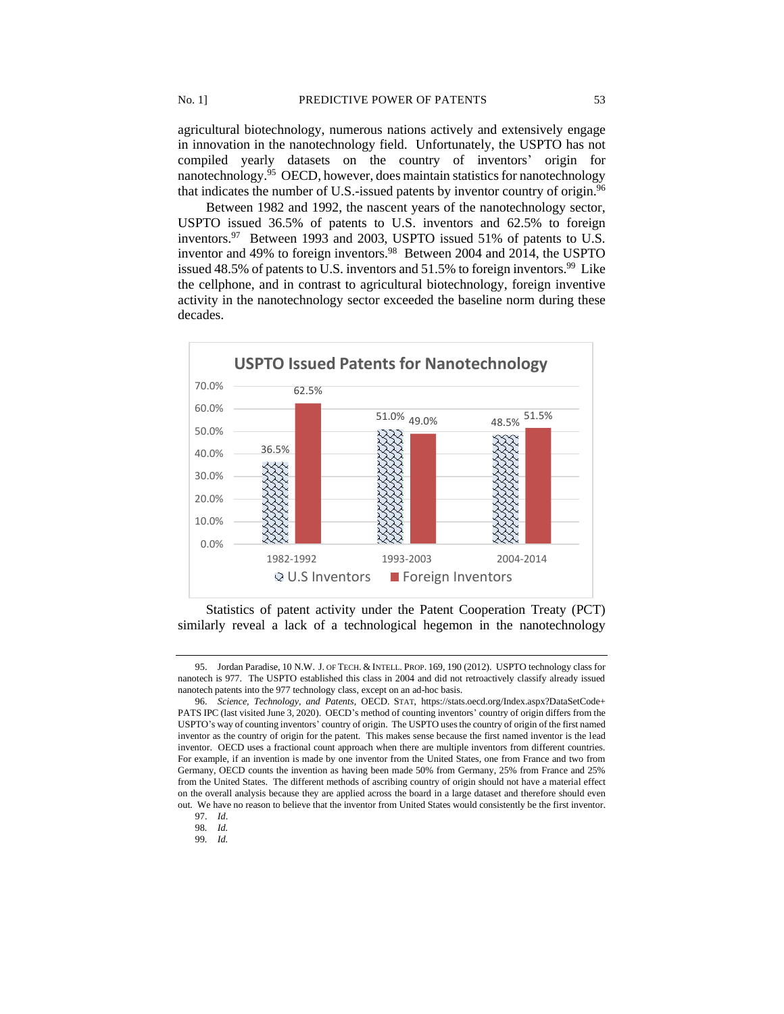agricultural biotechnology, numerous nations actively and extensively engage in innovation in the nanotechnology field. Unfortunately, the USPTO has not compiled yearly datasets on the country of inventors' origin for nanotechnology.<sup>95</sup> OECD, however, does maintain statistics for nanotechnology that indicates the number of U.S.-issued patents by inventor country of origin.<sup>96</sup>

Between 1982 and 1992, the nascent years of the nanotechnology sector, USPTO issued 36.5% of patents to U.S. inventors and 62.5% to foreign inventors.<sup>97</sup> Between 1993 and 2003, USPTO issued 51% of patents to U.S. inventor and 49% to foreign inventors.<sup>98</sup> Between 2004 and 2014, the USPTO issued 48.5% of patents to U.S. inventors and 51.5% to foreign inventors.<sup>99</sup> Like the cellphone, and in contrast to agricultural biotechnology, foreign inventive activity in the nanotechnology sector exceeded the baseline norm during these decades.



Statistics of patent activity under the Patent Cooperation Treaty (PCT) similarly reveal a lack of a technological hegemon in the nanotechnology

<sup>95.</sup> Jordan Paradise, 10 N.W. J. OF TECH. & INTELL. PROP. 169, 190 (2012). USPTO technology class for nanotech is 977. The USPTO established this class in 2004 and did not retroactively classify already issued nanotech patents into the 977 technology class, except on an ad-hoc basis.

<sup>96.</sup> *Science, Technology, and Patents*, OECD. STAT, https://stats.oecd.org/Index.aspx?DataSetCode+ PATS IPC (last visited June 3, 2020). OECD's method of counting inventors' country of origin differs from the USPTO's way of counting inventors' country of origin. The USPTO uses the country of origin of the first named inventor as the country of origin for the patent. This makes sense because the first named inventor is the lead inventor. OECD uses a fractional count approach when there are multiple inventors from different countries. For example, if an invention is made by one inventor from the United States, one from France and two from Germany, OECD counts the invention as having been made 50% from Germany, 25% from France and 25% from the United States. The different methods of ascribing country of origin should not have a material effect on the overall analysis because they are applied across the board in a large dataset and therefore should even out. We have no reason to believe that the inventor from United States would consistently be the first inventor.

<sup>97.</sup> *Id*.

<sup>98</sup>*. Id.*

<sup>99</sup>*. Id.*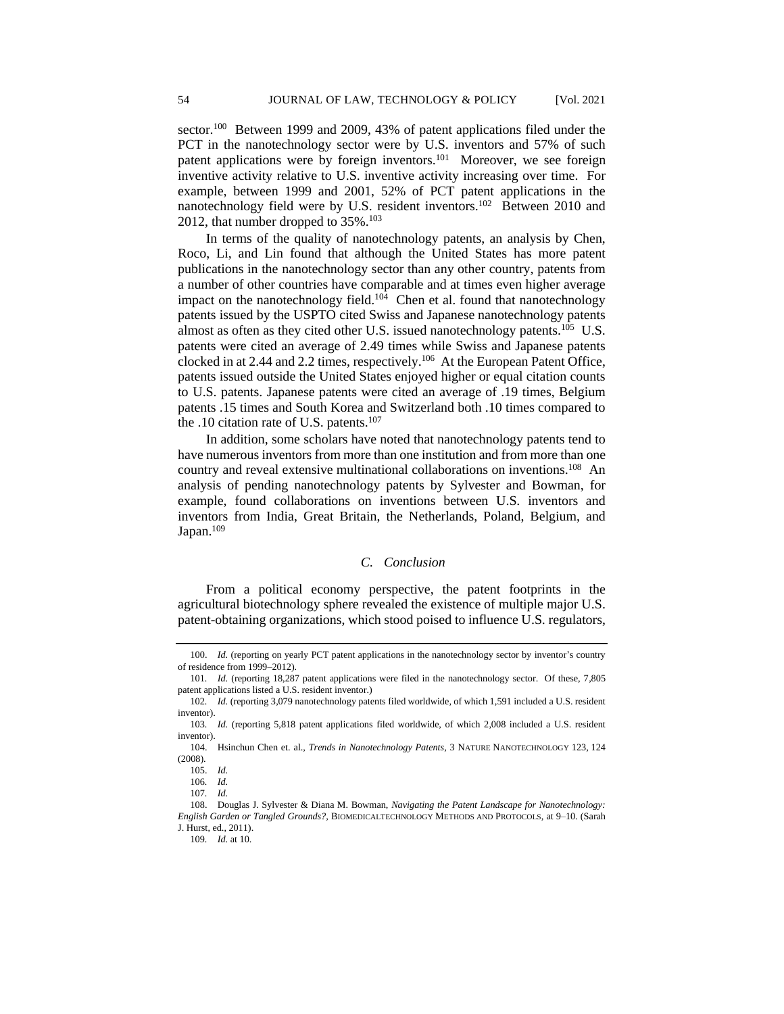sector.<sup>100</sup> Between 1999 and 2009, 43% of patent applications filed under the PCT in the nanotechnology sector were by U.S. inventors and 57% of such patent applications were by foreign inventors.<sup>101</sup> Moreover, we see foreign inventive activity relative to U.S. inventive activity increasing over time. For example, between 1999 and 2001, 52% of PCT patent applications in the nanotechnology field were by U.S. resident inventors.<sup>102</sup> Between 2010 and 2012, that number dropped to 35%.<sup>103</sup>

In terms of the quality of nanotechnology patents, an analysis by Chen, Roco, Li, and Lin found that although the United States has more patent publications in the nanotechnology sector than any other country, patents from a number of other countries have comparable and at times even higher average impact on the nanotechnology field.<sup>104</sup> Chen et al. found that nanotechnology patents issued by the USPTO cited Swiss and Japanese nanotechnology patents almost as often as they cited other U.S. issued nanotechnology patents.<sup>105</sup> U.S. patents were cited an average of 2.49 times while Swiss and Japanese patents clocked in at 2.44 and 2.2 times, respectively.<sup>106</sup> At the European Patent Office, patents issued outside the United States enjoyed higher or equal citation counts to U.S. patents. Japanese patents were cited an average of .19 times, Belgium patents .15 times and South Korea and Switzerland both .10 times compared to the .10 citation rate of U.S. patents.<sup>107</sup>

In addition, some scholars have noted that nanotechnology patents tend to have numerous inventors from more than one institution and from more than one country and reveal extensive multinational collaborations on inventions.<sup>108</sup> An analysis of pending nanotechnology patents by Sylvester and Bowman, for example, found collaborations on inventions between U.S. inventors and inventors from India, Great Britain, the Netherlands, Poland, Belgium, and Japan.<sup>109</sup>

# *C. Conclusion*

From a political economy perspective, the patent footprints in the agricultural biotechnology sphere revealed the existence of multiple major U.S. patent-obtaining organizations, which stood poised to influence U.S. regulators,

<sup>100.</sup> *Id.* (reporting on yearly PCT patent applications in the nanotechnology sector by inventor's country of residence from 1999–2012).

<sup>101</sup>*. Id.* (reporting 18,287 patent applications were filed in the nanotechnology sector. Of these, 7,805 patent applications listed a U.S. resident inventor.)

<sup>102</sup>*. Id.* (reporting 3,079 nanotechnology patents filed worldwide, of which 1,591 included a U.S. resident inventor).

<sup>103</sup>*. Id.* (reporting 5,818 patent applications filed worldwide, of which 2,008 included a U.S. resident inventor).

<sup>104.</sup> Hsinchun Chen et. al., *Trends in Nanotechnology Patents*, 3 NATURE NANOTECHNOLOGY 123, 124 (2008).

<sup>105.</sup> *Id.*

<sup>106</sup>*. Id.* 107*. Id.*

<sup>108.</sup> Douglas J. Sylvester & Diana M. Bowman, *Navigating the Patent Landscape for Nanotechnology: English Garden or Tangled Grounds?,* BIOMEDICALTECHNOLOGY METHODS AND PROTOCOLS, at 9–10. (Sarah J. Hurst, ed., 2011).

<sup>109</sup>*. Id.* at 10.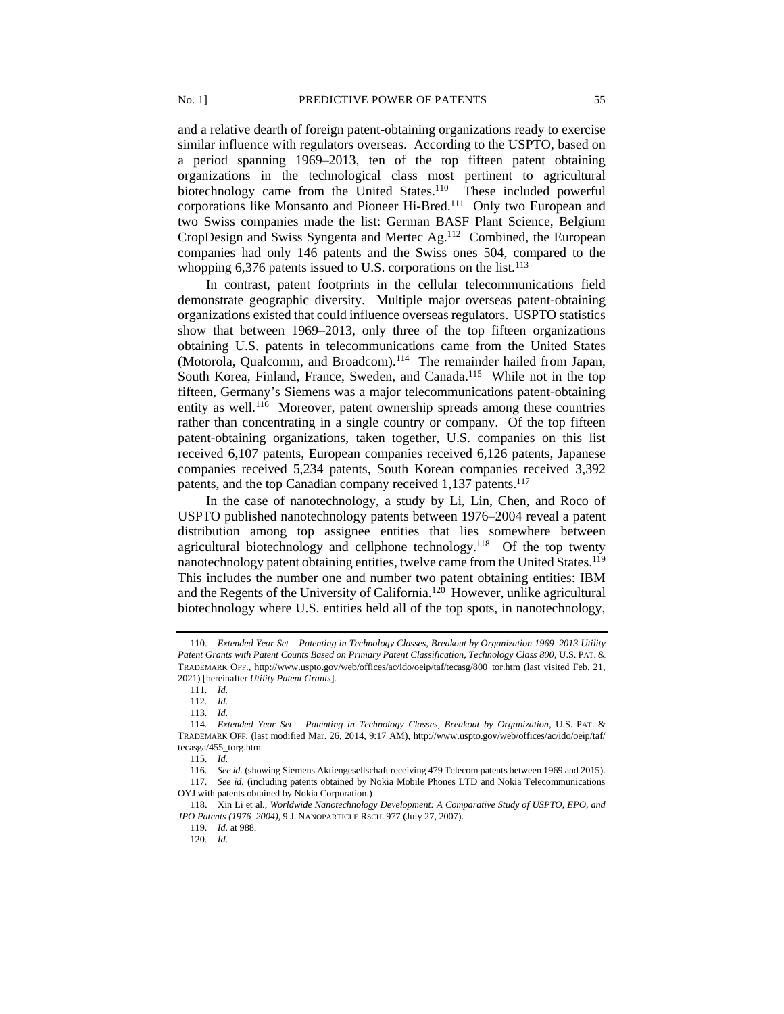and a relative dearth of foreign patent-obtaining organizations ready to exercise similar influence with regulators overseas. According to the USPTO, based on a period spanning 1969–2013, ten of the top fifteen patent obtaining organizations in the technological class most pertinent to agricultural biotechnology came from the United States.<sup>110</sup> These included powerful corporations like Monsanto and Pioneer Hi-Bred.<sup>111</sup> Only two European and two Swiss companies made the list: German BASF Plant Science, Belgium CropDesign and Swiss Syngenta and Mertec Ag.<sup>112</sup> Combined, the European companies had only 146 patents and the Swiss ones 504, compared to the whopping 6,376 patents issued to U.S. corporations on the list.<sup>113</sup>

In contrast, patent footprints in the cellular telecommunications field demonstrate geographic diversity. Multiple major overseas patent-obtaining organizations existed that could influence overseas regulators. USPTO statistics show that between 1969–2013, only three of the top fifteen organizations obtaining U.S. patents in telecommunications came from the United States (Motorola, Qualcomm, and Broadcom).<sup>114</sup> The remainder hailed from Japan, South Korea, Finland, France, Sweden, and Canada.<sup>115</sup> While not in the top fifteen, Germany's Siemens was a major telecommunications patent-obtaining entity as well.<sup>116</sup> Moreover, patent ownership spreads among these countries rather than concentrating in a single country or company. Of the top fifteen patent-obtaining organizations, taken together, U.S. companies on this list received 6,107 patents, European companies received 6,126 patents, Japanese companies received 5,234 patents, South Korean companies received 3,392 patents, and the top Canadian company received 1,137 patents.<sup>117</sup>

In the case of nanotechnology, a study by Li, Lin, Chen, and Roco of USPTO published nanotechnology patents between 1976–2004 reveal a patent distribution among top assignee entities that lies somewhere between agricultural biotechnology and cellphone technology.<sup>118</sup> Of the top twenty nanotechnology patent obtaining entities, twelve came from the United States.<sup>119</sup> This includes the number one and number two patent obtaining entities: IBM and the Regents of the University of California.<sup>120</sup> However, unlike agricultural biotechnology where U.S. entities held all of the top spots, in nanotechnology,

<sup>110.</sup> *Extended Year Set – Patenting in Technology Classes, Breakout by Organization 1969–2013 Utility Patent Grants with Patent Counts Based on Primary Patent Classification, Technology Class 800*, U.S. PAT. & TRADEMARK OFF., http://www.uspto.gov/web/offices/ac/ido/oeip/taf/tecasg/800\_tor.htm (last visited Feb. 21, 2021) [hereinafter *Utility Patent Grants*].

<sup>111</sup>*. Id.*

<sup>112</sup>*. Id.*

<sup>113</sup>*. Id.*

<sup>114</sup>*. Extended Year Set – Patenting in Technology Classes, Breakout by Organization*, U.S. PAT. & TRADEMARK OFF. (last modified Mar. 26, 2014, 9:17 AM), http://www.uspto.gov/web/offices/ac/ido/oeip/taf/ tecasga/455\_torg.htm.

<sup>115</sup>*. Id.*

<sup>116</sup>*. See id.* (showing Siemens Aktiengesellschaft receiving 479 Telecom patents between 1969 and 2015).

<sup>117</sup>*. See id.* (including patents obtained by Nokia Mobile Phones LTD and Nokia Telecommunications OYJ with patents obtained by Nokia Corporation.)

<sup>118.</sup> Xin Li et al., *Worldwide Nanotechnology Development: A Comparative Study of USPTO, EPO, and JPO Patents (1976–2004)*, 9 J. NANOPARTICLE RSCH. 977 (July 27, 2007).

<sup>119</sup>*. Id.* at 988.

<sup>120</sup>*. Id.*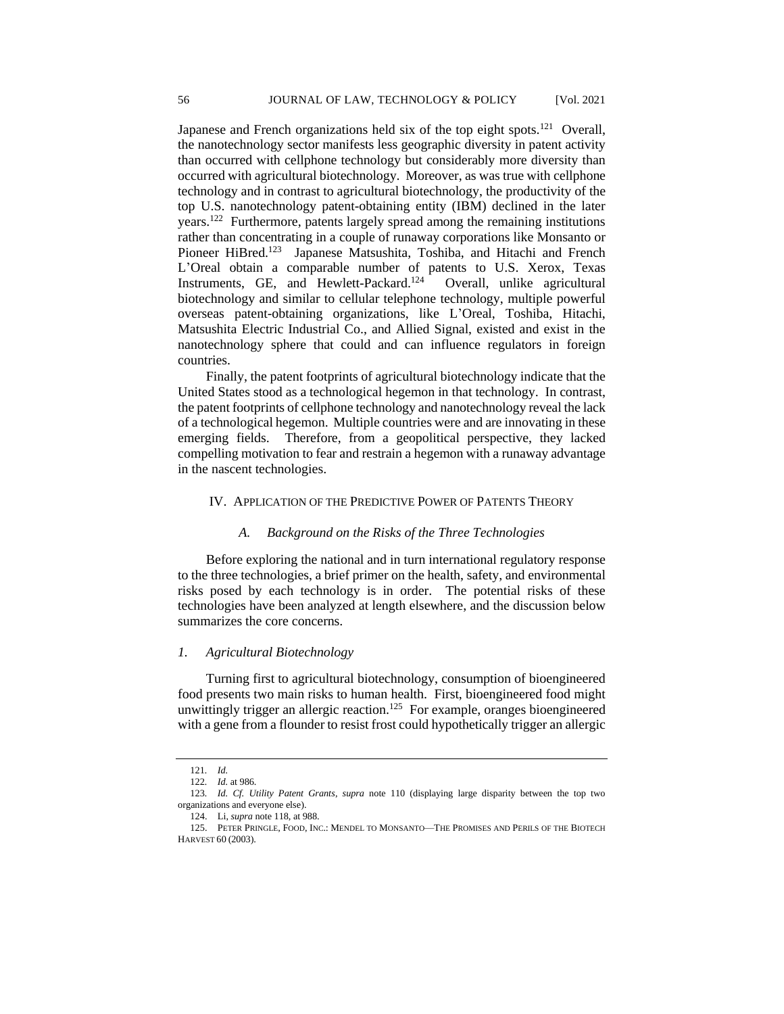Japanese and French organizations held six of the top eight spots.<sup>121</sup> Overall, the nanotechnology sector manifests less geographic diversity in patent activity than occurred with cellphone technology but considerably more diversity than occurred with agricultural biotechnology. Moreover, as was true with cellphone technology and in contrast to agricultural biotechnology, the productivity of the top U.S. nanotechnology patent-obtaining entity (IBM) declined in the later years.<sup>122</sup> Furthermore, patents largely spread among the remaining institutions rather than concentrating in a couple of runaway corporations like Monsanto or Pioneer HiBred.<sup>123</sup> Japanese Matsushita, Toshiba, and Hitachi and French L'Oreal obtain a comparable number of patents to U.S. Xerox, Texas Instruments, GE, and Hewlett-Packard.<sup>124</sup> Overall, unlike agricultural biotechnology and similar to cellular telephone technology, multiple powerful overseas patent-obtaining organizations, like L'Oreal, Toshiba, Hitachi, Matsushita Electric Industrial Co., and Allied Signal, existed and exist in the nanotechnology sphere that could and can influence regulators in foreign countries.

Finally, the patent footprints of agricultural biotechnology indicate that the United States stood as a technological hegemon in that technology. In contrast, the patent footprints of cellphone technology and nanotechnology reveal the lack of a technological hegemon. Multiple countries were and are innovating in these emerging fields. Therefore, from a geopolitical perspective, they lacked compelling motivation to fear and restrain a hegemon with a runaway advantage in the nascent technologies.

## IV. APPLICATION OF THE PREDICTIVE POWER OF PATENTS THEORY

#### *A. Background on the Risks of the Three Technologies*

Before exploring the national and in turn international regulatory response to the three technologies, a brief primer on the health, safety, and environmental risks posed by each technology is in order. The potential risks of these technologies have been analyzed at length elsewhere, and the discussion below summarizes the core concerns.

#### *1. Agricultural Biotechnology*

Turning first to agricultural biotechnology, consumption of bioengineered food presents two main risks to human health. First, bioengineered food might unwittingly trigger an allergic reaction.<sup>125</sup> For example, oranges bioengineered with a gene from a flounder to resist frost could hypothetically trigger an allergic

<sup>121</sup>*. Id.*

<sup>122</sup>*. Id.* at 986.

<sup>123</sup>*. Id. Cf. Utility Patent Grants*, *supra* note 110 (displaying large disparity between the top two organizations and everyone else).

<sup>124.</sup> Li, *supra* note 118, at 988.

<sup>125.</sup> PETER PRINGLE, FOOD, INC.: MENDEL TO MONSANTO—THE PROMISES AND PERILS OF THE BIOTECH HARVEST 60 (2003).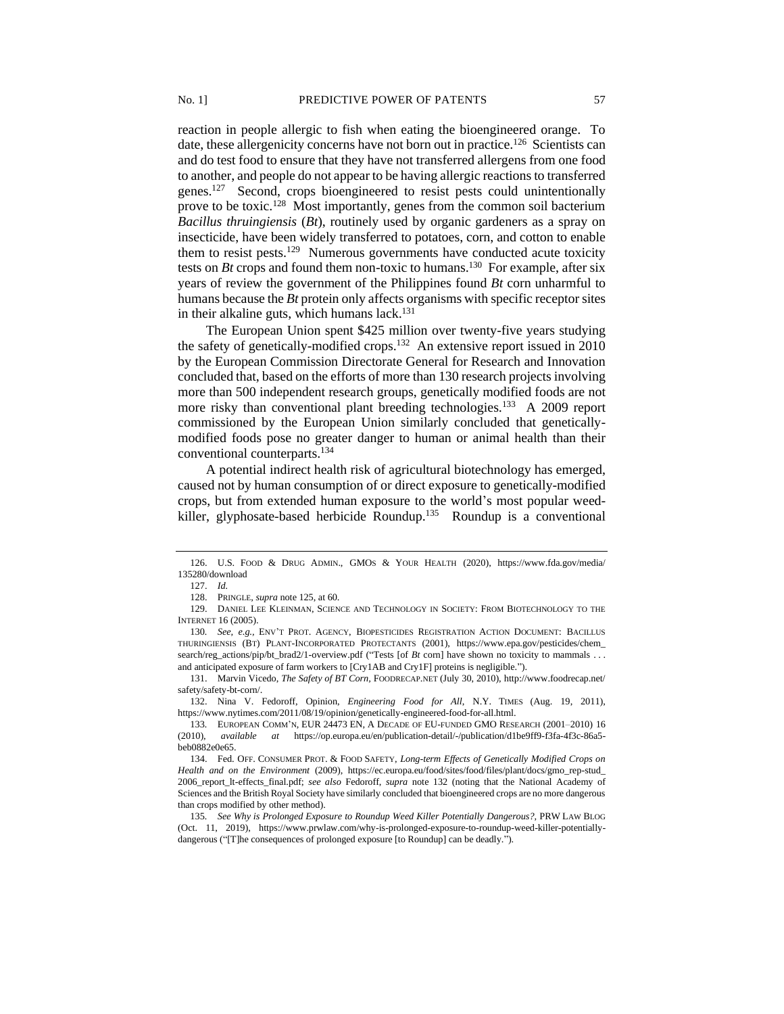reaction in people allergic to fish when eating the bioengineered orange. To date, these allergenicity concerns have not born out in practice.<sup>126</sup> Scientists can and do test food to ensure that they have not transferred allergens from one food to another, and people do not appear to be having allergic reactions to transferred genes.<sup>127</sup> Second, crops bioengineered to resist pests could unintentionally prove to be toxic.<sup>128</sup> Most importantly, genes from the common soil bacterium *Bacillus thruingiensis* (*Bt*), routinely used by organic gardeners as a spray on insecticide, have been widely transferred to potatoes, corn, and cotton to enable them to resist pests.<sup>129</sup> Numerous governments have conducted acute toxicity tests on *Bt* crops and found them non-toxic to humans.<sup>130</sup> For example, after six years of review the government of the Philippines found *Bt* corn unharmful to humans because the *Bt* protein only affects organisms with specific receptor sites in their alkaline guts, which humans lack.<sup>131</sup>

The European Union spent \$425 million over twenty-five years studying the safety of genetically-modified crops.<sup>132</sup> An extensive report issued in 2010 by the European Commission Directorate General for Research and Innovation concluded that, based on the efforts of more than 130 research projects involving more than 500 independent research groups, genetically modified foods are not more risky than conventional plant breeding technologies.<sup>133</sup> A 2009 report commissioned by the European Union similarly concluded that geneticallymodified foods pose no greater danger to human or animal health than their conventional counterparts.<sup>134</sup>

A potential indirect health risk of agricultural biotechnology has emerged, caused not by human consumption of or direct exposure to genetically-modified crops, but from extended human exposure to the world's most popular weedkiller, glyphosate-based herbicide Roundup.<sup>135</sup> Roundup is a conventional

<sup>126.</sup> U.S. FOOD & DRUG ADMIN., GMOS & YOUR HEALTH (2020), https://www.fda.gov/media/ 135280/download

<sup>127.</sup> *Id.*

<sup>128.</sup> PRINGLE, *supra* note 125, at 60.

<sup>129.</sup> DANIEL LEE KLEINMAN, SCIENCE AND TECHNOLOGY IN SOCIETY: FROM BIOTECHNOLOGY TO THE INTERNET 16 (2005).

<sup>130</sup>*. See, e.g.,* ENV'T PROT. AGENCY, BIOPESTICIDES REGISTRATION ACTION DOCUMENT: BACILLUS THURINGIENSIS (BT) PLANT-INCORPORATED PROTECTANTS (2001), https://www.epa.gov/pesticides/chem\_ search/reg\_actions/pip/bt\_brad2/1-overview.pdf ("Tests [of *Bt* corn] have shown no toxicity to mammals . . . and anticipated exposure of farm workers to [Cry1AB and Cry1F] proteins is negligible.").

<sup>131.</sup> Marvin Vicedo, *The Safety of BT Corn,* FOODRECAP.NET (July 30, 2010), http://www.foodrecap.net/ safety/safety-bt-corn/.

<sup>132.</sup> Nina V. Fedoroff, Opinion, *Engineering Food for All*, N.Y. TIMES (Aug. 19, 2011), https://www.nytimes.com/2011/08/19/opinion/genetically-engineered-food-for-all.html.

<sup>133</sup>*.* EUROPEAN COMM'N, EUR 24473 EN, A DECADE OF EU-FUNDED GMO RESEARCH (2001–2010) 16 (2010), *available at* https://op.europa.eu/en/publication-detail/-/publication/d1be9ff9-f3fa-4f3c-86a5 beb0882e0e65.

<sup>134.</sup> Fed. OFF. CONSUMER PROT. & FOOD SAFETY, *Long-term Effects of Genetically Modified Crops on Health and on the Environment* (2009), https://ec.europa.eu/food/sites/food/files/plant/docs/gmo\_rep-stud\_ 2006\_report\_lt-effects\_final.pdf; *see also* Fedoroff, *supra* note 132 (noting that the National Academy of Sciences and the British Royal Society have similarly concluded that bioengineered crops are no more dangerous than crops modified by other method).

<sup>135</sup>*. See Why is Prolonged Exposure to Roundup Weed Killer Potentially Dangerous?,* PRW LAW BLOG (Oct. 11, 2019), https://www.prwlaw.com/why-is-prolonged-exposure-to-roundup-weed-killer-potentiallydangerous ("[T]he consequences of prolonged exposure [to Roundup] can be deadly.").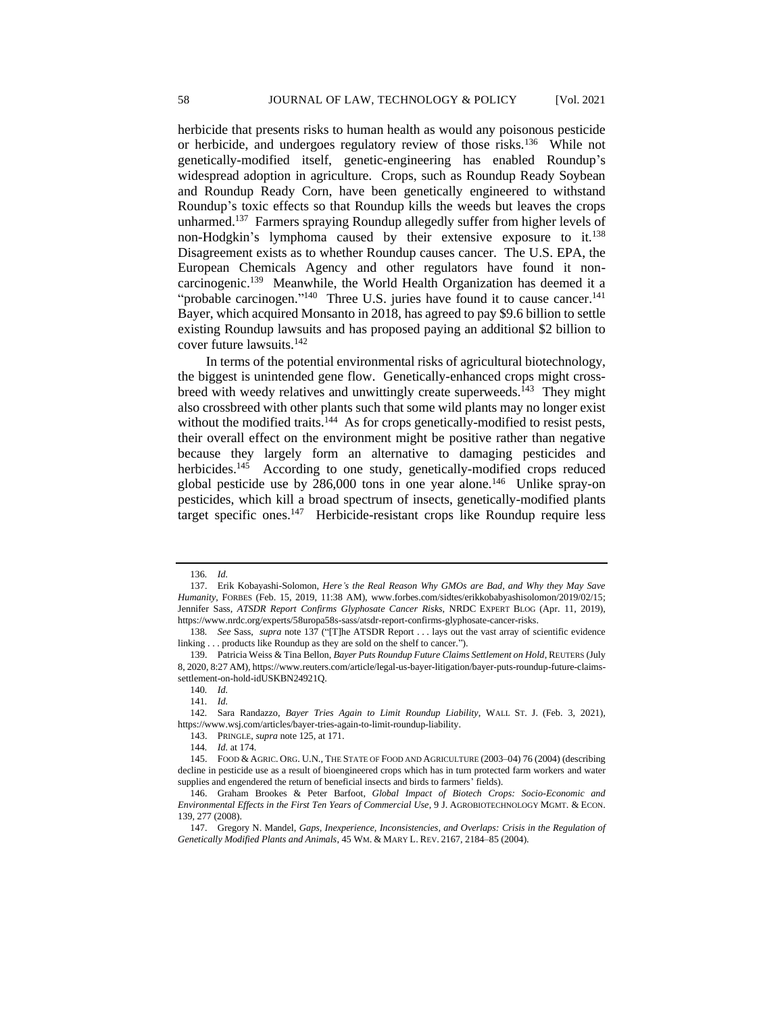herbicide that presents risks to human health as would any poisonous pesticide or herbicide, and undergoes regulatory review of those risks.<sup>136</sup> While not genetically-modified itself, genetic-engineering has enabled Roundup's widespread adoption in agriculture. Crops, such as Roundup Ready Soybean and Roundup Ready Corn, have been genetically engineered to withstand Roundup's toxic effects so that Roundup kills the weeds but leaves the crops unharmed.<sup>137</sup> Farmers spraying Roundup allegedly suffer from higher levels of non-Hodgkin's lymphoma caused by their extensive exposure to it.<sup>138</sup> Disagreement exists as to whether Roundup causes cancer. The U.S. EPA, the European Chemicals Agency and other regulators have found it noncarcinogenic.<sup>139</sup> Meanwhile, the World Health Organization has deemed it a "probable carcinogen."<sup>140</sup> Three U.S. juries have found it to cause cancer.<sup>141</sup> Bayer, which acquired Monsanto in 2018, has agreed to pay \$9.6 billion to settle existing Roundup lawsuits and has proposed paying an additional \$2 billion to cover future lawsuits. 142

In terms of the potential environmental risks of agricultural biotechnology, the biggest is unintended gene flow. Genetically-enhanced crops might crossbreed with weedy relatives and unwittingly create superweeds.<sup>143</sup> They might also crossbreed with other plants such that some wild plants may no longer exist without the modified traits.<sup>144</sup> As for crops genetically-modified to resist pests, their overall effect on the environment might be positive rather than negative because they largely form an alternative to damaging pesticides and herbicides.<sup>145</sup> According to one study, genetically-modified crops reduced global pesticide use by 286,000 tons in one year alone.<sup>146</sup> Unlike spray-on pesticides, which kill a broad spectrum of insects, genetically-modified plants target specific ones.<sup>147</sup> Herbicide-resistant crops like Roundup require less

<sup>136</sup>*. Id.*

<sup>137.</sup> Erik Kobayashi-Solomon, *Here's the Real Reason Why GMOs are Bad, and Why they May Save Humanity,* FORBES (Feb. 15, 2019, 11:38 AM), www.forbes.com/sidtes/erikkobabyashisolomon/2019/02/15; Jennifer Sass, *ATSDR Report Confirms Glyphosate Cancer Risks*, NRDC EXPERT BLOG (Apr. 11, 2019), https://www.nrdc.org/experts/58uropa58s-sass/atsdr-report-confirms-glyphosate-cancer-risks.

<sup>138</sup>*. See* Sass, *supra* note 137 ("[T]he ATSDR Report . . . lays out the vast array of scientific evidence linking . . . products like Roundup as they are sold on the shelf to cancer.").

<sup>139.</sup> Patricia Weiss & Tina Bellon, *Bayer Puts Roundup Future Claims Settlement on Hold*, REUTERS (July 8, 2020, 8:27 AM), https://www.reuters.com/article/legal-us-bayer-litigation/bayer-puts-roundup-future-claimssettlement-on-hold-idUSKBN24921Q.

<sup>140</sup>*. Id.*

<sup>141</sup>*. Id.*

<sup>142</sup>*.* Sara Randazzo, *Bayer Tries Again to Limit Roundup Liability*, WALL ST. J. (Feb. 3, 2021), https://www.wsj.com/articles/bayer-tries-again-to-limit-roundup-liability.

<sup>143.</sup> PRINGLE, *supra* note 125, at 171.

<sup>144</sup>*. Id.* at 174.

<sup>145.</sup> FOOD & AGRIC. ORG. U.N., THE STATE OF FOOD AND AGRICULTURE (2003–04) 76 (2004) (describing decline in pesticide use as a result of bioengineered crops which has in turn protected farm workers and water supplies and engendered the return of beneficial insects and birds to farmers' fields).

<sup>146.</sup> Graham Brookes & Peter Barfoot, *Global Impact of Biotech Crops: Socio-Economic and Environmental Effects in the First Ten Years of Commercial Use*, 9 J. AGROBIOTECHNOLOGY MGMT. & ECON. 139*,* 277 (2008).

<sup>147.</sup> Gregory N. Mandel, *Gaps, Inexperience, Inconsistencies, and Overlaps: Crisis in the Regulation of Genetically Modified Plants and Animals*, 45 WM. & MARY L. REV. 2167, 2184–85 (2004).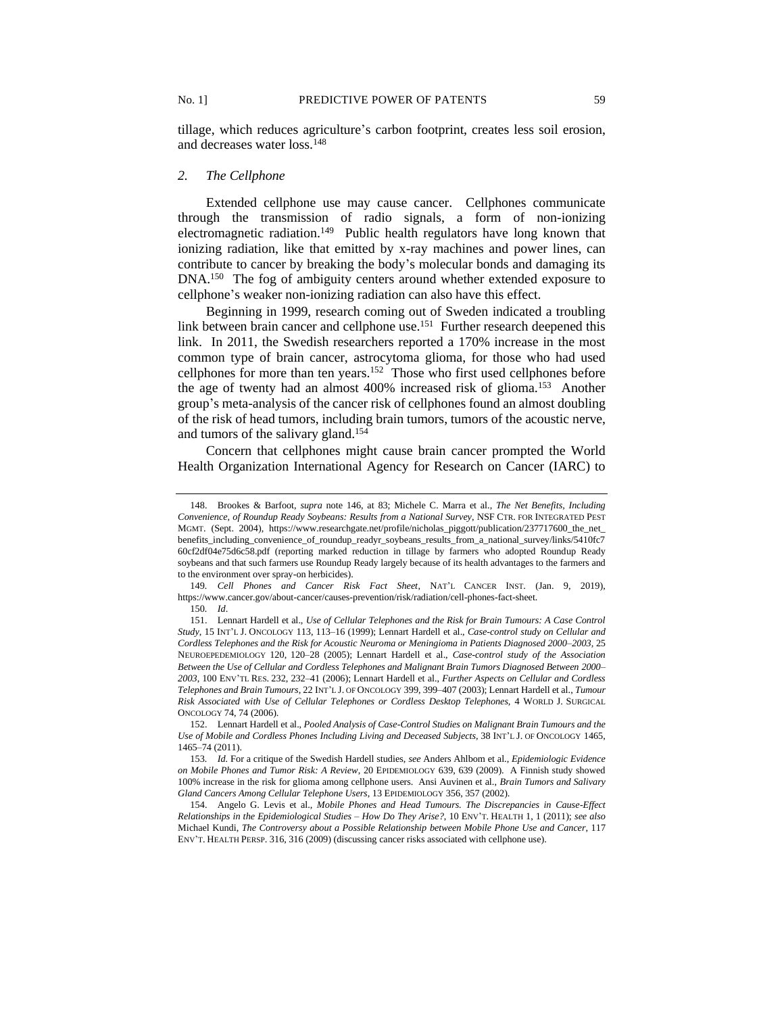tillage, which reduces agriculture's carbon footprint, creates less soil erosion, and decreases water loss.<sup>148</sup>

## *2. The Cellphone*

Extended cellphone use may cause cancer. Cellphones communicate through the transmission of radio signals, a form of non-ionizing electromagnetic radiation.<sup>149</sup> Public health regulators have long known that ionizing radiation, like that emitted by x-ray machines and power lines, can contribute to cancer by breaking the body's molecular bonds and damaging its DNA.<sup>150</sup> The fog of ambiguity centers around whether extended exposure to cellphone's weaker non-ionizing radiation can also have this effect.

Beginning in 1999, research coming out of Sweden indicated a troubling link between brain cancer and cellphone use.<sup>151</sup> Further research deepened this link. In 2011, the Swedish researchers reported a 170% increase in the most common type of brain cancer, astrocytoma glioma, for those who had used cellphones for more than ten years.<sup>152</sup> Those who first used cellphones before the age of twenty had an almost 400% increased risk of glioma.<sup>153</sup> Another group's meta-analysis of the cancer risk of cellphones found an almost doubling of the risk of head tumors, including brain tumors, tumors of the acoustic nerve, and tumors of the salivary gland.<sup>154</sup>

Concern that cellphones might cause brain cancer prompted the World Health Organization International Agency for Research on Cancer (IARC) to

<sup>148.</sup> Brookes & Barfoot, *supra* note 146, at 83; Michele C. Marra et al., *The Net Benefits, Including Convenience, of Roundup Ready Soybeans: Results from a National Survey*, NSF CTR. FOR INTEGRATED PEST MGMT. (Sept. 2004), https://www.researchgate.net/profile/nicholas\_piggott/publication/237717600\_the\_net\_ benefits\_including\_convenience\_of\_roundup\_readyr\_soybeans\_results\_from\_a\_national\_survey/links/5410fc7 60cf2df04e75d6c58.pdf (reporting marked reduction in tillage by farmers who adopted Roundup Ready soybeans and that such farmers use Roundup Ready largely because of its health advantages to the farmers and to the environment over spray-on herbicides).

<sup>149</sup>*. Cell Phones and Cancer Risk Fact Sheet*, NAT'L CANCER INST. (Jan. 9, 2019), https://www.cancer.gov/about-cancer/causes-prevention/risk/radiation/cell-phones-fact-sheet.

<sup>150</sup>*. Id*.

<sup>151.</sup> Lennart Hardell et al., *Use of Cellular Telephones and the Risk for Brain Tumours: A Case Control Study*, 15 INT'L J. ONCOLOGY 113, 113–16 (1999); Lennart Hardell et al., *Case-control study on Cellular and Cordless Telephones and the Risk for Acoustic Neuroma or Meningioma in Patients Diagnosed 2000*–*2003,* 25 NEUROEPEDEMIOLOGY 120, 120–28 (2005); Lennart Hardell et al., *Case-control study of the Association Between the Use of Cellular and Cordless Telephones and Malignant Brain Tumors Diagnosed Between 2000*– *2003*, 100 ENV'TL RES. 232, 232–41 (2006); Lennart Hardell et al., *Further Aspects on Cellular and Cordless Telephones and Brain Tumours*, 22 INT'L J. OF ONCOLOGY 399, 399–407 (2003); Lennart Hardell et al., *Tumour Risk Associated with Use of Cellular Telephones or Cordless Desktop Telephones,* 4 WORLD J. SURGICAL ONCOLOGY 74, 74 (2006).

<sup>152.</sup> Lennart Hardell et al., *Pooled Analysis of Case-Control Studies on Malignant Brain Tumours and the Use of Mobile and Cordless Phones Including Living and Deceased Subjects*, 38 INT'L J. OF ONCOLOGY 1465, 1465–74 (2011).

<sup>153</sup>*. Id.* For a critique of the Swedish Hardell studies, *see* Anders Ahlbom et al., *Epidemiologic Evidence on Mobile Phones and Tumor Risk: A Review*, 20 EPIDEMIOLOGY 639, 639 (2009). A Finnish study showed 100% increase in the risk for glioma among cellphone users. Ansi Auvinen et al., *Brain Tumors and Salivary Gland Cancers Among Cellular Telephone Users*, 13 EPIDEMIOLOGY 356, 357 (2002).

<sup>154.</sup> Angelo G. Levis et al., *Mobile Phones and Head Tumours. The Discrepancies in Cause-Effect Relationships in the Epidemiological Studies – How Do They Arise?*, 10 ENV'T. HEALTH 1, 1 (2011); *see also* Michael Kundi, *The Controversy about a Possible Relationship between Mobile Phone Use and Cancer*, 117 ENV'T. HEALTH PERSP. 316, 316 (2009) (discussing cancer risks associated with cellphone use).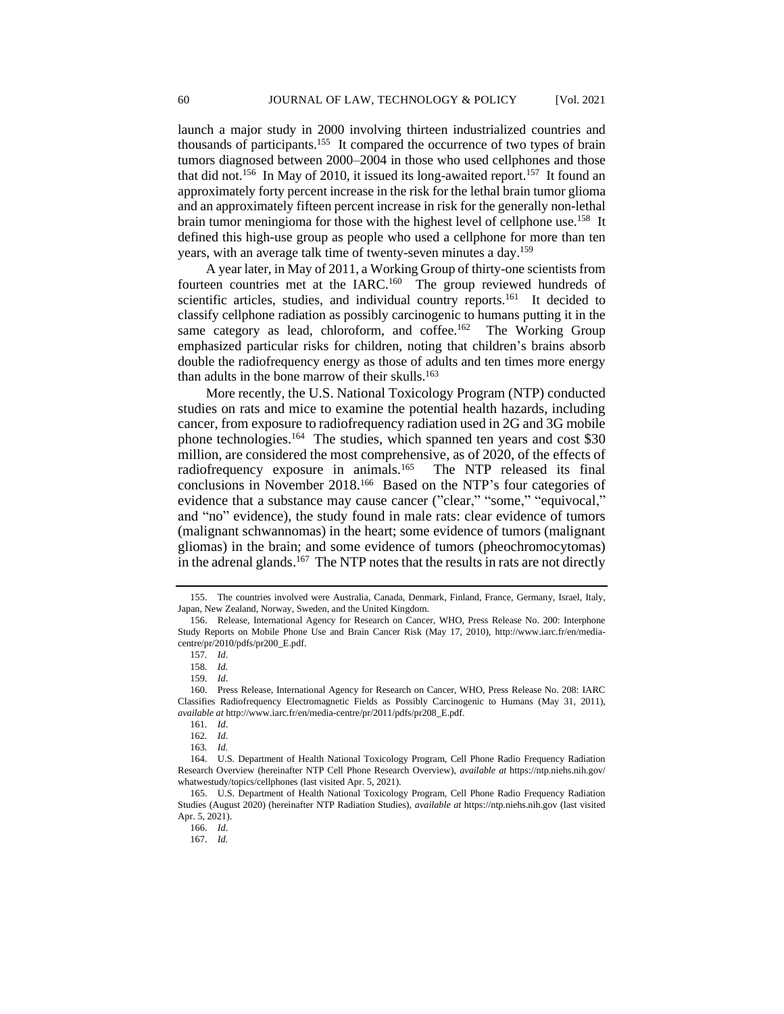launch a major study in 2000 involving thirteen industrialized countries and thousands of participants.<sup>155</sup> It compared the occurrence of two types of brain tumors diagnosed between 2000–2004 in those who used cellphones and those that did not.<sup>156</sup> In May of 2010, it issued its long-awaited report.<sup>157</sup> It found an approximately forty percent increase in the risk for the lethal brain tumor glioma and an approximately fifteen percent increase in risk for the generally non-lethal brain tumor meningioma for those with the highest level of cellphone use.<sup>158</sup> It defined this high-use group as people who used a cellphone for more than ten years, with an average talk time of twenty-seven minutes a day.<sup>159</sup>

A year later, in May of 2011, a Working Group of thirty-one scientists from fourteen countries met at the IARC.<sup>160</sup> The group reviewed hundreds of scientific articles, studies, and individual country reports.<sup>161</sup> It decided to classify cellphone radiation as possibly carcinogenic to humans putting it in the same category as lead, chloroform, and coffee.<sup>162</sup> The Working Group emphasized particular risks for children, noting that children's brains absorb double the radiofrequency energy as those of adults and ten times more energy than adults in the bone marrow of their skulls.<sup>163</sup>

More recently, the U.S. National Toxicology Program (NTP) conducted studies on rats and mice to examine the potential health hazards, including cancer, from exposure to radiofrequency radiation used in 2G and 3G mobile phone technologies.<sup>164</sup> The studies, which spanned ten years and cost \$30 million, are considered the most comprehensive, as of 2020, of the effects of radiofrequency exposure in animals.<sup>165</sup> The NTP released its final conclusions in November 2018.<sup>166</sup> Based on the NTP's four categories of evidence that a substance may cause cancer ("clear," "some," "equivocal," and "no" evidence), the study found in male rats: clear evidence of tumors (malignant schwannomas) in the heart; some evidence of tumors (malignant gliomas) in the brain; and some evidence of tumors (pheochromocytomas) in the adrenal glands.<sup>167</sup> The NTP notes that the results in rats are not directly

<sup>155.</sup> The countries involved were Australia, Canada, Denmark, Finland, France, Germany, Israel, Italy, Japan, New Zealand, Norway, Sweden, and the United Kingdom.

<sup>156.</sup> Release, International Agency for Research on Cancer, WHO, Press Release No. 200: Interphone Study Reports on Mobile Phone Use and Brain Cancer Risk (May 17, 2010), http://www.iarc.fr/en/mediacentre/pr/2010/pdfs/pr200\_E.pdf.

<sup>157</sup>*. Id*.

<sup>158</sup>*. Id.*

<sup>159</sup>*. Id*.

<sup>160.</sup> Press Release, International Agency for Research on Cancer, WHO, Press Release No. 208: IARC Classifies Radiofrequency Electromagnetic Fields as Possibly Carcinogenic to Humans (May 31, 2011), *available at* http://www.iarc.fr/en/media-centre/pr/2011/pdfs/pr208\_E.pdf.

<sup>161</sup>*. Id*.

<sup>162</sup>*. Id*.

<sup>163</sup>*. Id.*

<sup>164.</sup> U.S. Department of Health National Toxicology Program, Cell Phone Radio Frequency Radiation Research Overview (hereinafter NTP Cell Phone Research Overview), *available at* https://ntp.niehs.nih.gov/ whatwestudy/topics/cellphones (last visited Apr. 5, 2021).

<sup>165.</sup> U.S. Department of Health National Toxicology Program, Cell Phone Radio Frequency Radiation Studies (August 2020) (hereinafter NTP Radiation Studies), *available at* https://ntp.niehs.nih.gov (last visited Apr. 5, 2021).

<sup>166.</sup> *Id*.

<sup>167.</sup> *Id.*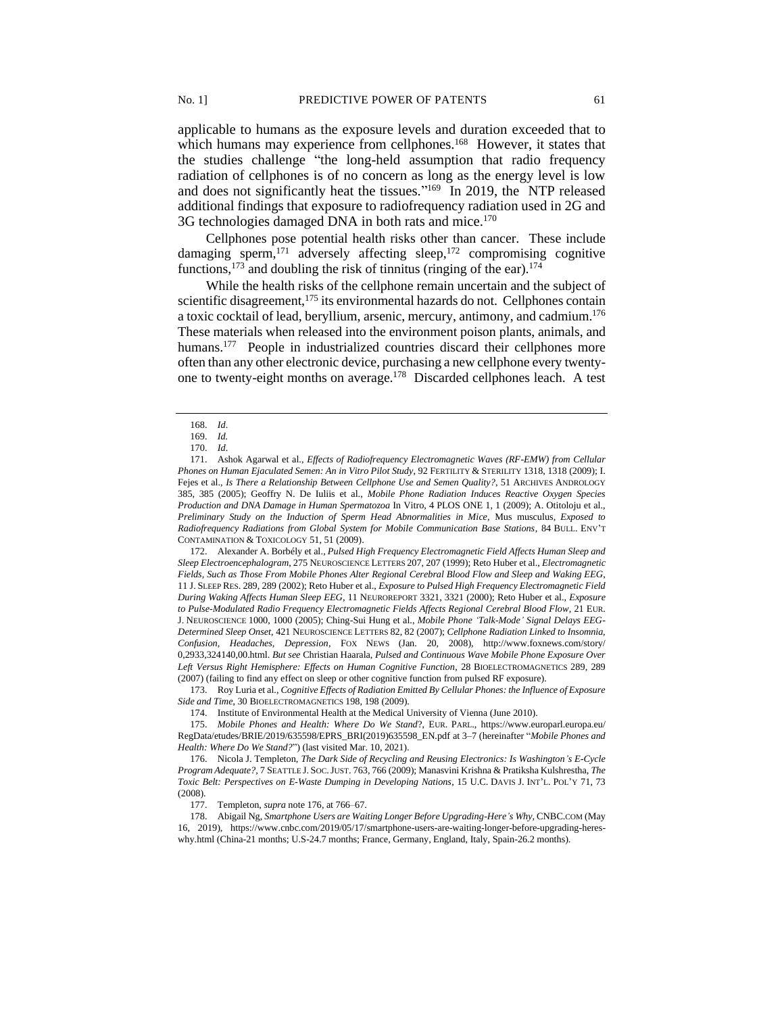applicable to humans as the exposure levels and duration exceeded that to which humans may experience from cellphones.<sup>168</sup> However, it states that the studies challenge "the long-held assumption that radio frequency radiation of cellphones is of no concern as long as the energy level is low and does not significantly heat the tissues*.*" <sup>169</sup> In 2019, the NTP released additional findings that exposure to radiofrequency radiation used in 2G and 3G technologies damaged DNA in both rats and mice.<sup>170</sup>

Cellphones pose potential health risks other than cancer. These include damaging sperm,<sup>171</sup> adversely affecting sleep,<sup>172</sup> compromising cognitive functions,<sup>173</sup> and doubling the risk of tinnitus (ringing of the ear).<sup>174</sup>

While the health risks of the cellphone remain uncertain and the subject of scientific disagreement,<sup>175</sup> its environmental hazards do not. Cellphones contain a toxic cocktail of lead, beryllium, arsenic, mercury, antimony, and cadmium.<sup>176</sup> These materials when released into the environment poison plants, animals, and humans.<sup>177</sup> People in industrialized countries discard their cellphones more often than any other electronic device, purchasing a new cellphone every twentyone to twenty-eight months on average.<sup>178</sup> Discarded cellphones leach. A test

172. Alexander A. Borbély et al., *Pulsed High Frequency Electromagnetic Field Affects Human Sleep and Sleep Electroencephalogram*, 275 NEUROSCIENCE LETTERS 207, 207 (1999); Reto Huber et al., *Electromagnetic Fields, Such as Those From Mobile Phones Alter Regional Cerebral Blood Flow and Sleep and Waking EEG*, 11 J. SLEEP RES. 289, 289 (2002); Reto Huber et al., *Exposure to Pulsed High Frequency Electromagnetic Field During Waking Affects Human Sleep EEG*, 11 NEUROREPORT 3321, 3321 (2000); Reto Huber et al., *Exposure to Pulse-Modulated Radio Frequency Electromagnetic Fields Affects Regional Cerebral Blood Flow*, 21 EUR. J. NEUROSCIENCE 1000, 1000 (2005); Ching-Sui Hung et al., *Mobile Phone 'Talk-Mode' Signal Delays EEG-Determined Sleep Onset*, 421 NEUROSCIENCE LETTERS 82, 82 (2007); *Cellphone Radiation Linked to Insomnia, Confusion, Headaches, Depression*, FOX NEWS (Jan. 20, 2008), http://www.foxnews.com/story/ 0,2933,324140,00.html. *But see* Christian Haarala, *Pulsed and Continuous Wave Mobile Phone Exposure Over Left Versus Right Hemisphere: Effects on Human Cognitive Function*, 28 BIOELECTROMAGNETICS 289, 289 (2007) (failing to find any effect on sleep or other cognitive function from pulsed RF exposure).

173. Roy Luria et al., *Cognitive Effects of Radiation Emitted By Cellular Phones: the Influence of Exposure Side and Time*, 30 BIOELECTROMAGNETICS 198, 198 (2009).

174. Institute of Environmental Health at the Medical University of Vienna (June 2010).

175. *Mobile Phones and Health: Where Do We Stand*?, EUR. PARL., https://www.europarl.europa.eu/ RegData/etudes/BRIE/2019/635598/EPRS\_BRI(2019)635598\_EN.pdf at 3–7 (hereinafter "*Mobile Phones and Health: Where Do We Stand?*") (last visited Mar. 10, 2021).

176. Nicola J. Templeton, *The Dark Side of Recycling and Reusing Electronics: Is Washington's E-Cycle Program Adequate?,* 7 SEATTLE J. SOC.JUST. 763, 766 (2009); Manasvini Krishna & Pratiksha Kulshrestha, *The Toxic Belt: Perspectives on E-Waste Dumping in Developing Nations*, 15 U.C. DAVIS J. INT'L. POL'Y 71, 73 (2008).

177. Templeton, *supra* note 176, at 766–67.

178. Abigail Ng, *Smartphone Users are Waiting Longer Before Upgrading-Here's Why*, CNBC.COM (May 16, 2019), https://www.cnbc.com/2019/05/17/smartphone-users-are-waiting-longer-before-upgrading-hereswhy.html (China-21 months; U.S-24.7 months; France, Germany, England, Italy, Spain-26.2 months).

<sup>168.</sup> *Id*.

<sup>169.</sup> *Id.*

<sup>170.</sup> *Id*.

<sup>171.</sup> Ashok Agarwal et al., *Effects of Radiofrequency Electromagnetic Waves (RF-EMW) from Cellular Phones on Human Ejaculated Semen: An in Vitro Pilot Study*, 92 FERTILITY & STERILITY 1318, 1318 (2009); I. Fejes et al., *Is There a Relationship Between Cellphone Use and Semen Quality?*, 51 ARCHIVES ANDROLOGY 385, 385 (2005); Geoffry N. De Iuliis et al., *Mobile Phone Radiation Induces Reactive Oxygen Species Production and DNA Damage in Human Spermatozoa* In Vitro, 4 PLOS ONE 1, 1 (2009); A. Otitoloju et al., *Preliminary Study on the Induction of Sperm Head Abnormalities in Mice,* Mus musculus*, Exposed to Radiofrequency Radiations from Global System for Mobile Communication Base Stations*, 84 BULL. ENV'T CONTAMINATION & TOXICOLOGY 51, 51 (2009).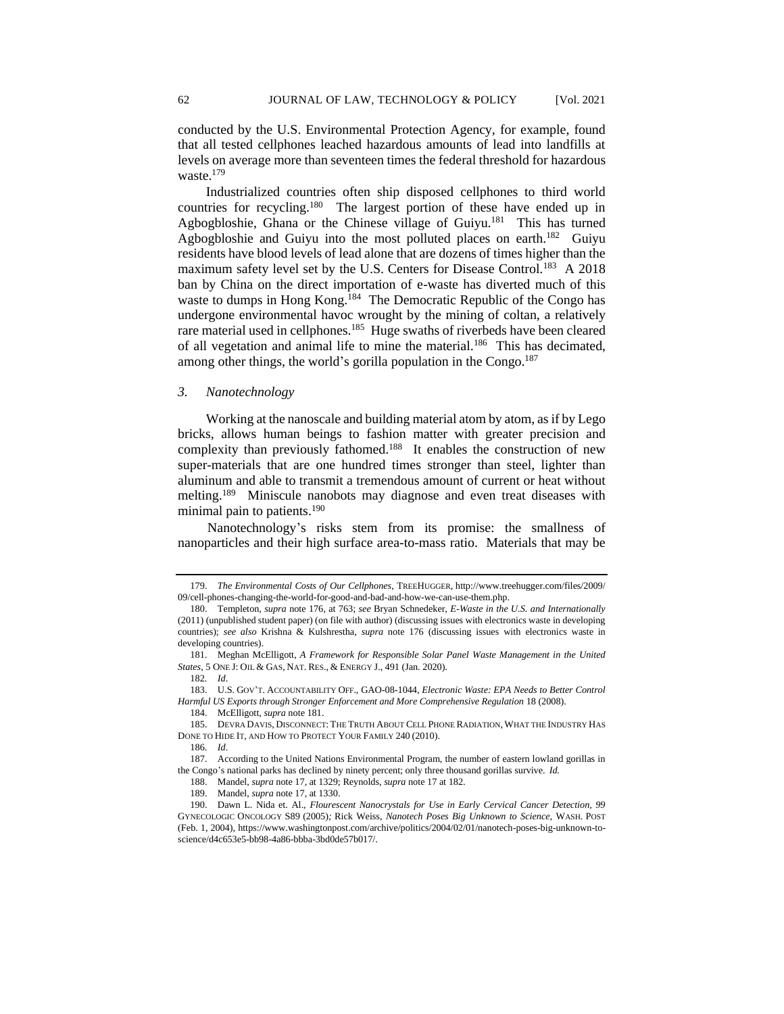conducted by the U.S. Environmental Protection Agency, for example, found that all tested cellphones leached hazardous amounts of lead into landfills at levels on average more than seventeen times the federal threshold for hazardous waste.<sup>179</sup>

Industrialized countries often ship disposed cellphones to third world countries for recycling.<sup>180</sup> The largest portion of these have ended up in Agbogbloshie, Ghana or the Chinese village of Guiyu.<sup>181</sup> This has turned Agbogbloshie and Guiyu into the most polluted places on earth.<sup>182</sup> Guiyu residents have blood levels of lead alone that are dozens of times higher than the maximum safety level set by the U.S. Centers for Disease Control.<sup>183</sup> A 2018 ban by China on the direct importation of e-waste has diverted much of this waste to dumps in Hong Kong.<sup>184</sup> The Democratic Republic of the Congo has undergone environmental havoc wrought by the mining of coltan, a relatively rare material used in cellphones.<sup>185</sup> Huge swaths of riverbeds have been cleared of all vegetation and animal life to mine the material.<sup>186</sup> This has decimated, among other things, the world's gorilla population in the Congo.<sup>187</sup>

#### *3. Nanotechnology*

Working at the nanoscale and building material atom by atom, as if by Lego bricks, allows human beings to fashion matter with greater precision and complexity than previously fathomed.<sup>188</sup> It enables the construction of new super-materials that are one hundred times stronger than steel, lighter than aluminum and able to transmit a tremendous amount of current or heat without melting.<sup>189</sup> Miniscule nanobots may diagnose and even treat diseases with minimal pain to patients.<sup>190</sup>

Nanotechnology's risks stem from its promise: the smallness of nanoparticles and their high surface area-to-mass ratio. Materials that may be

<sup>179.</sup> *The Environmental Costs of Our Cellphones*, TREEHUGGER, http://www.treehugger.com/files/2009/ 09/cell-phones-changing-the-world-for-good-and-bad-and-how-we-can-use-them.php.

<sup>180.</sup> Templeton, *supra* note 176, at 763; *see* Bryan Schnedeker, *E-Waste in the U.S. and Internationally*  (2011) (unpublished student paper) (on file with author) (discussing issues with electronics waste in developing countries); *see also* Krishna & Kulshrestha, *supra* note 176 (discussing issues with electronics waste in developing countries).

<sup>181.</sup> Meghan McElligott, *A Framework for Responsible Solar Panel Waste Management in the United States*, 5 ONE J: OIL & GAS, NAT. RES., & ENERGY J., 491 (Jan. 2020).

<sup>182</sup>*. Id*.

<sup>183.</sup> U.S. GOV'T. ACCOUNTABILITY OFF., GAO-08-1044, *Electronic Waste: EPA Needs to Better Control Harmful US Exports through Stronger Enforcement and More Comprehensive Regulation* 18 (2008).

<sup>184.</sup> McElligott, *supra* note 181.

<sup>185.</sup> DEVRA DAVIS, DISCONNECT: THE TRUTH ABOUT CELL PHONE RADIATION, WHAT THE INDUSTRY HAS DONE TO HIDE IT, AND HOW TO PROTECT YOUR FAMILY 240 (2010).

<sup>186</sup>*. Id*.

<sup>187.</sup> According to the United Nations Environmental Program, the number of eastern lowland gorillas in the Congo's national parks has declined by ninety percent; only three thousand gorillas survive. *Id.*

<sup>188.</sup> Mandel, *supra* note 17, at 1329; Reynolds, *supra* note 17 at 182.

<sup>189.</sup> Mandel, *supra* note 17, at 1330.

<sup>190.</sup> Dawn L. Nida et. Al., *Flourescent Nanocrystals for Use in Early Cervical Cancer Detection, 99*  GYNECOLOGIC ONCOLOGY S89 (2005)*;* Rick Weiss, *Nanotech Poses Big Unknown to Science,* WASH. POST (Feb. 1, 2004), https://www.washingtonpost.com/archive/politics/2004/02/01/nanotech-poses-big-unknown-toscience/d4c653e5-bb98-4a86-bbba-3bd0de57b017/.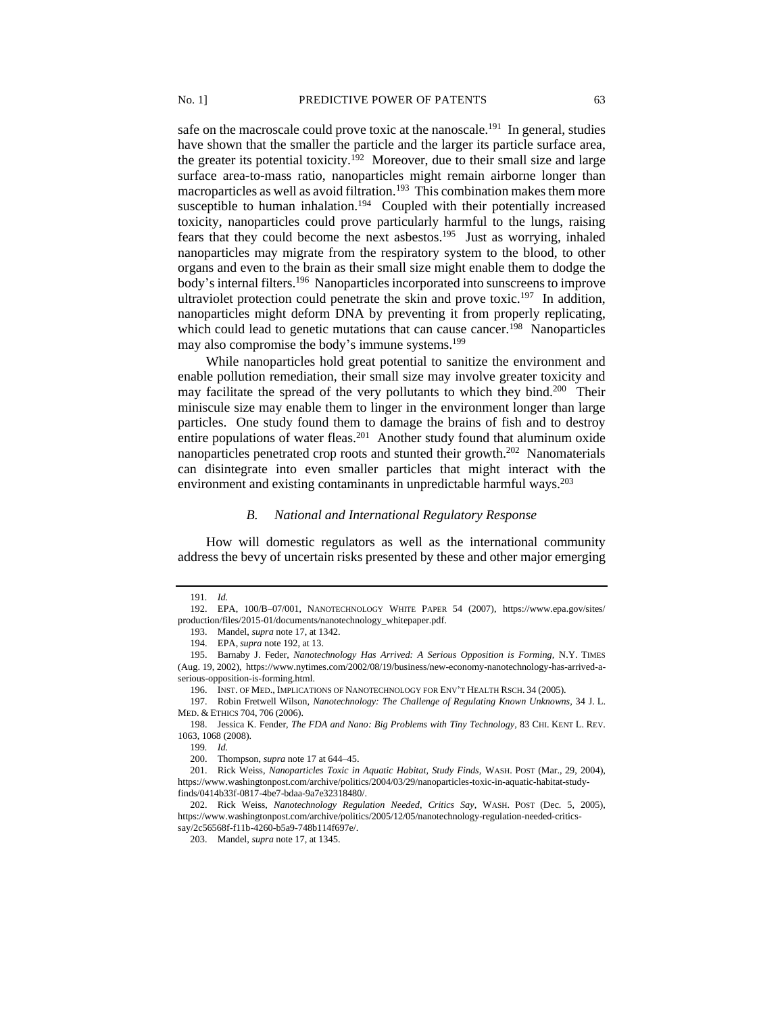safe on the macroscale could prove toxic at the nanoscale.<sup>191</sup> In general, studies have shown that the smaller the particle and the larger its particle surface area, the greater its potential toxicity.<sup>192</sup> Moreover, due to their small size and large surface area-to-mass ratio, nanoparticles might remain airborne longer than macroparticles as well as avoid filtration.<sup>193</sup> This combination makes them more susceptible to human inhalation.<sup>194</sup> Coupled with their potentially increased toxicity, nanoparticles could prove particularly harmful to the lungs, raising fears that they could become the next asbestos.<sup>195</sup> Just as worrying, inhaled nanoparticles may migrate from the respiratory system to the blood, to other organs and even to the brain as their small size might enable them to dodge the body's internal filters.<sup>196</sup> Nanoparticles incorporated into sunscreens to improve ultraviolet protection could penetrate the skin and prove toxic.<sup>197</sup> In addition, nanoparticles might deform DNA by preventing it from properly replicating, which could lead to genetic mutations that can cause cancer.<sup>198</sup> Nanoparticles may also compromise the body's immune systems.<sup>199</sup>

While nanoparticles hold great potential to sanitize the environment and enable pollution remediation, their small size may involve greater toxicity and may facilitate the spread of the very pollutants to which they bind.<sup>200</sup> Their miniscule size may enable them to linger in the environment longer than large particles. One study found them to damage the brains of fish and to destroy entire populations of water fleas.<sup>201</sup> Another study found that aluminum oxide nanoparticles penetrated crop roots and stunted their growth.<sup>202</sup> Nanomaterials can disintegrate into even smaller particles that might interact with the environment and existing contaminants in unpredictable harmful ways.<sup>203</sup>

#### *B. National and International Regulatory Response*

How will domestic regulators as well as the international community address the bevy of uncertain risks presented by these and other major emerging

196. INST. OF MED., IMPLICATIONS OF NANOTECHNOLOGY FOR ENV'T HEALTH RSCH. 34 (2005).

199*. Id.*

<sup>191</sup>*. Id.*

<sup>192.</sup> EPA, 100/B–07/001, NANOTECHNOLOGY WHITE PAPER 54 (2007), https://www.epa.gov/sites/ production/files/2015-01/documents/nanotechnology\_whitepaper.pdf.

<sup>193.</sup> Mandel, *supra* note 17, at 1342.

<sup>194.</sup> EPA,*supra* note 192, at 13.

<sup>195.</sup> Barnaby J. Feder, *Nanotechnology Has Arrived: A Serious Opposition is Forming,* N.Y. TIMES (Aug. 19, 2002), https://www.nytimes.com/2002/08/19/business/new-economy-nanotechnology-has-arrived-aserious-opposition-is-forming.html.

<sup>197.</sup> Robin Fretwell Wilson, *Nanotechnology: The Challenge of Regulating Known Unknowns,* 34 J. L. MED. & ETHICS 704, 706 (2006).

<sup>198.</sup> Jessica K. Fender, *The FDA and Nano: Big Problems with Tiny Technology*, 83 CHI. KENT L. REV. 1063, 1068 (2008).

<sup>200.</sup> Thompson, *supra* not[e 17](#page-3-0) at 644–45.

<sup>201.</sup> Rick Weiss, *Nanoparticles Toxic in Aquatic Habitat, Study Finds,* WASH. POST (Mar., 29, 2004), https://www.washingtonpost.com/archive/politics/2004/03/29/nanoparticles-toxic-in-aquatic-habitat-studyfinds/0414b33f-0817-4be7-bdaa-9a7e32318480/.

<sup>202.</sup> Rick Weiss, *Nanotechnology Regulation Needed, Critics Say*, WASH. POST (Dec. 5, 2005), https://www.washingtonpost.com/archive/politics/2005/12/05/nanotechnology-regulation-needed-criticssay/2c56568f-f11b-4260-b5a9-748b114f697e/.

<sup>203.</sup> Mandel, *supra* note 17, at 1345.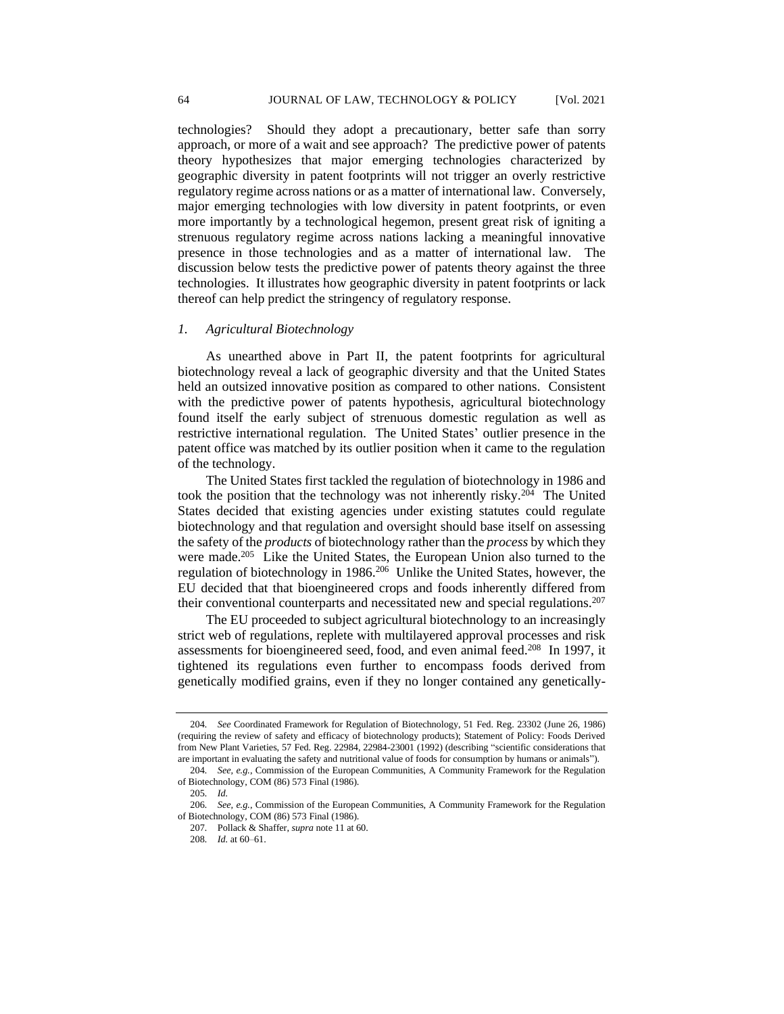technologies? Should they adopt a precautionary, better safe than sorry approach, or more of a wait and see approach? The predictive power of patents theory hypothesizes that major emerging technologies characterized by geographic diversity in patent footprints will not trigger an overly restrictive regulatory regime across nations or as a matter of international law. Conversely, major emerging technologies with low diversity in patent footprints, or even more importantly by a technological hegemon, present great risk of igniting a strenuous regulatory regime across nations lacking a meaningful innovative presence in those technologies and as a matter of international law. The discussion below tests the predictive power of patents theory against the three technologies. It illustrates how geographic diversity in patent footprints or lack thereof can help predict the stringency of regulatory response.

## *1. Agricultural Biotechnology*

As unearthed above in Part II, the patent footprints for agricultural biotechnology reveal a lack of geographic diversity and that the United States held an outsized innovative position as compared to other nations. Consistent with the predictive power of patents hypothesis, agricultural biotechnology found itself the early subject of strenuous domestic regulation as well as restrictive international regulation. The United States' outlier presence in the patent office was matched by its outlier position when it came to the regulation of the technology.

The United States first tackled the regulation of biotechnology in 1986 and took the position that the technology was not inherently risky.<sup>204</sup> The United States decided that existing agencies under existing statutes could regulate biotechnology and that regulation and oversight should base itself on assessing the safety of the *products* of biotechnology rather than the *process* by which they were made.<sup>205</sup> Like the United States, the European Union also turned to the regulation of biotechnology in 1986.<sup>206</sup> Unlike the United States, however, the EU decided that that bioengineered crops and foods inherently differed from their conventional counterparts and necessitated new and special regulations.<sup>207</sup>

The EU proceeded to subject agricultural biotechnology to an increasingly strict web of regulations, replete with multilayered approval processes and risk assessments for bioengineered seed, food, and even animal feed.<sup>208</sup> In 1997, it tightened its regulations even further to encompass foods derived from genetically modified grains, even if they no longer contained any genetically-

<sup>204</sup>*. See* Coordinated Framework for Regulation of Biotechnology, 51 Fed. Reg. 23302 (June 26, 1986) (requiring the review of safety and efficacy of biotechnology products); Statement of Policy: Foods Derived from New Plant Varieties, 57 Fed. Reg. 22984, 22984-23001 (1992) (describing "scientific considerations that are important in evaluating the safety and nutritional value of foods for consumption by humans or animals"). 204*. See, e.g.*, Commission of the European Communities, A Community Framework for the Regulation

of Biotechnology, COM (86) 573 Final (1986).

<sup>205</sup>*. Id.*

<sup>206</sup>*. See, e.g.*, Commission of the European Communities, A Community Framework for the Regulation of Biotechnology, COM (86) 573 Final (1986).

<sup>207</sup>*.* Pollack & Shaffer, *supra* note 11 at 60.

<sup>208</sup>*. Id.* at 60–61.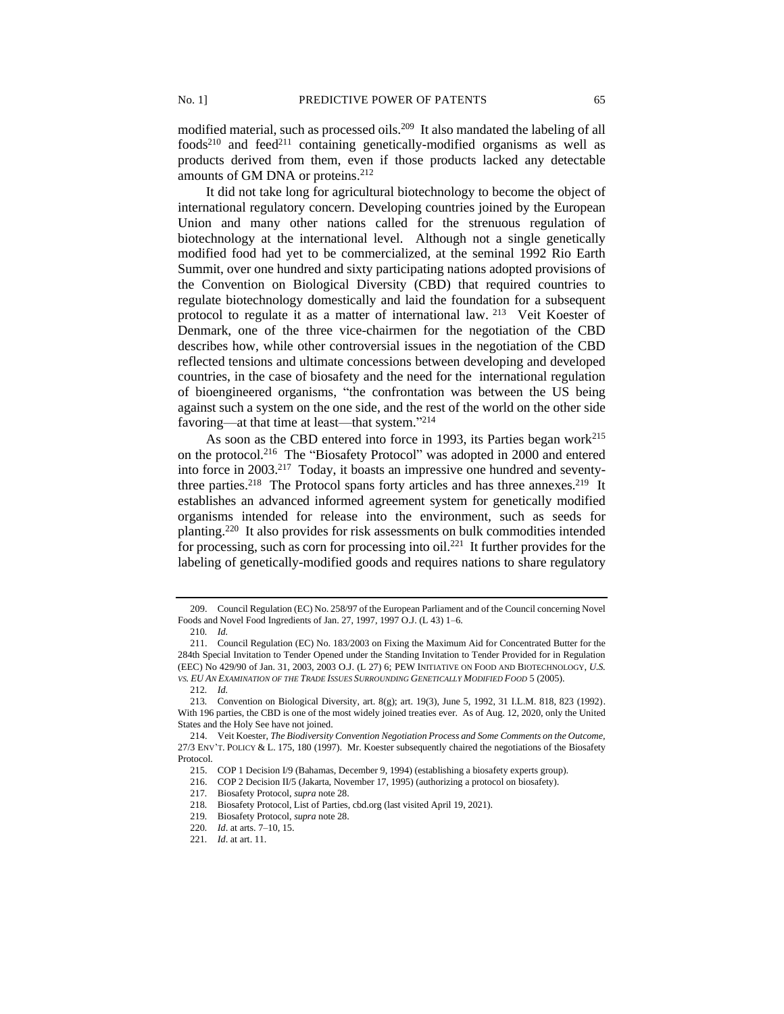modified material, such as processed oils.<sup>209</sup> It also mandated the labeling of all  $foods<sup>210</sup>$  and  $feed<sup>211</sup>$  containing genetically-modified organisms as well as products derived from them, even if those products lacked any detectable amounts of GM DNA or proteins.<sup>212</sup>

It did not take long for agricultural biotechnology to become the object of international regulatory concern. Developing countries joined by the European Union and many other nations called for the strenuous regulation of biotechnology at the international level. Although not a single genetically modified food had yet to be commercialized, at the seminal 1992 Rio Earth Summit, over one hundred and sixty participating nations adopted provisions of the Convention on Biological Diversity (CBD) that required countries to regulate biotechnology domestically and laid the foundation for a subsequent protocol to regulate it as a matter of international law. <sup>213</sup> Veit Koester of Denmark, one of the three vice-chairmen for the negotiation of the CBD describes how, while other controversial issues in the negotiation of the CBD reflected tensions and ultimate concessions between developing and developed countries, in the case of biosafety and the need for the international regulation of bioengineered organisms, "the confrontation was between the US being against such a system on the one side, and the rest of the world on the other side favoring—at that time at least—that system."<sup>214</sup>

As soon as the CBD entered into force in 1993, its Parties began work $^{215}$ on the protocol.<sup>216</sup> The "Biosafety Protocol" was adopted in 2000 and entered into force in 2003.<sup>217</sup> Today, it boasts an impressive one hundred and seventythree parties.<sup>218</sup> The Protocol spans forty articles and has three annexes.<sup>219</sup> It establishes an advanced informed agreement system for genetically modified organisms intended for release into the environment, such as seeds for planting.<sup>220</sup> It also provides for risk assessments on bulk commodities intended for processing, such as corn for processing into  $oil.$ <sup>221</sup> It further provides for the labeling of genetically-modified goods and requires nations to share regulatory

<sup>209.</sup> Council Regulation (EC) No. 258/97 of the European Parliament and of the Council concerning Novel Foods and Novel Food Ingredients of Jan. 27, 1997, 1997 O.J. (L 43) 1–6.

<sup>210</sup>*. Id.*

<sup>211.</sup> Council Regulation (EC) No. 183/2003 on Fixing the Maximum Aid for Concentrated Butter for the 284th Special Invitation to Tender Opened under the Standing Invitation to Tender Provided for in Regulation (EEC) No 429/90 of Jan. 31, 2003, 2003 O.J. (L 27) 6; PEW INITIATIVE ON FOOD AND BIOTECHNOLOGY, *U.S. VS. EU AN EXAMINATION OF THE TRADE ISSUES SURROUNDING GENETICALLY MODIFIED FOOD* 5 (2005).

<sup>212</sup>*. Id.*

<sup>213</sup>*.* Convention on Biological Diversity, art. 8(g); art. 19(3), June 5, 1992, 31 I.L.M. 818, 823 (1992). With 196 parties, the CBD is one of the most widely joined treaties ever. As of Aug. 12, 2020, only the United States and the Holy See have not joined.

<sup>214.</sup> Veit Koester, *The Biodiversity Convention Negotiation Process and Some Comments on the Outcome,*  27/3 ENV'T. POLICY & L. 175, 180 (1997). Mr. Koester subsequently chaired the negotiations of the Biosafety Protocol.

<sup>215.</sup> COP 1 Decision I/9 (Bahamas, December 9, 1994) (establishing a biosafety experts group).

<sup>216.</sup> COP 2 Decision II/5 (Jakarta, November 17, 1995) (authorizing a protocol on biosafety).

<sup>217</sup>*.* Biosafety Protocol, *supra* note 28.

<sup>218</sup>*.* Biosafety Protocol, List of Parties, cbd.org (last visited April 19, 2021).

<sup>219</sup>*.* Biosafety Protocol, *supra* note 28.

<sup>220</sup>*. Id*. at arts. 7–10, 15.

<sup>221</sup>*. Id*. at art. 11.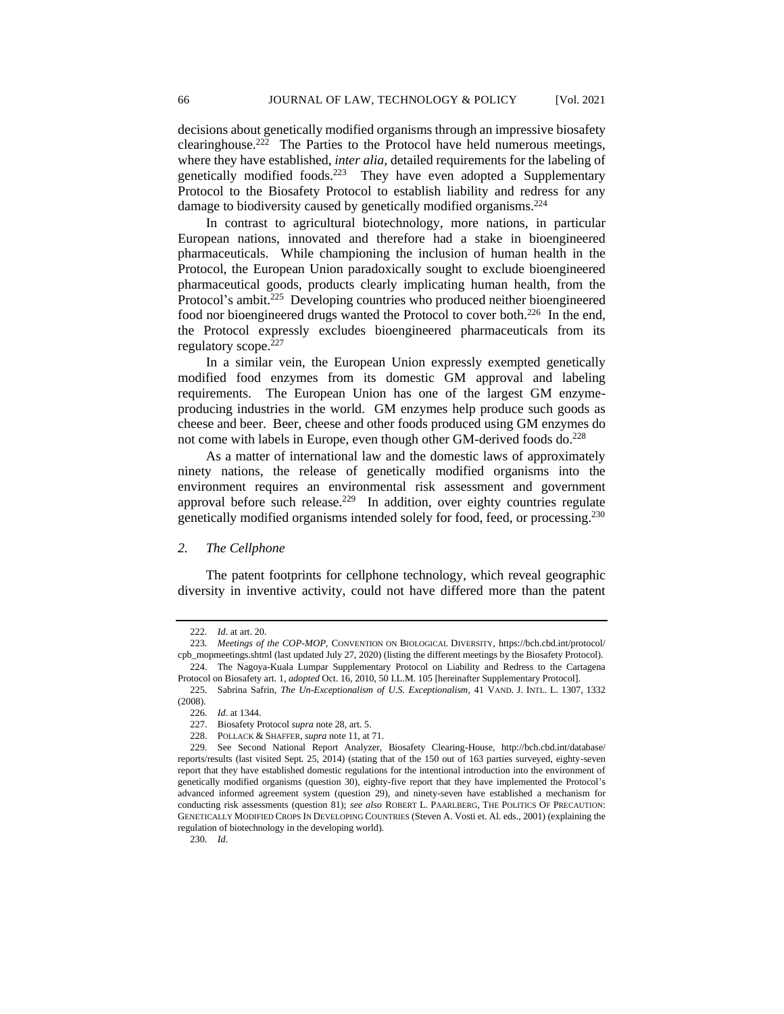decisions about genetically modified organisms through an impressive biosafety clearinghouse.<sup>222</sup> The Parties to the Protocol have held numerous meetings, where they have established, *inter alia*, detailed requirements for the labeling of genetically modified foods.<sup>223</sup> They have even adopted a Supplementary Protocol to the Biosafety Protocol to establish liability and redress for any damage to biodiversity caused by genetically modified organisms.<sup>224</sup>

In contrast to agricultural biotechnology, more nations, in particular European nations, innovated and therefore had a stake in bioengineered pharmaceuticals. While championing the inclusion of human health in the Protocol, the European Union paradoxically sought to exclude bioengineered pharmaceutical goods, products clearly implicating human health, from the Protocol's ambit.<sup>225</sup> Developing countries who produced neither bioengineered food nor bioengineered drugs wanted the Protocol to cover both.<sup>226</sup> In the end, the Protocol expressly excludes bioengineered pharmaceuticals from its regulatory scope.<sup>227</sup>

In a similar vein, the European Union expressly exempted genetically modified food enzymes from its domestic GM approval and labeling requirements. The European Union has one of the largest GM enzymeproducing industries in the world. GM enzymes help produce such goods as cheese and beer. Beer, cheese and other foods produced using GM enzymes do not come with labels in Europe, even though other GM-derived foods do.<sup>228</sup>

As a matter of international law and the domestic laws of approximately ninety nations, the release of genetically modified organisms into the environment requires an environmental risk assessment and government approval before such release.<sup>229</sup> In addition, over eighty countries regulate genetically modified organisms intended solely for food, feed, or processing.<sup>230</sup>

## *2. The Cellphone*

The patent footprints for cellphone technology, which reveal geographic diversity in inventive activity, could not have differed more than the patent

<sup>222</sup>*. Id*. at art. 20.

<sup>223</sup>*. Meetings of the COP-MOP*, CONVENTION ON BIOLOGICAL DIVERSITY, https://bch.cbd.int/protocol/ cpb\_mopmeetings.shtml (last updated July 27, 2020) (listing the different meetings by the Biosafety Protocol). 224. The Nagoya-Kuala Lumpar Supplementary Protocol on Liability and Redress to the Cartagena

Protocol on Biosafety art. 1, *adopted* Oct. 16, 2010, 50 I.L.M. 105 [hereinafter Supplementary Protocol].

<sup>225.</sup> Sabrina Safrin, *The Un-Exceptionalism of U.S. Exceptionalism,* 41 VAND. J. INTL. L. 1307, 1332 (2008).

<sup>226</sup>*. Id*. at 1344.

<sup>227.</sup> Biosafety Protocol *supra* note 28, art. 5.

<sup>228.</sup> POLLACK & SHAFFER, *supra* note 11, at 71.

<sup>229.</sup> See Second National Report Analyzer, Biosafety Clearing-House, http://bch.cbd.int/database/ reports/results (last visited Sept. 25, 2014) (stating that of the 150 out of 163 parties surveyed, eighty-seven report that they have established domestic regulations for the intentional introduction into the environment of genetically modified organisms (question 30), eighty-five report that they have implemented the Protocol's advanced informed agreement system (question 29), and ninety-seven have established a mechanism for conducting risk assessments (question 81); *see also* ROBERT L. PAARLBERG, THE POLITICS OF PRECAUTION: GENETICALLY MODIFIED CROPS IN DEVELOPING COUNTRIES (Steven A. Vosti et. Al. eds., 2001) (explaining the regulation of biotechnology in the developing world).

<sup>230</sup>*. Id*.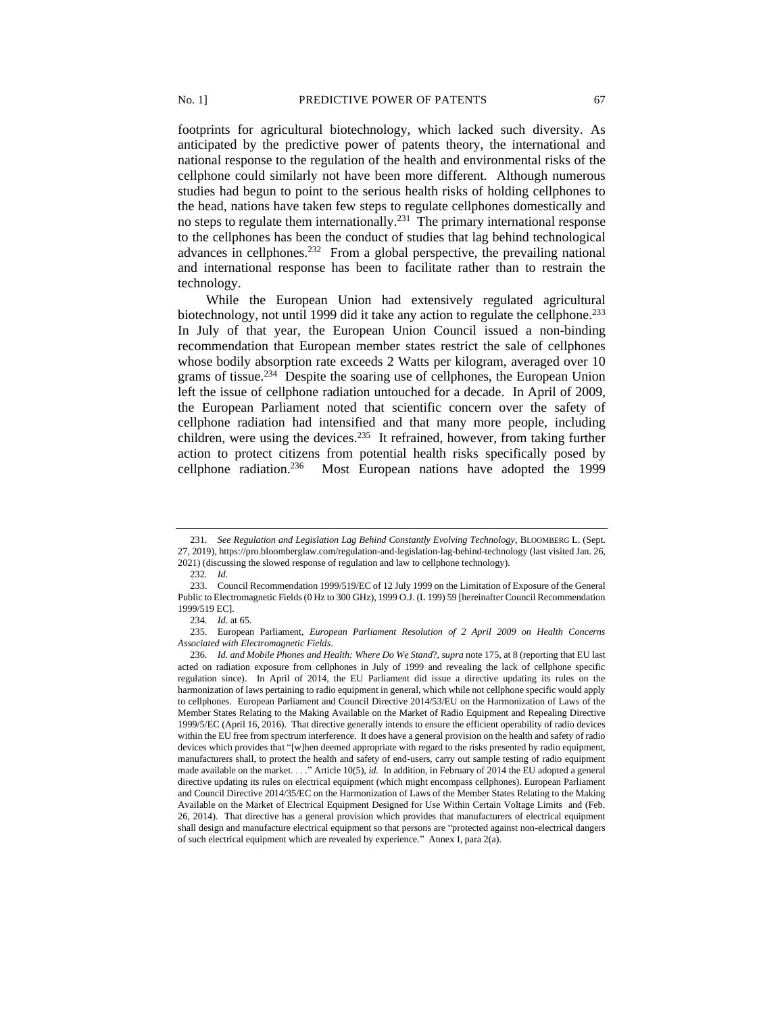footprints for agricultural biotechnology, which lacked such diversity. As anticipated by the predictive power of patents theory, the international and national response to the regulation of the health and environmental risks of the cellphone could similarly not have been more different. Although numerous studies had begun to point to the serious health risks of holding cellphones to the head, nations have taken few steps to regulate cellphones domestically and no steps to regulate them internationally.<sup>231</sup> The primary international response to the cellphones has been the conduct of studies that lag behind technological advances in cellphones.<sup>232</sup> From a global perspective, the prevailing national and international response has been to facilitate rather than to restrain the technology.

While the European Union had extensively regulated agricultural biotechnology, not until 1999 did it take any action to regulate the cellphone.<sup>233</sup> In July of that year, the European Union Council issued a non-binding recommendation that European member states restrict the sale of cellphones whose bodily absorption rate exceeds 2 Watts per kilogram, averaged over 10 grams of tissue.<sup>234</sup> Despite the soaring use of cellphones, the European Union left the issue of cellphone radiation untouched for a decade. In April of 2009, the European Parliament noted that scientific concern over the safety of cellphone radiation had intensified and that many more people, including children, were using the devices.<sup>235</sup> It refrained, however, from taking further action to protect citizens from potential health risks specifically posed by cellphone radiation. Most European nations have adopted the 1999

<sup>231</sup>*. See Regulation and Legislation Lag Behind Constantly Evolving Technology*, BLOOMBERG L. (Sept. 27, 2019), https://pro.bloomberglaw.com/regulation-and-legislation-lag-behind-technology (last visited Jan. 26, 2021) (discussing the slowed response of regulation and law to cellphone technology).

<sup>232</sup>*. Id*.

<sup>233.</sup> Council Recommendation 1999/519/EC of 12 July 1999 on the Limitation of Exposure of the General Public to Electromagnetic Fields (0 Hz to 300 GHz), 1999 O.J. (L 199) 59 [hereinafter Council Recommendation 1999/519 EC].

<sup>234</sup>*. Id*. at 65.

<sup>235.</sup> European Parliament, *European Parliament Resolution of 2 April 2009 on Health Concerns Associated with Electromagnetic Fields*.

<sup>236</sup>*. Id. and Mobile Phones and Health: Where Do We Stand*?, *supra* note 175, at 8 (reporting that EU last acted on radiation exposure from cellphones in July of 1999 and revealing the lack of cellphone specific regulation since). In April of 2014, the EU Parliament did issue a directive updating its rules on the harmonization of laws pertaining to radio equipment in general, which while not cellphone specific would apply to cellphones. European Parliament and Council Directive 2014/53/EU on the Harmonization of Laws of the Member States Relating to the Making Available on the Market of Radio Equipment and Repealing Directive 1999/5/EC (April 16, 2016). That directive generally intends to ensure the efficient operability of radio devices within the EU free from spectrum interference. It does have a general provision on the health and safety of radio devices which provides that "[w]hen deemed appropriate with regard to the risks presented by radio equipment, manufacturers shall, to protect the health and safety of end-users, carry out sample testing of radio equipment made available on the market. . . ." Article 10(5), *id.* In addition, in February of 2014 the EU adopted a general directive updating its rules on electrical equipment (which might encompass cellphones). European Parliament and Council Directive 2014/35/EC on the Harmonization of Laws of the Member States Relating to the Making Available on the Market of Electrical Equipment Designed for Use Within Certain Voltage Limits and (Feb. 26, 2014). That directive has a general provision which provides that manufacturers of electrical equipment shall design and manufacture electrical equipment so that persons are "protected against non-electrical dangers of such electrical equipment which are revealed by experience." Annex I, para 2(a).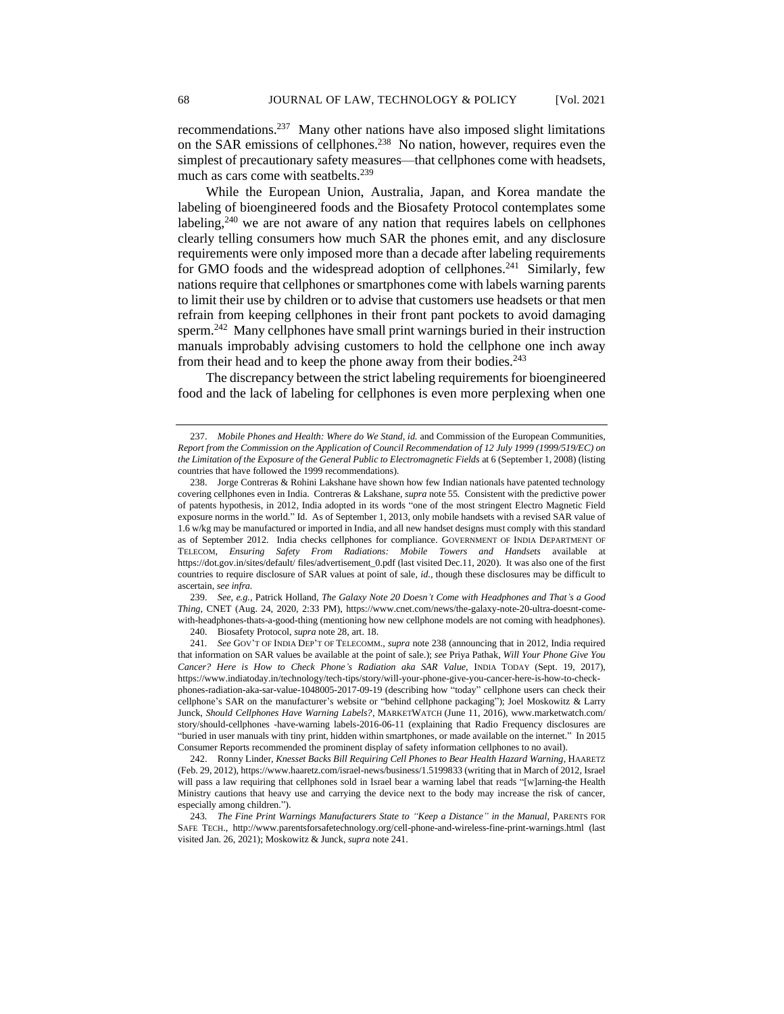recommendations. 237 Many other nations have also imposed slight limitations on the SAR emissions of cellphones.<sup>238</sup> No nation, however, requires even the simplest of precautionary safety measures—that cellphones come with headsets, much as cars come with seatbelts.<sup>239</sup>

While the European Union, Australia, Japan, and Korea mandate the labeling of bioengineered foods and the Biosafety Protocol contemplates some labeling, $240$  we are not aware of any nation that requires labels on cellphones clearly telling consumers how much SAR the phones emit, and any disclosure requirements were only imposed more than a decade after labeling requirements for GMO foods and the widespread adoption of cellphones.<sup>241</sup> Similarly, few nations require that cellphones or smartphones come with labels warning parents to limit their use by children or to advise that customers use headsets or that men refrain from keeping cellphones in their front pant pockets to avoid damaging sperm.<sup>242</sup> Many cellphones have small print warnings buried in their instruction manuals improbably advising customers to hold the cellphone one inch away from their head and to keep the phone away from their bodies.<sup>243</sup>

The discrepancy between the strict labeling requirements for bioengineered food and the lack of labeling for cellphones is even more perplexing when one

239. *See, e.g.*, Patrick Holland, *The Galaxy Note 20 Doesn't Come with Headphones and That's a Good Thing*, CNET (Aug. 24, 2020, 2:33 PM), https://www.cnet.com/news/the-galaxy-note-20-ultra-doesnt-comewith-headphones-thats-a-good-thing (mentioning how new cellphone models are not coming with headphones).

<sup>237.</sup> *Mobile Phones and Health: Where do We Stand, id.* and Commission of the European Communities, *Report from the Commission on the Application of Council Recommendation of 12 July 1999 (1999/519/EC) on the Limitation of the Exposure of the General Public to Electromagnetic Fields* at 6 (September 1, 2008) (listing countries that have followed the 1999 recommendations).

<sup>238.</sup> Jorge Contreras & Rohini Lakshane have shown how few Indian nationals have patented technology covering cellphones even in India. Contreras & Lakshane, *supra* note 55*.* Consistent with the predictive power of patents hypothesis, in 2012, India adopted in its words "one of the most stringent Electro Magnetic Field exposure norms in the world." Id. As of September 1, 2013, only mobile handsets with a revised SAR value of 1.6 w/kg may be manufactured or imported in India, and all new handset designs must comply with this standard as of September 2012. India checks cellphones for compliance. GOVERNMENT OF INDIA DEPARTMENT OF TELECOM, *Ensuring Safety From Radiations: Mobile Towers and Handsets* available at https://dot.gov.in/sites/default/ files/advertisement\_0.pdf (last visited Dec.11, 2020). It was also one of the first countries to require disclosure of SAR values at point of sale, *id.,* though these disclosures may be difficult to ascertain, *see infra.*

<sup>240.</sup> Biosafety Protocol, *supra* note 28, art. 18.

<sup>241</sup>*. See* GOV'T OF INDIA DEP'T OF TELECOMM., *supra* note 238 (announcing that in 2012, India required that information on SAR values be available at the point of sale.); *see* Priya Pathak, *Will Your Phone Give You Cancer? Here is How to Check Phone's Radiation aka SAR Value,* INDIA TODAY (Sept. 19, 2017), https://www.indiatoday.in/technology/tech-tips/story/will-your-phone-give-you-cancer-here-is-how-to-checkphones-radiation-aka-sar-value-1048005-2017-09-19 (describing how "today" cellphone users can check their cellphone's SAR on the manufacturer's website or "behind cellphone packaging"); Joel Moskowitz & Larry Junck, *Should Cellphones Have Warning Labels?*, MARKETWATCH (June 11, 2016), www.marketwatch.com/ story/should-cellphones -have-warning labels-2016-06-11 (explaining that Radio Frequency disclosures are "buried in user manuals with tiny print, hidden within smartphones, or made available on the internet." In 2015 Consumer Reports recommended the prominent display of safety information cellphones to no avail).

<sup>242.</sup> Ronny Linder, *Knesset Backs Bill Requiring Cell Phones to Bear Health Hazard Warning*, HAARETZ (Feb. 29, 2012), https://www.haaretz.com/israel-news/business/1.5199833 (writing that in March of 2012, Israel will pass a law requiring that cellphones sold in Israel bear a warning label that reads "[w]arning-the Health Ministry cautions that heavy use and carrying the device next to the body may increase the risk of cancer, especially among children.").

<sup>243</sup>*. The Fine Print Warnings Manufacturers State to "Keep a Distance" in the Manual*, PARENTS FOR SAFE TECH., http://www.parentsforsafetechnology.org/cell-phone-and-wireless-fine-print-warnings.html (last visited Jan. 26, 2021); Moskowitz & Junck, *supra* note 241.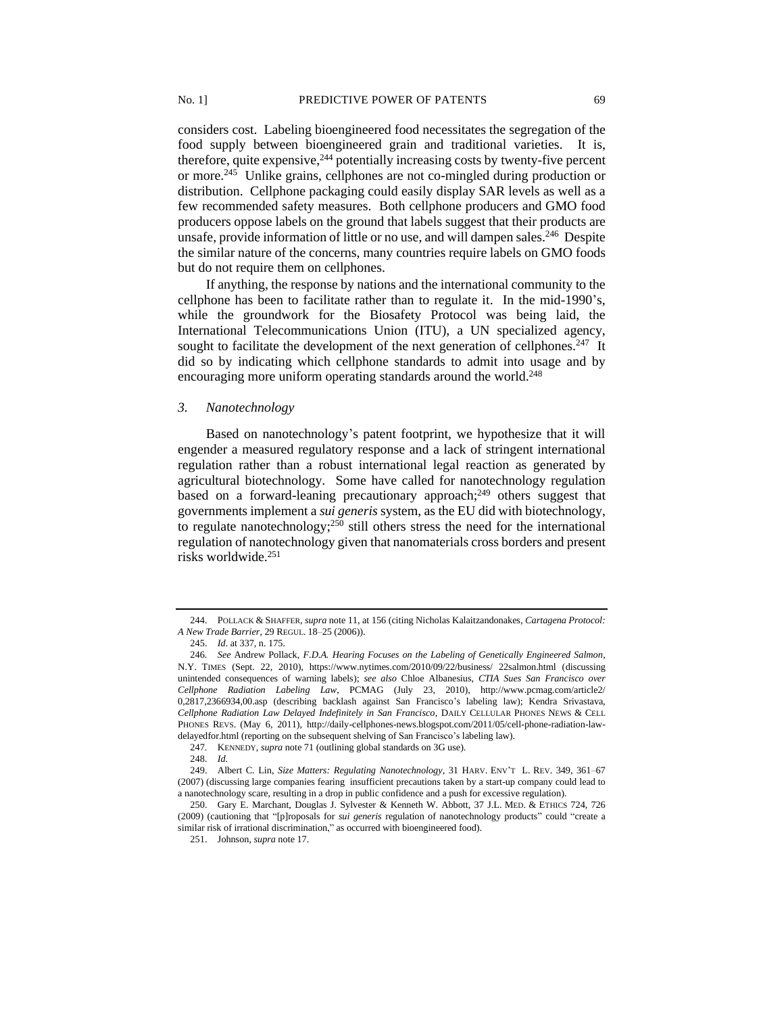considers cost. Labeling bioengineered food necessitates the segregation of the food supply between bioengineered grain and traditional varieties. It is, therefore, quite expensive,<sup>244</sup> potentially increasing costs by twenty-five percent or more.<sup>245</sup> Unlike grains, cellphones are not co-mingled during production or distribution. Cellphone packaging could easily display SAR levels as well as a few recommended safety measures. Both cellphone producers and GMO food producers oppose labels on the ground that labels suggest that their products are unsafe, provide information of little or no use, and will dampen sales.<sup>246</sup> Despite the similar nature of the concerns, many countries require labels on GMO foods but do not require them on cellphones.

If anything, the response by nations and the international community to the cellphone has been to facilitate rather than to regulate it. In the mid-1990's, while the groundwork for the Biosafety Protocol was being laid, the International Telecommunications Union (ITU), a UN specialized agency, sought to facilitate the development of the next generation of cellphones. $247$  It did so by indicating which cellphone standards to admit into usage and by encouraging more uniform operating standards around the world.<sup>248</sup>

#### *3. Nanotechnology*

Based on nanotechnology's patent footprint, we hypothesize that it will engender a measured regulatory response and a lack of stringent international regulation rather than a robust international legal reaction as generated by agricultural biotechnology. Some have called for nanotechnology regulation based on a forward-leaning precautionary approach; $^{249}$  others suggest that governments implement a *sui generis* system, as the EU did with biotechnology, to regulate nanotechnology;<sup>250</sup> still others stress the need for the international regulation of nanotechnology given that nanomaterials cross borders and present risks worldwide.<sup>251</sup>

<sup>244.</sup> POLLACK & SHAFFER*, supra* note 11, at 156 (citing Nicholas Kalaitzandonakes, *Cartagena Protocol: A New Trade Barrier,* 29 REGUL. 18–25 (2006)).

<sup>245.</sup> *Id*. at 337, n. 175.

<sup>246</sup>*. See* Andrew Pollack, *F.D.A. Hearing Focuses on the Labeling of Genetically Engineered Salmon*, N.Y. TIMES (Sept. 22, 2010), https://www.nytimes.com/2010/09/22/business/ 22salmon.html (discussing unintended consequences of warning labels); *see also* Chloe Albanesius, *CTIA Sues San Francisco over Cellphone Radiation Labeling Law*, PCMAG (July 23, 2010), http://www.pcmag.com/article2/ 0,2817,2366934,00.asp (describing backlash against San Francisco's labeling law); Kendra Srivastava, *Cellphone Radiation Law Delayed Indefinitely in San Francisco*, DAILY CELLULAR PHONES NEWS & CELL PHONES REVS. (May 6, 2011), http://daily-cellphones-news.blogspot.com/2011/05/cell-phone-radiation-lawdelayedfor.html (reporting on the subsequent shelving of San Francisco's labeling law).

<sup>247</sup>*.* KENNEDY, *supra* note 71 (outlining global standards on 3G use).

<sup>248.</sup> *Id.*

<sup>249.</sup> Albert C. Lin, *Size Matters: Regulating Nanotechnology*, 31 HARV. ENV'T L. REV. 349, 361–67 (2007) (discussing large companies fearing insufficient precautions taken by a start-up company could lead to a nanotechnology scare, resulting in a drop in public confidence and a push for excessive regulation).

<sup>250.</sup> Gary E. Marchant, Douglas J. Sylvester & Kenneth W. Abbott, 37 J.L. MED. & ETHICS 724, 726 (2009) (cautioning that "[p]roposals for *sui generis* regulation of nanotechnology products" could "create a similar risk of irrational discrimination," as occurred with bioengineered food).

<sup>251.</sup> Johnson, *supra* not[e 17.](#page-3-0)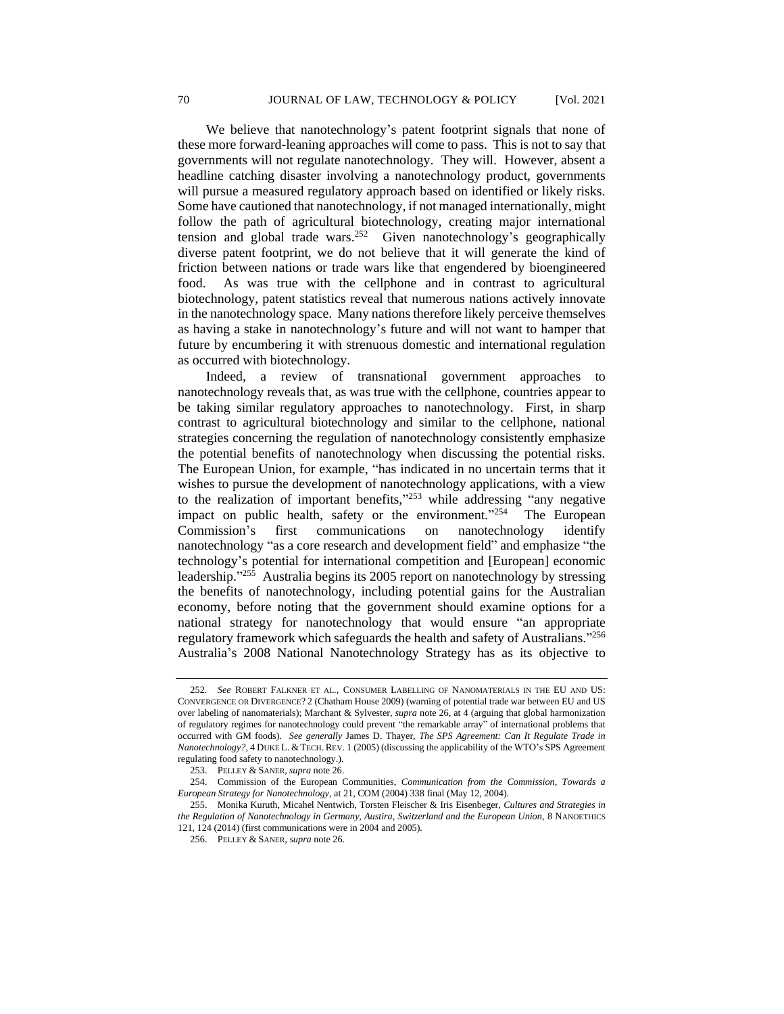We believe that nanotechnology's patent footprint signals that none of these more forward-leaning approaches will come to pass. This is not to say that governments will not regulate nanotechnology. They will. However, absent a headline catching disaster involving a nanotechnology product, governments will pursue a measured regulatory approach based on identified or likely risks. Some have cautioned that nanotechnology, if not managed internationally, might follow the path of agricultural biotechnology, creating major international tension and global trade wars.<sup>252</sup> Given nanotechnology's geographically diverse patent footprint, we do not believe that it will generate the kind of friction between nations or trade wars like that engendered by bioengineered food. As was true with the cellphone and in contrast to agricultural biotechnology, patent statistics reveal that numerous nations actively innovate in the nanotechnology space. Many nations therefore likely perceive themselves as having a stake in nanotechnology's future and will not want to hamper that future by encumbering it with strenuous domestic and international regulation as occurred with biotechnology.

Indeed, a review of transnational government approaches to nanotechnology reveals that, as was true with the cellphone, countries appear to be taking similar regulatory approaches to nanotechnology. First, in sharp contrast to agricultural biotechnology and similar to the cellphone, national strategies concerning the regulation of nanotechnology consistently emphasize the potential benefits of nanotechnology when discussing the potential risks. The European Union, for example, "has indicated in no uncertain terms that it wishes to pursue the development of nanotechnology applications, with a view to the realization of important benefits," <sup>253</sup> while addressing "any negative impact on public health, safety or the environment."254 The European Commission's first communications on nanotechnology identify nanotechnology "as a core research and development field" and emphasize "the technology's potential for international competition and [European] economic leadership."<sup>255</sup> Australia begins its 2005 report on nanotechnology by stressing the benefits of nanotechnology, including potential gains for the Australian economy, before noting that the government should examine options for a national strategy for nanotechnology that would ensure "an appropriate regulatory framework which safeguards the health and safety of Australians."256 Australia's 2008 National Nanotechnology Strategy has as its objective to

<sup>252</sup>*. See* ROBERT FALKNER ET AL., CONSUMER LABELLING OF NANOMATERIALS IN THE EU AND US: CONVERGENCE OR DIVERGENCE? 2 (Chatham House 2009) (warning of potential trade war between EU and US over labeling of nanomaterials); Marchant & Sylvester, *supra* note 26, at 4 (arguing that global harmonization of regulatory regimes for nanotechnology could prevent "the remarkable array" of international problems that occurred with GM foods). *See generally* James D. Thayer, *The SPS Agreement: Can It Regulate Trade in Nanotechnology?*, 4 DUKE L. & TECH. REV. 1 (2005) (discussing the applicability of the WTO's SPS Agreement regulating food safety to nanotechnology.).

<sup>253.</sup> PELLEY & SANER,*supra* note 26.

<sup>254.</sup> Commission of the European Communities, *Communication from the Commission, Towards a European Strategy for Nanotechnology*, at 21, COM (2004) 338 final (May 12, 2004).

<sup>255.</sup> Monika Kuruth, Micahel Nentwich, Torsten Fleischer & Iris Eisenbeger, *Cultures and Strategies in the Regulation of Nanotechnology in Germany, Austira, Switzerland and the European Union,* 8 NANOETHICS 121, 124 (2014) (first communications were in 2004 and 2005).

<sup>256.</sup> PELLEY & SANER, *supra* note 26.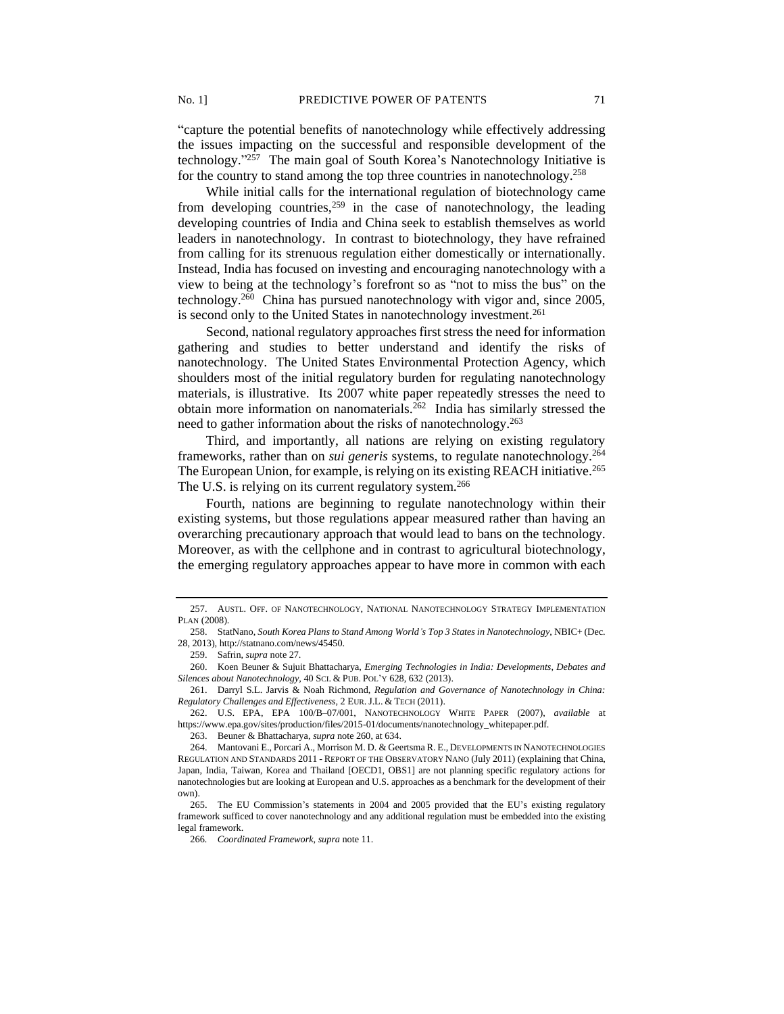"capture the potential benefits of nanotechnology while effectively addressing the issues impacting on the successful and responsible development of the technology." 257 The main goal of South Korea's Nanotechnology Initiative is for the country to stand among the top three countries in nanotechnology.<sup>258</sup>

While initial calls for the international regulation of biotechnology came from developing countries,  $259$  in the case of nanotechnology, the leading developing countries of India and China seek to establish themselves as world leaders in nanotechnology. In contrast to biotechnology, they have refrained from calling for its strenuous regulation either domestically or internationally. Instead, India has focused on investing and encouraging nanotechnology with a view to being at the technology's forefront so as "not to miss the bus" on the technology.<sup>260</sup> China has pursued nanotechnology with vigor and, since 2005, is second only to the United States in nanotechnology investment.<sup>261</sup>

Second, national regulatory approaches first stress the need for information gathering and studies to better understand and identify the risks of nanotechnology. The United States Environmental Protection Agency, which shoulders most of the initial regulatory burden for regulating nanotechnology materials, is illustrative. Its 2007 white paper repeatedly stresses the need to obtain more information on nanomaterials.<sup>262</sup> India has similarly stressed the need to gather information about the risks of nanotechnology.<sup>263</sup>

Third, and importantly, all nations are relying on existing regulatory frameworks, rather than on *sui generis* systems, to regulate nanotechnology.<sup>264</sup> The European Union, for example, is relying on its existing REACH initiative.<sup>265</sup> The U.S. is relying on its current regulatory system.<sup>266</sup>

Fourth, nations are beginning to regulate nanotechnology within their existing systems, but those regulations appear measured rather than having an overarching precautionary approach that would lead to bans on the technology. Moreover, as with the cellphone and in contrast to agricultural biotechnology, the emerging regulatory approaches appear to have more in common with each

262. U.S. EPA, EPA 100/B–07/001, NANOTECHNOLOGY WHITE PAPER (2007), *available* at https://www.epa.gov/sites/production/files/2015-01/documents/nanotechnology\_whitepaper.pdf.

263. Beuner & Bhattacharya, *supra* note 260, at 634.

264. Mantovani E., Porcari A., Morrison M. D. & Geertsma R. E., DEVELOPMENTS IN NANOTECHNOLOGIES REGULATION AND STANDARDS 2011 - REPORT OF THE OBSERVATORY NANO (July 2011) (explaining that China, Japan, India, Taiwan, Korea and Thailand [OECD1, OBS1] are not planning specific regulatory actions for nanotechnologies but are looking at European and U.S. approaches as a benchmark for the development of their own).

<sup>257.</sup> AUSTL. OFF. OF NANOTECHNOLOGY, NATIONAL NANOTECHNOLOGY STRATEGY IMPLEMENTATION PLAN (2008).

<sup>258.</sup> StatNano, *South Korea Plans to Stand Among World's Top 3 States in Nanotechnology*, NBIC+ (Dec. 28, 2013), http://statnano.com/news/45450.

<sup>259.</sup> Safrin, *supra* not[e 27.](#page-4-0)

<sup>260.</sup> Koen Beuner & Sujuit Bhattacharya, *Emerging Technologies in India: Developments, Debates and Silences about Nanotechnology,* 40 SCI. & PUB. POL'Y 628, 632 (2013).

<sup>261.</sup> Darryl S.L. Jarvis & Noah Richmond, *Regulation and Governance of Nanotechnology in China: Regulatory Challenges and Effectiveness,* 2 EUR.J.L. & TECH (2011).

<sup>265.</sup> The EU Commission's statements in 2004 and 2005 provided that the EU's existing regulatory framework sufficed to cover nanotechnology and any additional regulation must be embedded into the existing legal framework.

<sup>266</sup>*. Coordinated Framework*, *supra* note 11.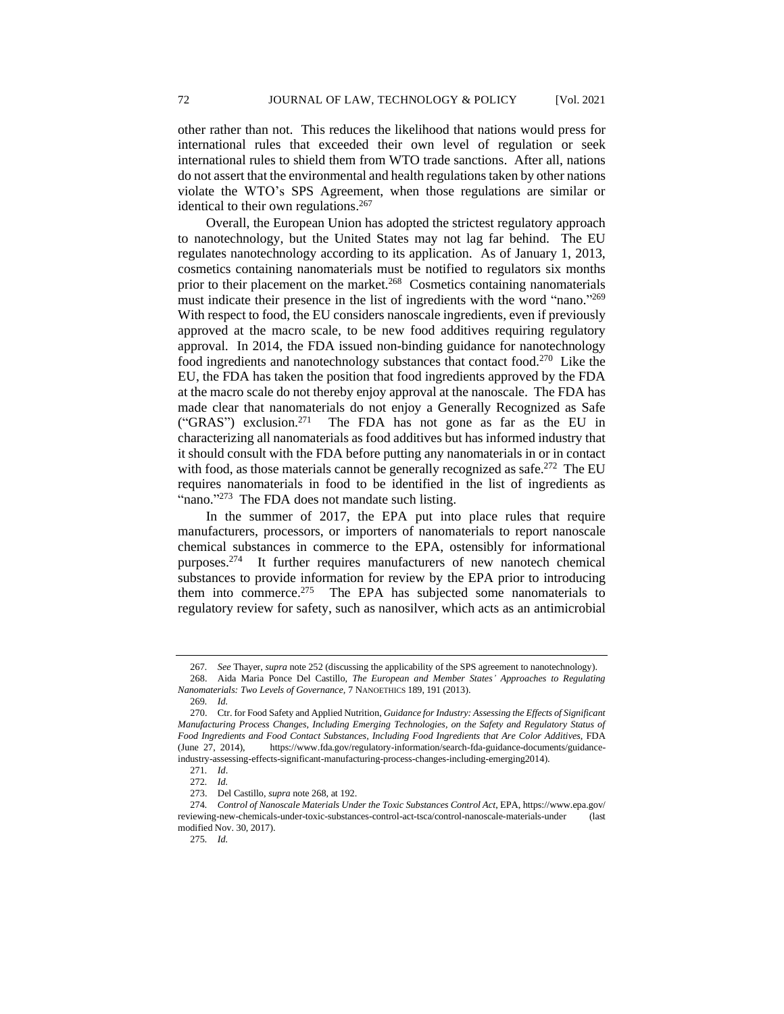other rather than not. This reduces the likelihood that nations would press for international rules that exceeded their own level of regulation or seek international rules to shield them from WTO trade sanctions. After all, nations do not assert that the environmental and health regulations taken by other nations violate the WTO's SPS Agreement, when those regulations are similar or identical to their own regulations.<sup>267</sup>

Overall, the European Union has adopted the strictest regulatory approach to nanotechnology, but the United States may not lag far behind. The EU regulates nanotechnology according to its application. As of January 1, 2013, cosmetics containing nanomaterials must be notified to regulators six months prior to their placement on the market.<sup>268</sup> Cosmetics containing nanomaterials must indicate their presence in the list of ingredients with the word "nano."<sup>269</sup> With respect to food, the EU considers nanoscale ingredients, even if previously approved at the macro scale, to be new food additives requiring regulatory approval. In 2014, the FDA issued non-binding guidance for nanotechnology food ingredients and nanotechnology substances that contact food.<sup>270</sup> Like the EU, the FDA has taken the position that food ingredients approved by the FDA at the macro scale do not thereby enjoy approval at the nanoscale. The FDA has made clear that nanomaterials do not enjoy a Generally Recognized as Safe ("GRAS") exclusion.<sup>271</sup> The FDA has not gone as far as the EU in characterizing all nanomaterials as food additives but has informed industry that it should consult with the FDA before putting any nanomaterials in or in contact with food, as those materials cannot be generally recognized as safe.<sup>272</sup> The EU requires nanomaterials in food to be identified in the list of ingredients as "nano."<sup>273</sup> The FDA does not mandate such listing.

In the summer of 2017, the EPA put into place rules that require manufacturers, processors, or importers of nanomaterials to report nanoscale chemical substances in commerce to the EPA, ostensibly for informational purposes.<sup>274</sup> It further requires manufacturers of new nanotech chemical substances to provide information for review by the EPA prior to introducing them into commerce.<sup>275</sup> The EPA has subjected some nanomaterials to regulatory review for safety, such as nanosilver, which acts as an antimicrobial

<sup>267</sup>*. See* Thayer, *supra* note 252 (discussing the applicability of the SPS agreement to nanotechnology). 268. Aida Maria Ponce Del Castillo, *The European and Member States' Approaches to Regulating* 

*Nanomaterials: Two Levels of Governance,* 7 NANOETHICS 189, 191 (2013).

<sup>269</sup>*. Id.*

<sup>270.</sup> Ctr. for Food Safety and Applied Nutrition, *Guidance for Industry: Assessing the Effects of Significant Manufacturing Process Changes, Including Emerging Technologies, on the Safety and Regulatory Status of Food Ingredients and Food Contact Substances, Including Food Ingredients that Are Color Additives*, FDA (June 27, 2014), https://www.fda.gov/regulatory-information/search-fda-guidance-documents/guidanceindustry-assessing-effects-significant-manufacturing-process-changes-including-emerging2014).

<sup>271</sup>*. Id*.

<sup>272</sup>*. Id.*

<sup>273.</sup> Del Castillo, *supra* note 268, at 192.

<sup>274</sup>*. Control of Nanoscale Materials Under the Toxic Substances Control Act*, EPA*,* https://www.epa.gov/ reviewing-new-chemicals-under-toxic-substances-control-act-tsca/control-nanoscale-materials-under (last modified Nov. 30, 2017).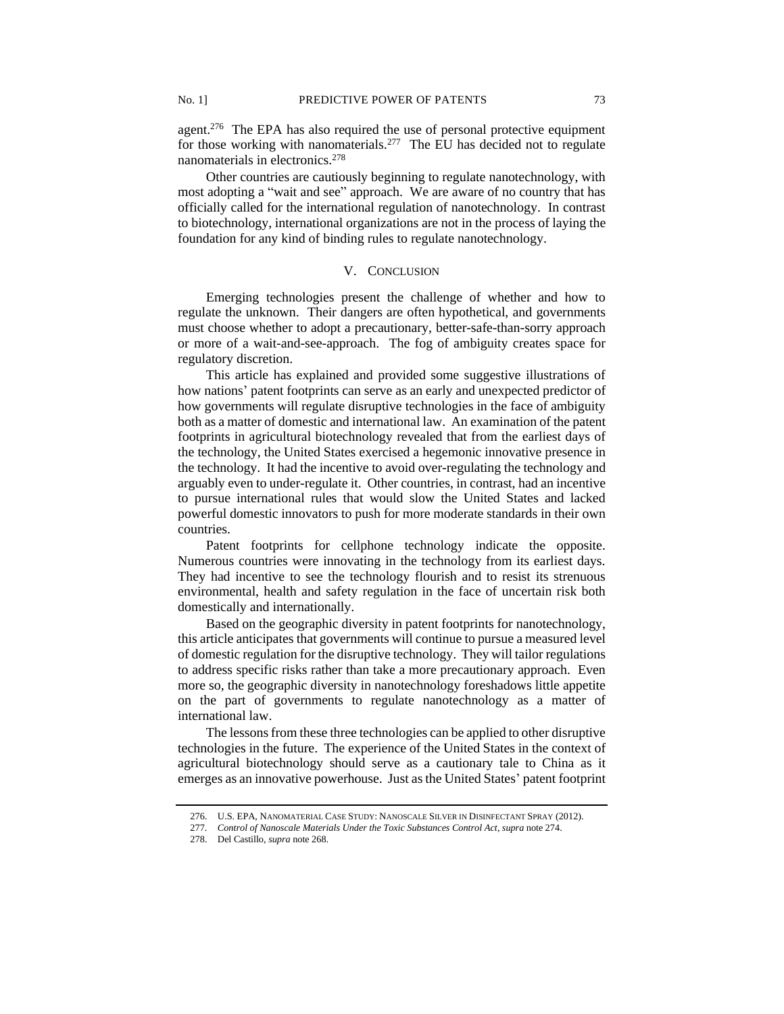agent.<sup>276</sup> The EPA has also required the use of personal protective equipment for those working with nanomaterials.<sup>277</sup> The EU has decided not to regulate nanomaterials in electronics.<sup>278</sup>

Other countries are cautiously beginning to regulate nanotechnology, with most adopting a "wait and see" approach. We are aware of no country that has officially called for the international regulation of nanotechnology. In contrast to biotechnology, international organizations are not in the process of laying the foundation for any kind of binding rules to regulate nanotechnology.

## V. CONCLUSION

Emerging technologies present the challenge of whether and how to regulate the unknown. Their dangers are often hypothetical, and governments must choose whether to adopt a precautionary, better-safe-than-sorry approach or more of a wait-and-see-approach. The fog of ambiguity creates space for regulatory discretion.

This article has explained and provided some suggestive illustrations of how nations' patent footprints can serve as an early and unexpected predictor of how governments will regulate disruptive technologies in the face of ambiguity both as a matter of domestic and international law. An examination of the patent footprints in agricultural biotechnology revealed that from the earliest days of the technology, the United States exercised a hegemonic innovative presence in the technology. It had the incentive to avoid over-regulating the technology and arguably even to under-regulate it. Other countries, in contrast, had an incentive to pursue international rules that would slow the United States and lacked powerful domestic innovators to push for more moderate standards in their own countries.

Patent footprints for cellphone technology indicate the opposite. Numerous countries were innovating in the technology from its earliest days. They had incentive to see the technology flourish and to resist its strenuous environmental, health and safety regulation in the face of uncertain risk both domestically and internationally.

Based on the geographic diversity in patent footprints for nanotechnology, this article anticipates that governments will continue to pursue a measured level of domestic regulation for the disruptive technology. They will tailor regulations to address specific risks rather than take a more precautionary approach. Even more so, the geographic diversity in nanotechnology foreshadows little appetite on the part of governments to regulate nanotechnology as a matter of international law.

The lessons from these three technologies can be applied to other disruptive technologies in the future. The experience of the United States in the context of agricultural biotechnology should serve as a cautionary tale to China as it emerges as an innovative powerhouse. Just as the United States' patent footprint

<sup>276.</sup> U.S. EPA, NANOMATERIAL CASE STUDY: NANOSCALE SILVER IN DISINFECTANT SPRAY (2012).

<sup>277</sup>*. Control of Nanoscale Materials Under the Toxic Substances Control Act*, *supra* note 274.

<sup>278.</sup> Del Castillo, *supra* note 268.